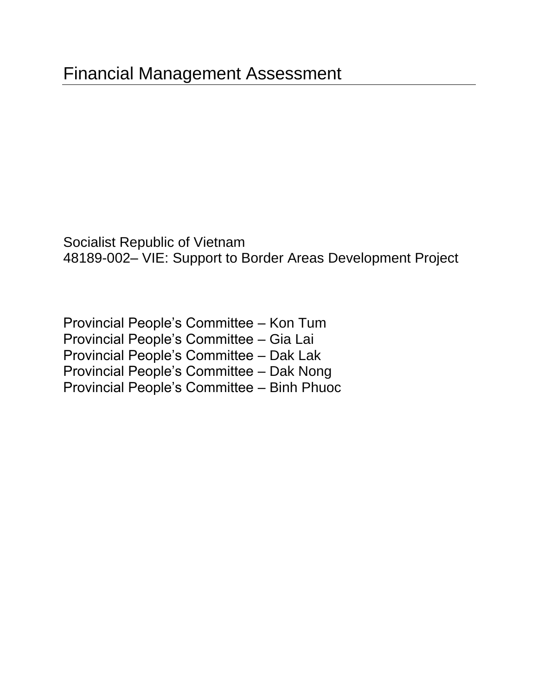Socialist Republic of Vietnam 48189-002– VIE: Support to Border Areas Development Project

Provincial People's Committee – Kon Tum Provincial People's Committee – Gia Lai Provincial People's Committee – Dak Lak Provincial People's Committee – Dak Nong Provincial People's Committee – Binh Phuoc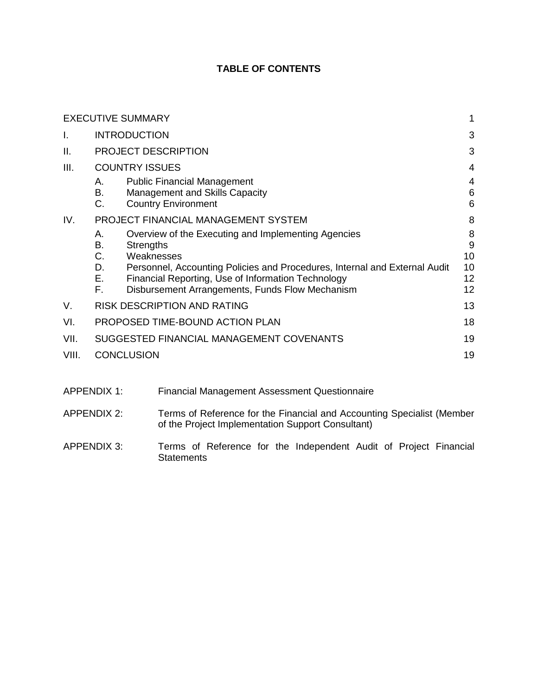# **TABLE OF CONTENTS**

|       | <b>EXECUTIVE SUMMARY</b>                                                                                                                                                                                                                                                                                         | 1                              |  |  |  |  |
|-------|------------------------------------------------------------------------------------------------------------------------------------------------------------------------------------------------------------------------------------------------------------------------------------------------------------------|--------------------------------|--|--|--|--|
| Ι.    | <b>INTRODUCTION</b><br>3                                                                                                                                                                                                                                                                                         |                                |  |  |  |  |
| ΙΙ.   | PROJECT DESCRIPTION                                                                                                                                                                                                                                                                                              | 3                              |  |  |  |  |
| III.  | <b>COUNTRY ISSUES</b>                                                                                                                                                                                                                                                                                            | 4                              |  |  |  |  |
|       | <b>Public Financial Management</b><br>А.<br>В.<br>Management and Skills Capacity<br>C.<br><b>Country Environment</b>                                                                                                                                                                                             | 4<br>6<br>6                    |  |  |  |  |
| IV.   | PROJECT FINANCIAL MANAGEMENT SYSTEM                                                                                                                                                                                                                                                                              | 8                              |  |  |  |  |
|       | Overview of the Executing and Implementing Agencies<br>А.<br>В.<br><b>Strengths</b><br>C.<br>Weaknesses<br>D.<br>Personnel, Accounting Policies and Procedures, Internal and External Audit<br>Е.<br>Financial Reporting, Use of Information Technology<br>F.<br>Disbursement Arrangements, Funds Flow Mechanism | 8<br>9<br>10<br>10<br>12<br>12 |  |  |  |  |
| V.    | <b>RISK DESCRIPTION AND RATING</b>                                                                                                                                                                                                                                                                               | 13                             |  |  |  |  |
| VI.   | PROPOSED TIME-BOUND ACTION PLAN                                                                                                                                                                                                                                                                                  | 18                             |  |  |  |  |
| VII.  | SUGGESTED FINANCIAL MANAGEMENT COVENANTS                                                                                                                                                                                                                                                                         | 19                             |  |  |  |  |
| VIII. | <b>CONCLUSION</b>                                                                                                                                                                                                                                                                                                | 19                             |  |  |  |  |

| APPENDIX 1: | <b>Financial Management Assessment Questionnaire</b>                                                                        |
|-------------|-----------------------------------------------------------------------------------------------------------------------------|
| APPENDIX 2: | Terms of Reference for the Financial and Accounting Specialist (Member<br>of the Project Implementation Support Consultant) |
|             |                                                                                                                             |

APPENDIX 3: Terms of Reference for the Independent Audit of Project Financial **Statements**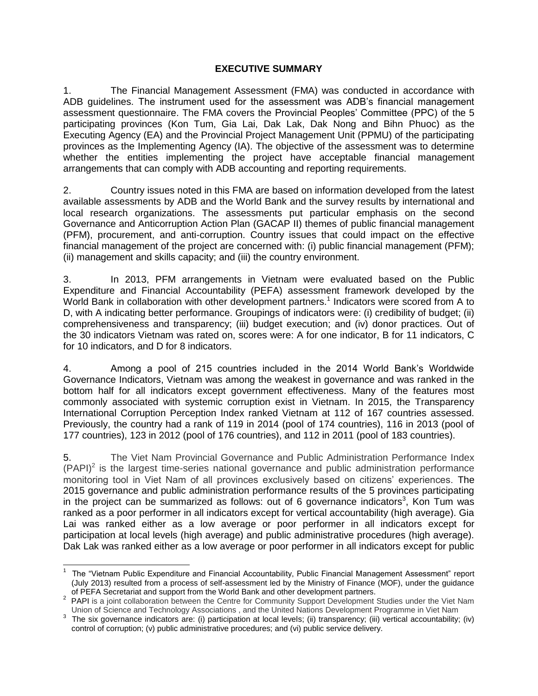#### **EXECUTIVE SUMMARY**

<span id="page-2-0"></span>1. The Financial Management Assessment (FMA) was conducted in accordance with ADB guidelines. The instrument used for the assessment was ADB's financial management assessment questionnaire. The FMA covers the Provincial Peoples' Committee (PPC) of the 5 participating provinces (Kon Tum, Gia Lai, Dak Lak, Dak Nong and Bihn Phuoc) as the Executing Agency (EA) and the Provincial Project Management Unit (PPMU) of the participating provinces as the Implementing Agency (IA). The objective of the assessment was to determine whether the entities implementing the project have acceptable financial management arrangements that can comply with ADB accounting and reporting requirements.

2. Country issues noted in this FMA are based on information developed from the latest available assessments by ADB and the World Bank and the survey results by international and local research organizations. The assessments put particular emphasis on the second Governance and Anticorruption Action Plan (GACAP II) themes of public financial management (PFM), procurement, and anti-corruption. Country issues that could impact on the effective financial management of the project are concerned with: (i) public financial management (PFM); (ii) management and skills capacity; and (iii) the country environment.

3. In 2013, PFM arrangements in Vietnam were evaluated based on the Public Expenditure and Financial Accountability (PEFA) assessment framework developed by the World Bank in collaboration with other development partners.<sup>1</sup> Indicators were scored from A to D, with A indicating better performance. Groupings of indicators were: (i) credibility of budget; (ii) comprehensiveness and transparency; (iii) budget execution; and (iv) donor practices. Out of the 30 indicators Vietnam was rated on, scores were: A for one indicator, B for 11 indicators, C for 10 indicators, and D for 8 indicators.

4. Among a pool of 215 countries included in the 2014 World Bank's Worldwide Governance Indicators, Vietnam was among the weakest in governance and was ranked in the bottom half for all indicators except government effectiveness. Many of the features most commonly associated with systemic corruption exist in Vietnam. In 2015, the Transparency International Corruption Perception Index ranked Vietnam at 112 of 167 countries assessed. Previously, the country had a rank of 119 in 2014 (pool of 174 countries), 116 in 2013 (pool of 177 countries), 123 in 2012 (pool of 176 countries), and 112 in 2011 (pool of 183 countries).

5. The Viet Nam Provincial Governance and Public Administration Performance Index  $(PAPI)<sup>2</sup>$  is the largest time-series national governance and public administration performance monitoring tool in Viet Nam of all provinces exclusively based on citizens' experiences. The 2015 governance and public administration performance results of the 5 provinces participating in the project can be summarized as follows: out of 6 governance indicators<sup>3</sup>, Kon Tum was ranked as a poor performer in all indicators except for vertical accountability (high average). Gia Lai was ranked either as a low average or poor performer in all indicators except for participation at local levels (high average) and public administrative procedures (high average). Dak Lak was ranked either as a low average or poor performer in all indicators except for public

 $\overline{a}$ 

<sup>&</sup>lt;sup>1</sup> The "Vietnam Public Expenditure and Financial Accountability, Public Financial Management Assessment" report (July 2013) resulted from a process of self-assessment led by the Ministry of Finance (MOF), under the guidance of PEFA Secretariat and support from the World Bank and other development partners.

<sup>&</sup>lt;sup>2</sup> PAPI is a joint collaboration between the Centre for Community Support Development Studies under the Viet Nam Union of Science and Technology Associations , and the United Nations Development Programme in Viet Nam

 $3$  The six governance indicators are: (i) participation at local levels; (ii) transparency; (iii) vertical accountability; (iv) control of corruption; (v) public administrative procedures; and (vi) public service delivery.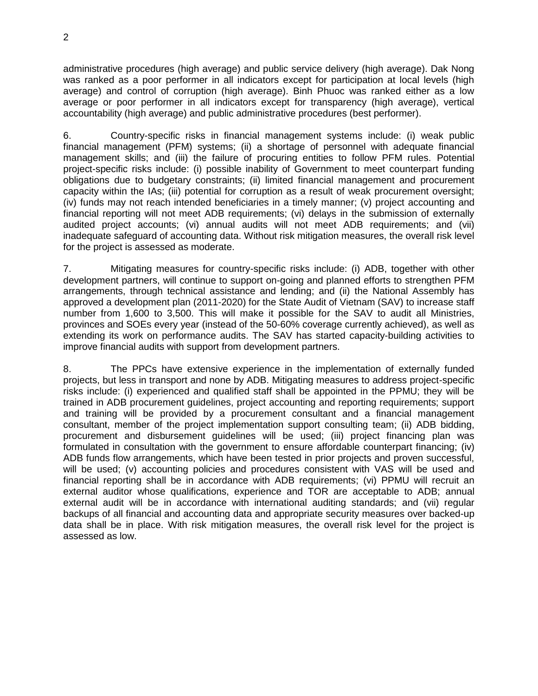administrative procedures (high average) and public service delivery (high average). Dak Nong was ranked as a poor performer in all indicators except for participation at local levels (high average) and control of corruption (high average). Binh Phuoc was ranked either as a low average or poor performer in all indicators except for transparency (high average), vertical accountability (high average) and public administrative procedures (best performer).

6. Country-specific risks in financial management systems include: (i) weak public financial management (PFM) systems; (ii) a shortage of personnel with adequate financial management skills; and (iii) the failure of procuring entities to follow PFM rules. Potential project-specific risks include: (i) possible inability of Government to meet counterpart funding obligations due to budgetary constraints; (ii) limited financial management and procurement capacity within the IAs; (iii) potential for corruption as a result of weak procurement oversight; (iv) funds may not reach intended beneficiaries in a timely manner; (v) project accounting and financial reporting will not meet ADB requirements; (vi) delays in the submission of externally audited project accounts; (vi) annual audits will not meet ADB requirements; and (vii) inadequate safeguard of accounting data. Without risk mitigation measures, the overall risk level for the project is assessed as moderate.

7. Mitigating measures for country-specific risks include: (i) ADB, together with other development partners, will continue to support on-going and planned efforts to strengthen PFM arrangements, through technical assistance and lending; and (ii) the National Assembly has approved a development plan (2011-2020) for the State Audit of Vietnam (SAV) to increase staff number from 1,600 to 3,500. This will make it possible for the SAV to audit all Ministries, provinces and SOEs every year (instead of the 50-60% coverage currently achieved), as well as extending its work on performance audits. The SAV has started capacity-building activities to improve financial audits with support from development partners.

8. The PPCs have extensive experience in the implementation of externally funded projects, but less in transport and none by ADB. Mitigating measures to address project-specific risks include: (i) experienced and qualified staff shall be appointed in the PPMU; they will be trained in ADB procurement guidelines, project accounting and reporting requirements; support and training will be provided by a procurement consultant and a financial management consultant, member of the project implementation support consulting team; (ii) ADB bidding, procurement and disbursement guidelines will be used; (iii) project financing plan was formulated in consultation with the government to ensure affordable counterpart financing; (iv) ADB funds flow arrangements, which have been tested in prior projects and proven successful, will be used; (v) accounting policies and procedures consistent with VAS will be used and financial reporting shall be in accordance with ADB requirements; (vi) PPMU will recruit an external auditor whose qualifications, experience and TOR are acceptable to ADB; annual external audit will be in accordance with international auditing standards; and (vii) regular backups of all financial and accounting data and appropriate security measures over backed-up data shall be in place. With risk mitigation measures, the overall risk level for the project is assessed as low.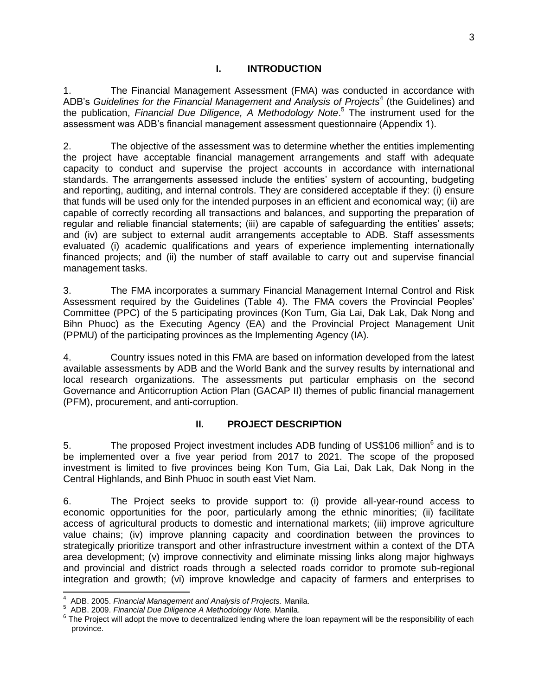## **I. INTRODUCTION**

<span id="page-4-0"></span>1. The Financial Management Assessment (FMA) was conducted in accordance with ADB's Guidelines for the Financial Management and Analysis of Projects<sup>4</sup> (the Guidelines) and the publication, *Financial Due Diligence, A Methodology Note*. <sup>5</sup> The instrument used for the assessment was ADB's financial management assessment questionnaire (Appendix 1).

2. The objective of the assessment was to determine whether the entities implementing the project have acceptable financial management arrangements and staff with adequate capacity to conduct and supervise the project accounts in accordance with international standards. The arrangements assessed include the entities' system of accounting, budgeting and reporting, auditing, and internal controls. They are considered acceptable if they: (i) ensure that funds will be used only for the intended purposes in an efficient and economical way; (ii) are capable of correctly recording all transactions and balances, and supporting the preparation of regular and reliable financial statements; (iii) are capable of safeguarding the entities' assets; and (iv) are subject to external audit arrangements acceptable to ADB. Staff assessments evaluated (i) academic qualifications and years of experience implementing internationally financed projects; and (ii) the number of staff available to carry out and supervise financial management tasks.

3. The FMA incorporates a summary Financial Management Internal Control and Risk Assessment required by the Guidelines (Table 4). The FMA covers the Provincial Peoples' Committee (PPC) of the 5 participating provinces (Kon Tum, Gia Lai, Dak Lak, Dak Nong and Bihn Phuoc) as the Executing Agency (EA) and the Provincial Project Management Unit (PPMU) of the participating provinces as the Implementing Agency (IA).

4. Country issues noted in this FMA are based on information developed from the latest available assessments by ADB and the World Bank and the survey results by international and local research organizations. The assessments put particular emphasis on the second Governance and Anticorruption Action Plan (GACAP II) themes of public financial management (PFM), procurement, and anti-corruption.

# **II. PROJECT DESCRIPTION**

<span id="page-4-1"></span>5. The proposed Project investment includes ADB funding of US\$106 million<sup>6</sup> and is to be implemented over a five year period from 2017 to 2021. The scope of the proposed investment is limited to five provinces being Kon Tum, Gia Lai, Dak Lak, Dak Nong in the Central Highlands, and Binh Phuoc in south east Viet Nam.

6. The Project seeks to provide support to: (i) provide all-year-round access to economic opportunities for the poor, particularly among the ethnic minorities; (ii) facilitate access of agricultural products to domestic and international markets; (iii) improve agriculture value chains; (iv) improve planning capacity and coordination between the provinces to strategically prioritize transport and other infrastructure investment within a context of the DTA area development; (v) improve connectivity and eliminate missing links along major highways and provincial and district roads through a selected roads corridor to promote sub-regional integration and growth; (vi) improve knowledge and capacity of farmers and enterprises to

 $\overline{\phantom{a}}$ 

<sup>4</sup> ADB. 2005. *Financial Management and Analysis of Projects.* Manila.

<sup>5</sup> ADB. 2009. *Financial Due Diligence A Methodology Note.* Manila.

<sup>&</sup>lt;sup>6</sup> The Project will adopt the move to decentralized lending where the loan repayment will be the responsibility of each province.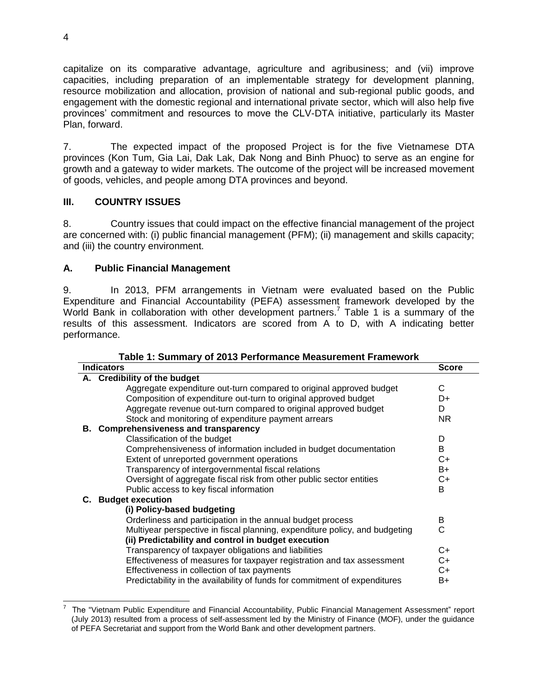capitalize on its comparative advantage, agriculture and agribusiness; and (vii) improve capacities, including preparation of an implementable strategy for development planning, resource mobilization and allocation, provision of national and sub-regional public goods, and engagement with the domestic regional and international private sector, which will also help five provinces' commitment and resources to move the CLV-DTA initiative, particularly its Master Plan, forward.

7. The expected impact of the proposed Project is for the five Vietnamese DTA provinces (Kon Tum, Gia Lai, Dak Lak, Dak Nong and Binh Phuoc) to serve as an engine for growth and a gateway to wider markets. The outcome of the project will be increased movement of goods, vehicles, and people among DTA provinces and beyond.

# <span id="page-5-0"></span>**III. COUNTRY ISSUES**

8. Country issues that could impact on the effective financial management of the project are concerned with: (i) public financial management (PFM); (ii) management and skills capacity; and (iii) the country environment.

# <span id="page-5-1"></span>**A. Public Financial Management**

9. In 2013, PFM arrangements in Vietnam were evaluated based on the Public Expenditure and Financial Accountability (PEFA) assessment framework developed by the World Bank in collaboration with other development partners.<sup>7</sup> Table 1 is a summary of the results of this assessment. Indicators are scored from A to D, with A indicating better performance.

|  |  | Table 1: Summary of 2013 Performance Measurement Framework |  |
|--|--|------------------------------------------------------------|--|
|  |  |                                                            |  |

| <b>Indicators</b>                                                           | <b>Score</b> |
|-----------------------------------------------------------------------------|--------------|
| A. Credibility of the budget                                                |              |
| Aggregate expenditure out-turn compared to original approved budget         | C            |
| Composition of expenditure out-turn to original approved budget             | D+           |
| Aggregate revenue out-turn compared to original approved budget             | D.           |
| Stock and monitoring of expenditure payment arrears                         | NR.          |
| B. Comprehensiveness and transparency                                       |              |
| Classification of the budget                                                | D            |
| Comprehensiveness of information included in budget documentation           | B            |
| Extent of unreported government operations                                  | C+           |
| Transparency of intergovernmental fiscal relations                          | $B+$         |
| Oversight of aggregate fiscal risk from other public sector entities        | C+           |
| Public access to key fiscal information                                     | B            |
| C. Budget execution                                                         |              |
| (i) Policy-based budgeting                                                  |              |
| Orderliness and participation in the annual budget process                  | B            |
| Multiyear perspective in fiscal planning, expenditure policy, and budgeting | C            |
| (ii) Predictability and control in budget execution                         |              |
| Transparency of taxpayer obligations and liabilities                        | $C+$         |
| Effectiveness of measures for taxpayer registration and tax assessment      | C+           |
| Effectiveness in collection of tax payments                                 | C+           |
| Predictability in the availability of funds for commitment of expenditures  | B+           |
|                                                                             |              |

 7 The "Vietnam Public Expenditure and Financial Accountability, Public Financial Management Assessment" report (July 2013) resulted from a process of self-assessment led by the Ministry of Finance (MOF), under the guidance of PEFA Secretariat and support from the World Bank and other development partners.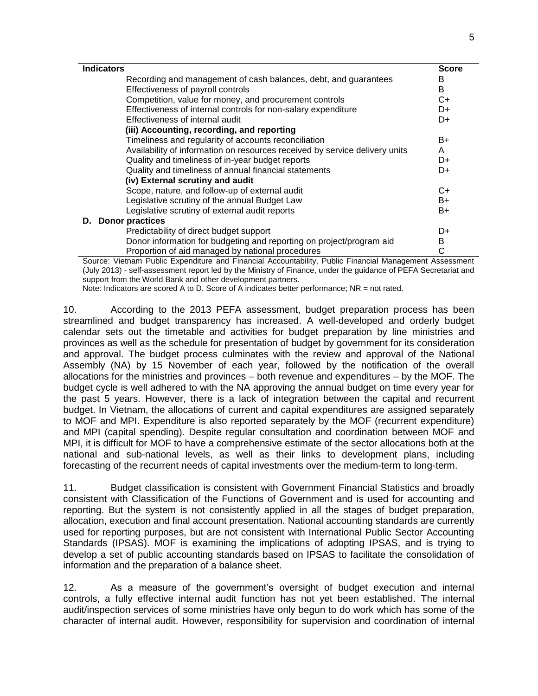| <b>Indicators</b>                                                           | <b>Score</b> |
|-----------------------------------------------------------------------------|--------------|
| Recording and management of cash balances, debt, and guarantees             | в            |
| Effectiveness of payroll controls                                           | B            |
| Competition, value for money, and procurement controls                      | C+           |
| Effectiveness of internal controls for non-salary expenditure               | D+           |
| Effectiveness of internal audit                                             | D+           |
| (iii) Accounting, recording, and reporting                                  |              |
| Timeliness and regularity of accounts reconciliation                        | B+           |
| Availability of information on resources received by service delivery units | A            |
| Quality and timeliness of in-year budget reports                            | D+           |
| Quality and timeliness of annual financial statements                       | D+           |
| (iv) External scrutiny and audit                                            |              |
| Scope, nature, and follow-up of external audit                              | $C+$         |
| Legislative scrutiny of the annual Budget Law                               | B+           |
| Legislative scrutiny of external audit reports                              | B+           |
| <b>D.</b> Donor practices                                                   |              |
| Predictability of direct budget support                                     | D+           |
| Donor information for budgeting and reporting on project/program aid        | B            |
| Proportion of aid managed by national procedures                            | С            |

Source: Vietnam Public Expenditure and Financial Accountability, Public Financial Management Assessment (July 2013) - self-assessment report led by the Ministry of Finance, under the guidance of PEFA Secretariat and support from the World Bank and other development partners.

Note: Indicators are scored A to D. Score of A indicates better performance; NR = not rated.

10. According to the 2013 PEFA assessment, budget preparation process has been streamlined and budget transparency has increased. A well-developed and orderly budget calendar sets out the timetable and activities for budget preparation by line ministries and provinces as well as the schedule for presentation of budget by government for its consideration and approval. The budget process culminates with the review and approval of the National Assembly (NA) by 15 November of each year, followed by the notification of the overall allocations for the ministries and provinces – both revenue and expenditures – by the MOF. The budget cycle is well adhered to with the NA approving the annual budget on time every year for the past 5 years. However, there is a lack of integration between the capital and recurrent budget. In Vietnam, the allocations of current and capital expenditures are assigned separately to MOF and MPI. Expenditure is also reported separately by the MOF (recurrent expenditure) and MPI (capital spending). Despite regular consultation and coordination between MOF and MPI, it is difficult for MOF to have a comprehensive estimate of the sector allocations both at the national and sub-national levels, as well as their links to development plans, including forecasting of the recurrent needs of capital investments over the medium-term to long-term.

11. Budget classification is consistent with Government Financial Statistics and broadly consistent with Classification of the Functions of Government and is used for accounting and reporting. But the system is not consistently applied in all the stages of budget preparation, allocation, execution and final account presentation. National accounting standards are currently used for reporting purposes, but are not consistent with International Public Sector Accounting Standards (IPSAS). MOF is examining the implications of adopting IPSAS, and is trying to develop a set of public accounting standards based on IPSAS to facilitate the consolidation of information and the preparation of a balance sheet.

12. As a measure of the government's oversight of budget execution and internal controls, a fully effective internal audit function has not yet been established. The internal audit/inspection services of some ministries have only begun to do work which has some of the character of internal audit. However, responsibility for supervision and coordination of internal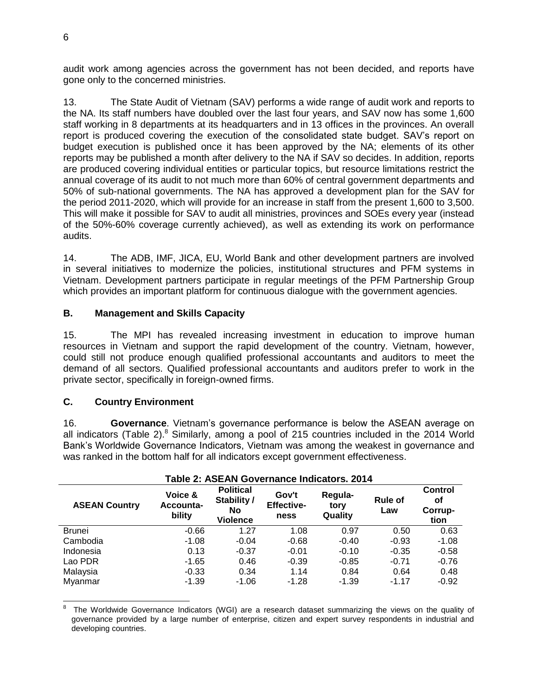audit work among agencies across the government has not been decided, and reports have gone only to the concerned ministries.

13. The State Audit of Vietnam (SAV) performs a wide range of audit work and reports to the NA. Its staff numbers have doubled over the last four years, and SAV now has some 1,600 staff working in 8 departments at its headquarters and in 13 offices in the provinces. An overall report is produced covering the execution of the consolidated state budget. SAV's report on budget execution is published once it has been approved by the NA; elements of its other reports may be published a month after delivery to the NA if SAV so decides. In addition, reports are produced covering individual entities or particular topics, but resource limitations restrict the annual coverage of its audit to not much more than 60% of central government departments and 50% of sub-national governments. The NA has approved a development plan for the SAV for the period 2011-2020, which will provide for an increase in staff from the present 1,600 to 3,500. This will make it possible for SAV to audit all ministries, provinces and SOEs every year (instead of the 50%-60% coverage currently achieved), as well as extending its work on performance audits.

14. The ADB, IMF, JICA, EU, World Bank and other development partners are involved in several initiatives to modernize the policies, institutional structures and PFM systems in Vietnam. Development partners participate in regular meetings of the PFM Partnership Group which provides an important platform for continuous dialogue with the government agencies.

# <span id="page-7-0"></span>**B. Management and Skills Capacity**

15. The MPI has revealed increasing investment in education to improve human resources in Vietnam and support the rapid development of the country. Vietnam, however, could still not produce enough qualified professional accountants and auditors to meet the demand of all sectors. Qualified professional accountants and auditors prefer to work in the private sector, specifically in foreign-owned firms.

# <span id="page-7-1"></span>**C. Country Environment**

16. **Governance**. Vietnam's governance performance is below the ASEAN average on all indicators (Table 2). $8$  Similarly, among a pool of 215 countries included in the 2014 World Bank's Worldwide Governance Indicators, Vietnam was among the weakest in governance and was ranked in the bottom half for all indicators except government effectiveness.

| Table 2: ASEAN Governance Indicators. 2014 |                                |                                                          |                                    |                            |                       |                                         |  |  |
|--------------------------------------------|--------------------------------|----------------------------------------------------------|------------------------------------|----------------------------|-----------------------|-----------------------------------------|--|--|
| <b>ASEAN Country</b>                       | Voice &<br>Accounta-<br>bility | <b>Political</b><br>Stability /<br>No<br><b>Violence</b> | Gov't<br><b>Effective-</b><br>ness | Regula-<br>tory<br>Quality | <b>Rule of</b><br>Law | <b>Control</b><br>οf<br>Corrup-<br>tion |  |  |
| <b>Brunei</b>                              | $-0.66$                        | 1.27                                                     | 1.08                               | 0.97                       | 0.50                  | 0.63                                    |  |  |
| Cambodia                                   | $-1.08$                        | $-0.04$                                                  | $-0.68$                            | $-0.40$                    | $-0.93$               | $-1.08$                                 |  |  |
| Indonesia                                  | 0.13                           | $-0.37$                                                  | $-0.01$                            | $-0.10$                    | $-0.35$               | $-0.58$                                 |  |  |
| Lao PDR                                    | $-1.65$                        | 0.46                                                     | $-0.39$                            | $-0.85$                    | $-0.71$               | $-0.76$                                 |  |  |
| Malaysia                                   | $-0.33$                        | 0.34                                                     | 1.14                               | 0.84                       | 0.64                  | 0.48                                    |  |  |
| Myanmar                                    | $-1.39$                        | $-1.06$                                                  | $-1.28$                            | $-1.39$                    | $-1.17$               | $-0.92$                                 |  |  |

 8 The Worldwide Governance Indicators (WGI) are a research dataset summarizing the views on the quality of governance provided by a large number of enterprise, citizen and expert survey respondents in industrial and developing countries.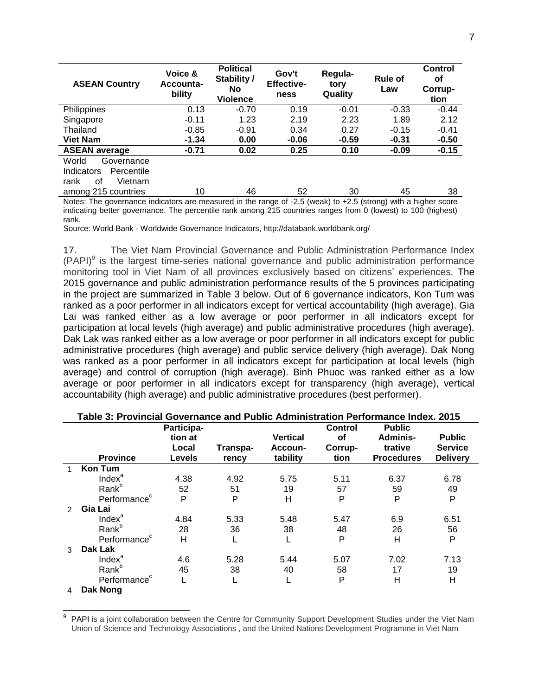| <b>ASEAN Country</b>     | Voice &<br>Accounta-<br>bility                                                                                 | <b>Political</b><br>Stability /<br><b>No</b><br><b>Violence</b> | Gov't<br><b>Effective-</b><br>ness | Regula-<br>tory<br>Quality | <b>Rule of</b><br>Law | <b>Control</b><br>οf<br>Corrup-<br>tion |  |  |  |
|--------------------------|----------------------------------------------------------------------------------------------------------------|-----------------------------------------------------------------|------------------------------------|----------------------------|-----------------------|-----------------------------------------|--|--|--|
| Philippines              | 0.13                                                                                                           | $-0.70$                                                         | 0.19                               | $-0.01$                    | $-0.33$               | $-0.44$                                 |  |  |  |
| Singapore                | $-0.11$                                                                                                        | 1.23                                                            | 2.19                               | 2.23                       | 1.89                  | 2.12                                    |  |  |  |
| Thailand                 | $-0.85$                                                                                                        | $-0.91$                                                         | 0.34                               | 0.27                       | $-0.15$               | $-0.41$                                 |  |  |  |
| <b>Viet Nam</b>          | $-1.34$                                                                                                        | 0.00                                                            | $-0.06$                            | $-0.59$                    | $-0.31$               | $-0.50$                                 |  |  |  |
| <b>ASEAN average</b>     | $-0.71$                                                                                                        | 0.02                                                            | 0.25                               | 0.10                       | $-0.09$               | $-0.15$                                 |  |  |  |
| World<br>Governance      |                                                                                                                |                                                                 |                                    |                            |                       |                                         |  |  |  |
| Indicators<br>Percentile |                                                                                                                |                                                                 |                                    |                            |                       |                                         |  |  |  |
| οf<br>Vietnam<br>rank    |                                                                                                                |                                                                 |                                    |                            |                       |                                         |  |  |  |
| among 215 countries      | 10                                                                                                             | 46                                                              | 52                                 | 30                         | 45                    | 38                                      |  |  |  |
|                          | Notes: The governance indicators are measured in the range of -2.5 (weak) to +2.5 (strong) with a higher score |                                                                 |                                    |                            |                       |                                         |  |  |  |

indicating better governance. The percentile rank among 215 countries ranges from 0 (lowest) to 100 (highest) rank.

Source: World Bank - Worldwide Governance Indicators, http://databank.worldbank.org/

17. The Viet Nam Provincial Governance and Public Administration Performance Index  $(PAPI)^9$  is the largest time-series national governance and public administration performance monitoring tool in Viet Nam of all provinces exclusively based on citizens' experiences. The 2015 governance and public administration performance results of the 5 provinces participating in the project are summarized in Table 3 below. Out of 6 governance indicators, Kon Tum was ranked as a poor performer in all indicators except for vertical accountability (high average). Gia Lai was ranked either as a low average or poor performer in all indicators except for participation at local levels (high average) and public administrative procedures (high average). Dak Lak was ranked either as a low average or poor performer in all indicators except for public administrative procedures (high average) and public service delivery (high average). Dak Nong was ranked as a poor performer in all indicators except for participation at local levels (high average) and control of corruption (high average). Binh Phuoc was ranked either as a low average or poor performer in all indicators except for transparency (high average), vertical accountability (high average) and public administrative procedures (best performer).

|   | Table 3: Provincial Governance and Public Administration Performance Index. 2015 |               |          |                 |                |                   |                 |  |
|---|----------------------------------------------------------------------------------|---------------|----------|-----------------|----------------|-------------------|-----------------|--|
|   |                                                                                  | Participa-    |          |                 | <b>Control</b> | <b>Public</b>     |                 |  |
|   |                                                                                  | tion at       |          | <b>Vertical</b> | Οf             | Adminis-          | <b>Public</b>   |  |
|   |                                                                                  | Local         | Transpa- | Accoun-         | Corrup-        | trative           | <b>Service</b>  |  |
|   | <b>Province</b>                                                                  | <b>Levels</b> | rency    | tability        | tion           | <b>Procedures</b> | <b>Delivery</b> |  |
|   | <b>Kon Tum</b>                                                                   |               |          |                 |                |                   |                 |  |
|   | Index <sup>a</sup>                                                               | 4.38          | 4.92     | 5.75            | 5.11           | 6.37              | 6.78            |  |
|   | Rank <sup>b</sup>                                                                | 52            | 51       | 19              | 57             | 59                | 49              |  |
|   | Performance <sup>c</sup>                                                         | P             | P        | н               | P              | P                 | P               |  |
| 2 | Gia Lai                                                                          |               |          |                 |                |                   |                 |  |
|   | Index <sup>a</sup>                                                               | 4.84          | 5.33     | 5.48            | 5.47           | 6.9               | 6.51            |  |
|   | Rank <sup>b</sup>                                                                | 28            | 36       | 38              | 48             | 26                | 56              |  |
|   | Performance <sup>c</sup>                                                         | Н             |          | L               | P              | H                 | P               |  |
| 3 | Dak Lak                                                                          |               |          |                 |                |                   |                 |  |
|   | Index <sup>a</sup>                                                               | 4.6           | 5.28     | 5.44            | 5.07           | 7.02              | 7.13            |  |
|   | Rank <sup>b</sup>                                                                | 45            | 38       | 40              | 58             | 17                | 19              |  |
|   | Performance <sup>c</sup>                                                         |               |          |                 | P              | н                 | H               |  |
| 4 | Dak Nong                                                                         |               |          |                 |                |                   |                 |  |

<sup>9</sup> PAPI is a joint collaboration between the Centre for Community Support Development Studies under the Viet Nam Union of Science and Technology Associations , and the United Nations Development Programme in Viet Nam

 $\overline{a}$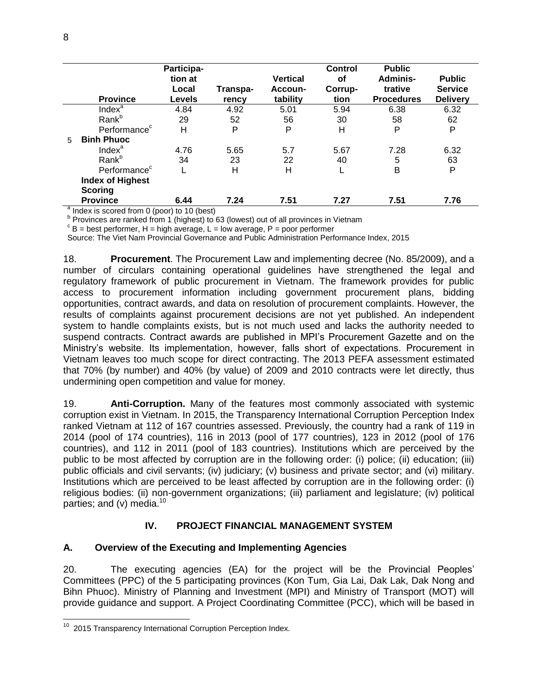|                          | <b>Province</b>          | Participa-<br>tion at<br>Local<br><b>Levels</b> | Transpa-<br>rency | <b>Vertical</b><br>Accoun-<br>tability | <b>Control</b><br><b>of</b><br>Corrup-<br>tion | <b>Public</b><br>Adminis-<br>trative<br><b>Procedures</b> | <b>Public</b><br><b>Service</b><br><b>Delivery</b> |
|--------------------------|--------------------------|-------------------------------------------------|-------------------|----------------------------------------|------------------------------------------------|-----------------------------------------------------------|----------------------------------------------------|
|                          | Index <sup>a</sup>       | 4.84                                            | 4.92              | 5.01                                   | 5.94                                           | 6.38                                                      | 6.32                                               |
|                          | Rank <sup>b</sup>        | 29                                              | 52                | 56                                     | 30                                             | 58                                                        | 62                                                 |
|                          | Performance <sup>c</sup> | H                                               | P                 | P                                      | Η                                              | P                                                         | P                                                  |
| $5^{\circ}$              | <b>Binh Phuoc</b>        |                                                 |                   |                                        |                                                |                                                           |                                                    |
|                          | Index <sup>a</sup>       | 4.76                                            | 5.65              | 5.7                                    | 5.67                                           | 7.28                                                      | 6.32                                               |
|                          | Rank <sup>b</sup>        | 34                                              | 23                | 22                                     | 40                                             | 5                                                         | 63                                                 |
|                          | Performance <sup>c</sup> |                                                 | н                 | Н                                      |                                                | B                                                         | P                                                  |
|                          | <b>Index of Highest</b>  |                                                 |                   |                                        |                                                |                                                           |                                                    |
|                          | <b>Scoring</b>           |                                                 |                   |                                        |                                                |                                                           |                                                    |
| $\overline{\phantom{0}}$ | <b>Province</b>          | 6.44                                            | 7.24              | 7.51                                   | 7.27                                           | 7.51                                                      | 7.76                                               |

<sup>a</sup> Index is scored from 0 (poor) to 10 (best)

<sup>b</sup> Provinces are ranked from 1 (highest) to 63 (lowest) out of all provinces in Vietnam

 $\textdegree$  B = best performer, H = high average, L = low average, P = poor performer

Source: The Viet Nam Provincial Governance and Public Administration Performance Index, 2015

18. **Procurement**. The Procurement Law and implementing decree (No. 85/2009), and a number of circulars containing operational guidelines have strengthened the legal and regulatory framework of public procurement in Vietnam. The framework provides for public access to procurement information including government procurement plans, bidding opportunities, contract awards, and data on resolution of procurement complaints. However, the results of complaints against procurement decisions are not yet published. An independent system to handle complaints exists, but is not much used and lacks the authority needed to suspend contracts. Contract awards are published in MPI's Procurement Gazette and on the Ministry's website. Its implementation, however, falls short of expectations. Procurement in Vietnam leaves too much scope for direct contracting. The 2013 PEFA assessment estimated that 70% (by number) and 40% (by value) of 2009 and 2010 contracts were let directly, thus undermining open competition and value for money.

19. **Anti-Corruption.** Many of the features most commonly associated with systemic corruption exist in Vietnam. In 2015, the Transparency International Corruption Perception Index ranked Vietnam at 112 of 167 countries assessed. Previously, the country had a rank of 119 in 2014 (pool of 174 countries), 116 in 2013 (pool of 177 countries), 123 in 2012 (pool of 176 countries), and 112 in 2011 (pool of 183 countries). Institutions which are perceived by the public to be most affected by corruption are in the following order: (i) police; (ii) education; (iii) public officials and civil servants; (iv) judiciary; (v) business and private sector; and (vi) military. Institutions which are perceived to be least affected by corruption are in the following order: (i) religious bodies: (ii) non-government organizations; (iii) parliament and legislature; (iv) political parties; and (v) media.<sup>10</sup>

# **IV. PROJECT FINANCIAL MANAGEMENT SYSTEM**

# <span id="page-9-1"></span><span id="page-9-0"></span>**A. Overview of the Executing and Implementing Agencies**

20. The executing agencies (EA) for the project will be the Provincial Peoples' Committees (PPC) of the 5 participating provinces (Kon Tum, Gia Lai, Dak Lak, Dak Nong and Bihn Phuoc). Ministry of Planning and Investment (MPI) and Ministry of Transport (MOT) will provide guidance and support. A Project Coordinating Committee (PCC), which will be based in

 <sup>10</sup> 2015 Transparency International Corruption Perception Index.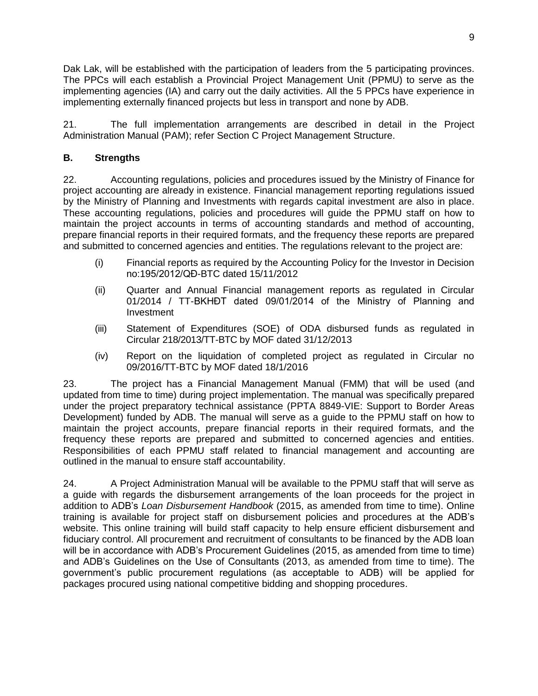Dak Lak, will be established with the participation of leaders from the 5 participating provinces. The PPCs will each establish a Provincial Project Management Unit (PPMU) to serve as the implementing agencies (IA) and carry out the daily activities. All the 5 PPCs have experience in implementing externally financed projects but less in transport and none by ADB.

21. The full implementation arrangements are described in detail in the Project Administration Manual (PAM); refer Section C Project Management Structure.

# <span id="page-10-0"></span>**B. Strengths**

22. Accounting regulations, policies and procedures issued by the Ministry of Finance for project accounting are already in existence. Financial management reporting regulations issued by the Ministry of Planning and Investments with regards capital investment are also in place. These accounting regulations, policies and procedures will guide the PPMU staff on how to maintain the project accounts in terms of accounting standards and method of accounting, prepare financial reports in their required formats, and the frequency these reports are prepared and submitted to concerned agencies and entities. The regulations relevant to the project are:

- (i) Financial reports as required by the Accounting Policy for the Investor in Decision no:195/2012/QĐ-BTC dated 15/11/2012
- (ii) Quarter and Annual Financial management reports as regulated in Circular 01/2014 / TT-BKHĐT dated 09/01/2014 of the Ministry of Planning and Investment
- (iii) Statement of Expenditures (SOE) of ODA disbursed funds as regulated in Circular 218/2013/TT-BTC by MOF dated 31/12/2013
- (iv) Report on the liquidation of completed project as regulated in Circular no 09/2016/TT-BTC by MOF dated 18/1/2016

23. The project has a Financial Management Manual (FMM) that will be used (and updated from time to time) during project implementation. The manual was specifically prepared under the project preparatory technical assistance (PPTA 8849-VIE: Support to Border Areas Development) funded by ADB. The manual will serve as a guide to the PPMU staff on how to maintain the project accounts, prepare financial reports in their required formats, and the frequency these reports are prepared and submitted to concerned agencies and entities. Responsibilities of each PPMU staff related to financial management and accounting are outlined in the manual to ensure staff accountability.

24. A Project Administration Manual will be available to the PPMU staff that will serve as a guide with regards the disbursement arrangements of the loan proceeds for the project in addition to ADB's *Loan Disbursement Handbook* (2015, as amended from time to time). Online training is available for project staff on disbursement policies and procedures at the ADB's website. This online training will build staff capacity to help ensure efficient disbursement and fiduciary control. All procurement and recruitment of consultants to be financed by the ADB loan will be in accordance with ADB's Procurement Guidelines (2015, as amended from time to time) and ADB's Guidelines on the Use of Consultants (2013, as amended from time to time). The government's public procurement regulations (as acceptable to ADB) will be applied for packages procured using national competitive bidding and shopping procedures.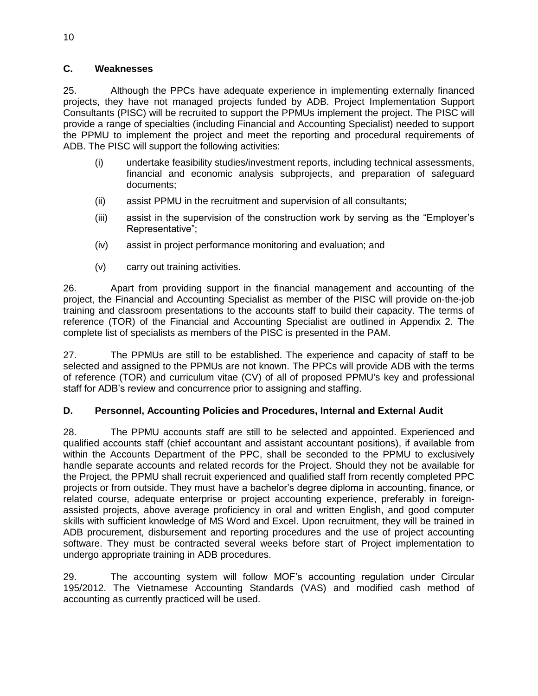## <span id="page-11-0"></span>**C. Weaknesses**

25. Although the PPCs have adequate experience in implementing externally financed projects, they have not managed projects funded by ADB. Project Implementation Support Consultants (PISC) will be recruited to support the PPMUs implement the project. The PISC will provide a range of specialties (including Financial and Accounting Specialist) needed to support the PPMU to implement the project and meet the reporting and procedural requirements of ADB. The PISC will support the following activities:

- (i) undertake feasibility studies/investment reports, including technical assessments, financial and economic analysis subprojects, and preparation of safeguard documents;
- (ii) assist PPMU in the recruitment and supervision of all consultants;
- (iii) assist in the supervision of the construction work by serving as the "Employer's Representative";
- (iv) assist in project performance monitoring and evaluation; and
- (v) carry out training activities.

26. Apart from providing support in the financial management and accounting of the project, the Financial and Accounting Specialist as member of the PISC will provide on-the-job training and classroom presentations to the accounts staff to build their capacity. The terms of reference (TOR) of the Financial and Accounting Specialist are outlined in Appendix 2. The complete list of specialists as members of the PISC is presented in the PAM.

27. The PPMUs are still to be established. The experience and capacity of staff to be selected and assigned to the PPMUs are not known. The PPCs will provide ADB with the terms of reference (TOR) and curriculum vitae (CV) of all of proposed PPMU's key and professional staff for ADB's review and concurrence prior to assigning and staffing.

# <span id="page-11-1"></span>**D. Personnel, Accounting Policies and Procedures, Internal and External Audit**

28. The PPMU accounts staff are still to be selected and appointed. Experienced and qualified accounts staff (chief accountant and assistant accountant positions), if available from within the Accounts Department of the PPC, shall be seconded to the PPMU to exclusively handle separate accounts and related records for the Project. Should they not be available for the Project, the PPMU shall recruit experienced and qualified staff from recently completed PPC projects or from outside. They must have a bachelor's degree diploma in accounting, finance, or related course, adequate enterprise or project accounting experience, preferably in foreignassisted projects, above average proficiency in oral and written English, and good computer skills with sufficient knowledge of MS Word and Excel. Upon recruitment, they will be trained in ADB procurement, disbursement and reporting procedures and the use of project accounting software. They must be contracted several weeks before start of Project implementation to undergo appropriate training in ADB procedures.

29. The accounting system will follow MOF's accounting regulation under Circular 195/2012. The Vietnamese Accounting Standards (VAS) and modified cash method of accounting as currently practiced will be used.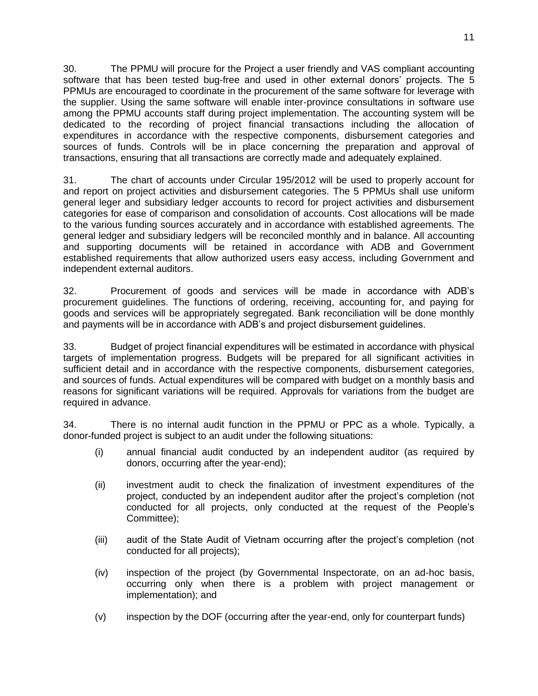30. The PPMU will procure for the Project a user friendly and VAS compliant accounting software that has been tested bug-free and used in other external donors' projects. The 5 PPMUs are encouraged to coordinate in the procurement of the same software for leverage with the supplier. Using the same software will enable inter-province consultations in software use among the PPMU accounts staff during project implementation. The accounting system will be dedicated to the recording of project financial transactions including the allocation of expenditures in accordance with the respective components, disbursement categories and sources of funds. Controls will be in place concerning the preparation and approval of transactions, ensuring that all transactions are correctly made and adequately explained.

31. The chart of accounts under Circular 195/2012 will be used to properly account for and report on project activities and disbursement categories. The 5 PPMUs shall use uniform general leger and subsidiary ledger accounts to record for project activities and disbursement categories for ease of comparison and consolidation of accounts. Cost allocations will be made to the various funding sources accurately and in accordance with established agreements. The general ledger and subsidiary ledgers will be reconciled monthly and in balance. All accounting and supporting documents will be retained in accordance with ADB and Government established requirements that allow authorized users easy access, including Government and independent external auditors.

32. Procurement of goods and services will be made in accordance with ADB's procurement guidelines. The functions of ordering, receiving, accounting for, and paying for goods and services will be appropriately segregated. Bank reconciliation will be done monthly and payments will be in accordance with ADB's and project disbursement guidelines.

33. Budget of project financial expenditures will be estimated in accordance with physical targets of implementation progress. Budgets will be prepared for all significant activities in sufficient detail and in accordance with the respective components, disbursement categories, and sources of funds. Actual expenditures will be compared with budget on a monthly basis and reasons for significant variations will be required. Approvals for variations from the budget are required in advance.

34. There is no internal audit function in the PPMU or PPC as a whole. Typically, a donor-funded project is subject to an audit under the following situations:

- (i) annual financial audit conducted by an independent auditor (as required by donors, occurring after the year-end);
- (ii) investment audit to check the finalization of investment expenditures of the project, conducted by an independent auditor after the project's completion (not conducted for all projects, only conducted at the request of the People's Committee);
- (iii) audit of the State Audit of Vietnam occurring after the project's completion (not conducted for all projects);
- (iv) inspection of the project (by Governmental Inspectorate, on an ad-hoc basis, occurring only when there is a problem with project management or implementation); and
- (v) inspection by the DOF (occurring after the year-end, only for counterpart funds)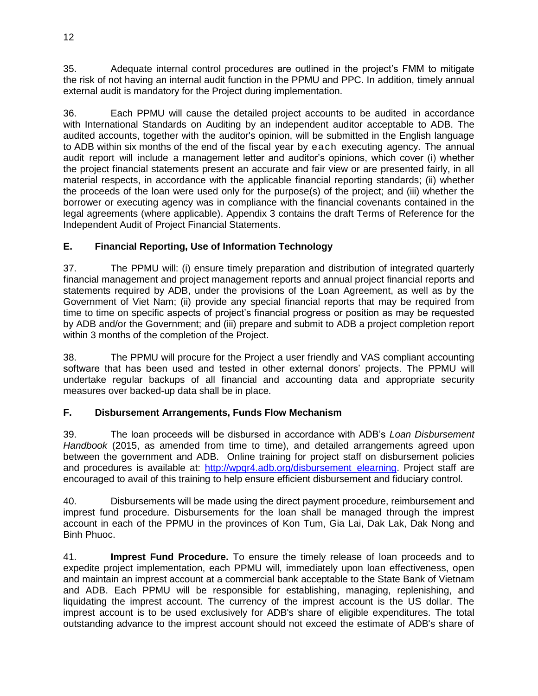35. Adequate internal control procedures are outlined in the project's FMM to mitigate the risk of not having an internal audit function in the PPMU and PPC. In addition, timely annual external audit is mandatory for the Project during implementation.

36. Each PPMU will cause the detailed project accounts to be audited in accordance with International Standards on Auditing by an independent auditor acceptable to ADB. The audited accounts, together with the auditor's opinion, will be submitted in the English language to ADB within six months of the end of the fiscal year by each executing agency. The annual audit report will include a management letter and auditor's opinions, which cover (i) whether the project financial statements present an accurate and fair view or are presented fairly, in all material respects, in accordance with the applicable financial reporting standards; (ii) whether the proceeds of the loan were used only for the purpose(s) of the project; and (iii) whether the borrower or executing agency was in compliance with the financial covenants contained in the legal agreements (where applicable). Appendix 3 contains the draft Terms of Reference for the Independent Audit of Project Financial Statements.

# <span id="page-13-0"></span>**E. Financial Reporting, Use of Information Technology**

37. The PPMU will: (i) ensure timely preparation and distribution of integrated quarterly financial management and project management reports and annual project financial reports and statements required by ADB, under the provisions of the Loan Agreement, as well as by the Government of Viet Nam; (ii) provide any special financial reports that may be required from time to time on specific aspects of project's financial progress or position as may be requested by ADB and/or the Government; and (iii) prepare and submit to ADB a project completion report within 3 months of the completion of the Project.

38. The PPMU will procure for the Project a user friendly and VAS compliant accounting software that has been used and tested in other external donors' projects. The PPMU will undertake regular backups of all financial and accounting data and appropriate security measures over backed-up data shall be in place.

# <span id="page-13-1"></span>**F. Disbursement Arrangements, Funds Flow Mechanism**

39. The loan proceeds will be disbursed in accordance with ADB's *Loan Disbursement Handbook* (2015, as amended from time to time), and detailed arrangements agreed upon between the government and ADB. Online training for project staff on disbursement policies and procedures is available at: http://wpqr4.adb.org/disbursement elearning. Project staff are encouraged to avail of this training to help ensure efficient disbursement and fiduciary control.

40. Disbursements will be made using the direct payment procedure, reimbursement and imprest fund procedure. Disbursements for the loan shall be managed through the imprest account in each of the PPMU in the provinces of Kon Tum, Gia Lai, Dak Lak, Dak Nong and Binh Phuoc.

41. **Imprest Fund Procedure.** To ensure the timely release of loan proceeds and to expedite project implementation, each PPMU will, immediately upon loan effectiveness, open and maintain an imprest account at a commercial bank acceptable to the State Bank of Vietnam and ADB. Each PPMU will be responsible for establishing, managing, replenishing, and liquidating the imprest account. The currency of the imprest account is the US dollar. The imprest account is to be used exclusively for ADB's share of eligible expenditures. The total outstanding advance to the imprest account should not exceed the estimate of ADB's share of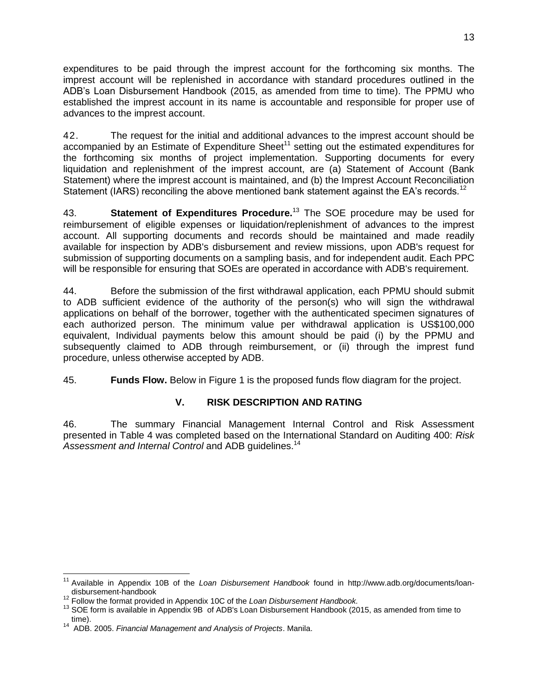expenditures to be paid through the imprest account for the forthcoming six months. The imprest account will be replenished in accordance with standard procedures outlined in the ADB's Loan Disbursement Handbook (2015, as amended from time to time). The PPMU who established the imprest account in its name is accountable and responsible for proper use of advances to the imprest account.

42. The request for the initial and additional advances to the imprest account should be accompanied by an Estimate of Expenditure Sheet<sup>11</sup> setting out the estimated expenditures for the forthcoming six months of project implementation. Supporting documents for every liquidation and replenishment of the imprest account, are (a) Statement of Account (Bank Statement) where the imprest account is maintained, and (b) the Imprest Account Reconciliation Statement (IARS) reconciling the above mentioned bank statement against the EA's records.<sup>12</sup>

43. **Statement of Expenditures Procedure.**<sup>13</sup> The SOE procedure may be used for reimbursement of eligible expenses or liquidation/replenishment of advances to the imprest account. All supporting documents and records should be maintained and made readily available for inspection by ADB's disbursement and review missions, upon ADB's request for submission of supporting documents on a sampling basis, and for independent audit. Each PPC will be responsible for ensuring that SOEs are operated in accordance with ADB's requirement.

44. Before the submission of the first withdrawal application, each PPMU should submit to ADB sufficient evidence of the authority of the person(s) who will sign the withdrawal applications on behalf of the borrower, together with the authenticated specimen signatures of each authorized person. The minimum value per withdrawal application is US\$100,000 equivalent, Individual payments below this amount should be paid (i) by the PPMU and subsequently claimed to ADB through reimbursement, or (ii) through the imprest fund procedure, unless otherwise accepted by ADB.

45. **Funds Flow.** Below in Figure 1 is the proposed funds flow diagram for the project.

# **V. RISK DESCRIPTION AND RATING**

<span id="page-14-0"></span>46. The summary Financial Management Internal Control and Risk Assessment presented in Table 4 was completed based on the International Standard on Auditing 400: *Risk*  Assessment and Internal Control and ADB quidelines.<sup>14</sup>

 <sup>11</sup> Available in Appendix 10B of the *Loan Disbursement Handbook* found in http://www.adb.org/documents/loandisbursement-handbook

<sup>12</sup> Follow the format provided in Appendix 10C of the *Loan Disbursement Handbook.*

<sup>&</sup>lt;sup>13</sup> SOE form is available in Appendix 9B of ADB's Loan Disbursement Handbook (2015, as amended from time to

time). 14 ADB. 2005. *Financial Management and Analysis of Projects*. Manila.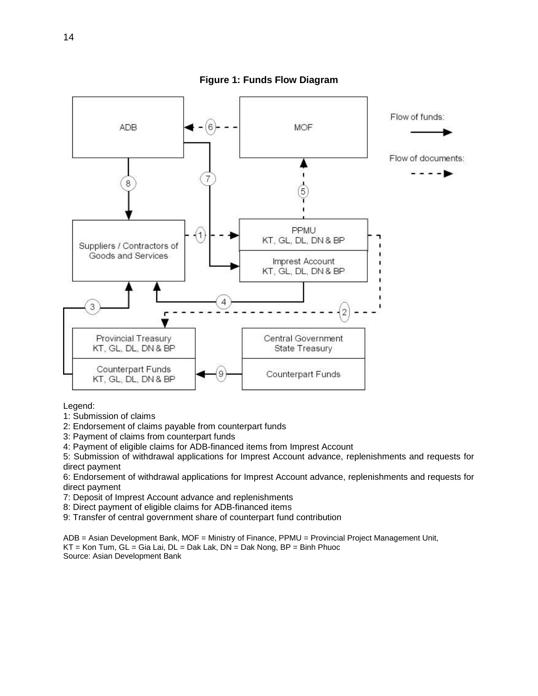

**Figure 1: Funds Flow Diagram**

Legend:

1: Submission of claims

2: Endorsement of claims payable from counterpart funds

3: Payment of claims from counterpart funds

4: Payment of eligible claims for ADB-financed items from Imprest Account

5: Submission of withdrawal applications for Imprest Account advance, replenishments and requests for direct payment

6: Endorsement of withdrawal applications for Imprest Account advance, replenishments and requests for direct payment

7: Deposit of Imprest Account advance and replenishments

- 8: Direct payment of eligible claims for ADB-financed items
- 9: Transfer of central government share of counterpart fund contribution

ADB = Asian Development Bank, MOF = Ministry of Finance, PPMU = Provincial Project Management Unit, KT = Kon Tum, GL = Gia Lai, DL = Dak Lak, DN = Dak Nong, BP = Binh Phuoc Source: Asian Development Bank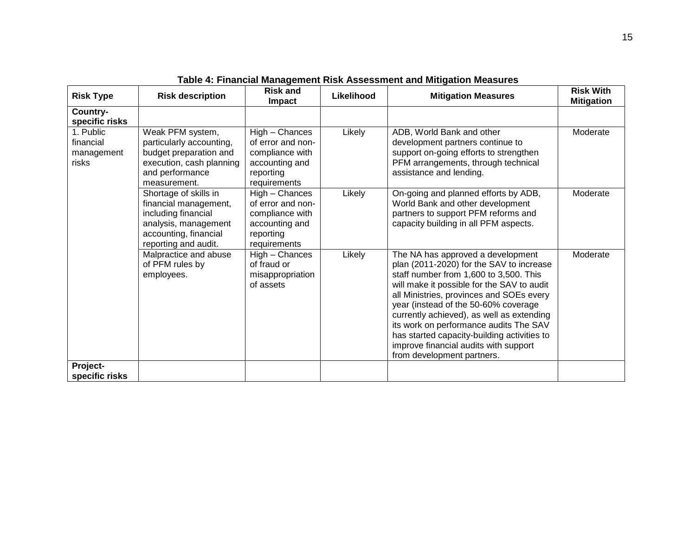| <b>Risk Type</b>                              | <b>Risk description</b>                                                                                                                        | <b>Risk and</b><br><b>Impact</b>                                                                      | Likelihood | <b>Mitigation Measures</b>                                                                                                                                                                                                                                                                                                                                                                                                                                             | <b>Risk With</b><br><b>Mitigation</b> |
|-----------------------------------------------|------------------------------------------------------------------------------------------------------------------------------------------------|-------------------------------------------------------------------------------------------------------|------------|------------------------------------------------------------------------------------------------------------------------------------------------------------------------------------------------------------------------------------------------------------------------------------------------------------------------------------------------------------------------------------------------------------------------------------------------------------------------|---------------------------------------|
| Country-<br>specific risks                    |                                                                                                                                                |                                                                                                       |            |                                                                                                                                                                                                                                                                                                                                                                                                                                                                        |                                       |
| 1. Public<br>financial<br>management<br>risks | Weak PFM system,<br>particularly accounting,<br>budget preparation and<br>execution, cash planning<br>and performance<br>measurement.          | High - Chances<br>of error and non-<br>compliance with<br>accounting and<br>reporting<br>requirements | Likely     | ADB, World Bank and other<br>development partners continue to<br>support on-going efforts to strengthen<br>PFM arrangements, through technical<br>assistance and lending.                                                                                                                                                                                                                                                                                              | Moderate                              |
|                                               | Shortage of skills in<br>financial management,<br>including financial<br>analysis, management<br>accounting, financial<br>reporting and audit. | High - Chances<br>of error and non-<br>compliance with<br>accounting and<br>reporting<br>requirements | Likely     | On-going and planned efforts by ADB,<br>World Bank and other development<br>partners to support PFM reforms and<br>capacity building in all PFM aspects.                                                                                                                                                                                                                                                                                                               | Moderate                              |
|                                               | Malpractice and abuse<br>of PFM rules by<br>employees.                                                                                         | High - Chances<br>of fraud or<br>misappropriation<br>of assets                                        | Likely     | The NA has approved a development<br>plan (2011-2020) for the SAV to increase<br>staff number from 1,600 to 3,500. This<br>will make it possible for the SAV to audit<br>all Ministries, provinces and SOEs every<br>year (instead of the 50-60% coverage<br>currently achieved), as well as extending<br>its work on performance audits The SAV<br>has started capacity-building activities to<br>improve financial audits with support<br>from development partners. | Moderate                              |
| Project-<br>specific risks                    |                                                                                                                                                |                                                                                                       |            |                                                                                                                                                                                                                                                                                                                                                                                                                                                                        |                                       |

**Table 4: Financial Management Risk Assessment and Mitigation Measures**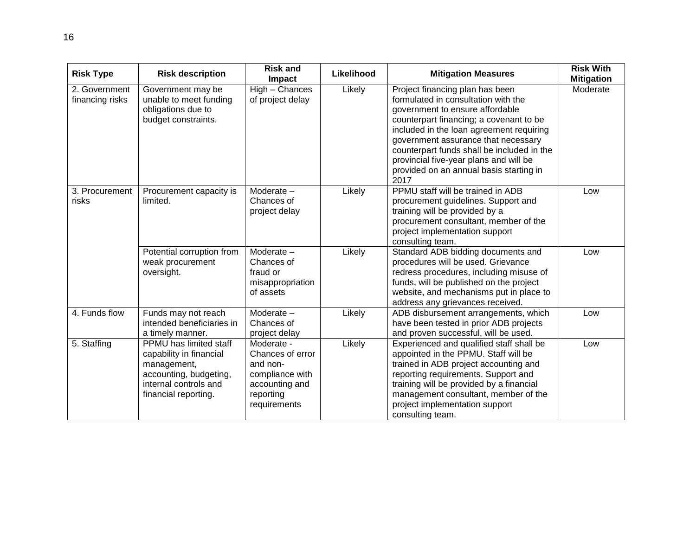| <b>Risk Type</b>                 | <b>Risk description</b>                                                                                                                            | <b>Risk and</b><br><b>Impact</b>                                                                             | Likelihood | <b>Mitigation Measures</b>                                                                                                                                                                                                                                                                                                                                                         | <b>Risk With</b><br><b>Mitigation</b> |
|----------------------------------|----------------------------------------------------------------------------------------------------------------------------------------------------|--------------------------------------------------------------------------------------------------------------|------------|------------------------------------------------------------------------------------------------------------------------------------------------------------------------------------------------------------------------------------------------------------------------------------------------------------------------------------------------------------------------------------|---------------------------------------|
| 2. Government<br>financing risks | Government may be<br>unable to meet funding<br>obligations due to<br>budget constraints.                                                           | High - Chances<br>of project delay                                                                           | Likely     | Project financing plan has been<br>formulated in consultation with the<br>government to ensure affordable<br>counterpart financing; a covenant to be<br>included in the loan agreement requiring<br>government assurance that necessary<br>counterpart funds shall be included in the<br>provincial five-year plans and will be<br>provided on an annual basis starting in<br>2017 | Moderate                              |
| 3. Procurement<br>risks          | Procurement capacity is<br>limited.                                                                                                                | Moderate -<br>Chances of<br>project delay                                                                    | Likely     | PPMU staff will be trained in ADB<br>procurement guidelines. Support and<br>training will be provided by a<br>procurement consultant, member of the<br>project implementation support<br>consulting team.                                                                                                                                                                          | Low                                   |
|                                  | Potential corruption from<br>weak procurement<br>oversight.                                                                                        | Moderate -<br>Chances of<br>fraud or<br>misappropriation<br>of assets                                        | Likely     | Standard ADB bidding documents and<br>procedures will be used. Grievance<br>redress procedures, including misuse of<br>funds, will be published on the project<br>website, and mechanisms put in place to<br>address any grievances received.                                                                                                                                      | Low                                   |
| 4. Funds flow                    | Funds may not reach<br>intended beneficiaries in<br>a timely manner.                                                                               | Moderate -<br>Chances of<br>project delay                                                                    | Likely     | ADB disbursement arrangements, which<br>have been tested in prior ADB projects<br>and proven successful, will be used.                                                                                                                                                                                                                                                             | Low                                   |
| 5. Staffing                      | <b>PPMU</b> has limited staff<br>capability in financial<br>management,<br>accounting, budgeting,<br>internal controls and<br>financial reporting. | Moderate -<br>Chances of error<br>and non-<br>compliance with<br>accounting and<br>reporting<br>requirements | Likely     | Experienced and qualified staff shall be<br>appointed in the PPMU. Staff will be<br>trained in ADB project accounting and<br>reporting requirements. Support and<br>training will be provided by a financial<br>management consultant, member of the<br>project implementation support<br>consulting team.                                                                         | Low                                   |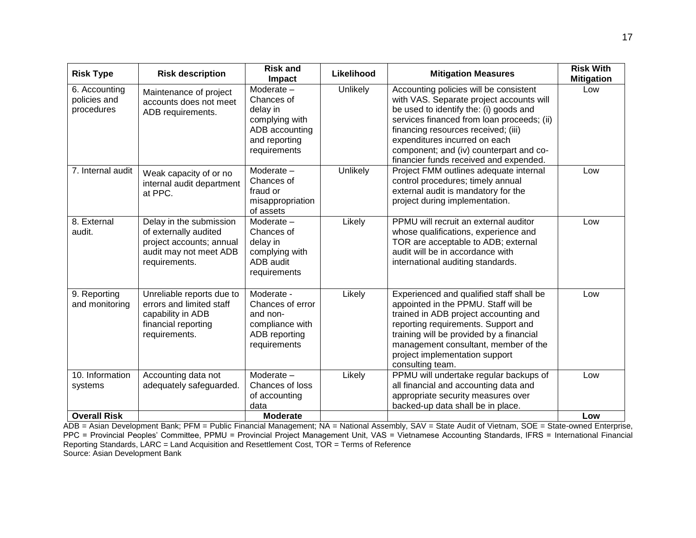| <b>Risk Type</b>                            | <b>Risk description</b>                                                                                                 | <b>Risk and</b><br>Impact                                                                                 | Likelihood      | <b>Mitigation Measures</b>                                                                                                                                                                                                                                                                                                              | <b>Risk With</b><br><b>Mitigation</b> |
|---------------------------------------------|-------------------------------------------------------------------------------------------------------------------------|-----------------------------------------------------------------------------------------------------------|-----------------|-----------------------------------------------------------------------------------------------------------------------------------------------------------------------------------------------------------------------------------------------------------------------------------------------------------------------------------------|---------------------------------------|
| 6. Accounting<br>policies and<br>procedures | Maintenance of project<br>accounts does not meet<br>ADB requirements.                                                   | Moderate -<br>Chances of<br>delay in<br>complying with<br>ADB accounting<br>and reporting<br>requirements | Unlikely        | Accounting policies will be consistent<br>with VAS. Separate project accounts will<br>be used to identify the: (i) goods and<br>services financed from loan proceeds; (ii)<br>financing resources received; (iii)<br>expenditures incurred on each<br>component; and (iv) counterpart and co-<br>financier funds received and expended. | Low                                   |
| 7. Internal audit                           | Weak capacity of or no<br>internal audit department<br>at PPC.                                                          | Moderate-<br>Chances of<br>fraud or<br>misappropriation<br>of assets                                      | <b>Unlikely</b> | Project FMM outlines adequate internal<br>control procedures; timely annual<br>external audit is mandatory for the<br>project during implementation.                                                                                                                                                                                    | Low                                   |
| 8. External<br>audit.                       | Delay in the submission<br>of externally audited<br>project accounts; annual<br>audit may not meet ADB<br>requirements. | Moderate -<br>Chances of<br>delay in<br>complying with<br>ADB audit<br>requirements                       | Likely          | PPMU will recruit an external auditor<br>whose qualifications, experience and<br>TOR are acceptable to ADB; external<br>audit will be in accordance with<br>international auditing standards.                                                                                                                                           | Low                                   |
| 9. Reporting<br>and monitoring              | Unreliable reports due to<br>errors and limited staff<br>capability in ADB<br>financial reporting<br>requirements.      | Moderate -<br>Chances of error<br>and non-<br>compliance with<br>ADB reporting<br>requirements            | Likely          | Experienced and qualified staff shall be<br>appointed in the PPMU. Staff will be<br>trained in ADB project accounting and<br>reporting requirements. Support and<br>training will be provided by a financial<br>management consultant, member of the<br>project implementation support<br>consulting team.                              | Low                                   |
| 10. Information<br>systems                  | Accounting data not<br>adequately safeguarded.                                                                          | Moderate-<br>Chances of loss<br>of accounting<br>data                                                     | Likely          | PPMU will undertake regular backups of<br>all financial and accounting data and<br>appropriate security measures over<br>backed-up data shall be in place.                                                                                                                                                                              | Low                                   |
| <b>Overall Risk</b>                         |                                                                                                                         | <b>Moderate</b>                                                                                           |                 |                                                                                                                                                                                                                                                                                                                                         | Low                                   |

ADB = Asian Development Bank; PFM = Public Financial Management; NA = National Assembly, SAV = State Audit of Vietnam, SOE = State-owned Enterprise, PPC = Provincial Peoples' Committee, PPMU = Provincial Project Management Unit, VAS = Vietnamese Accounting Standards, IFRS = International Financial Reporting Standards, LARC = Land Acquisition and Resettlement Cost, TOR = Terms of Reference Source: Asian Development Bank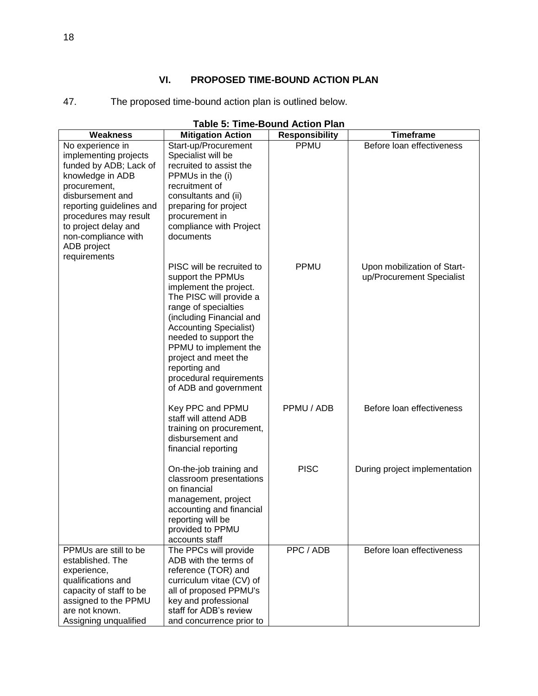# **VI. PROPOSED TIME-BOUND ACTION PLAN**

<span id="page-19-0"></span>

| The proposed time-bound action plan is outlined below. |
|--------------------------------------------------------|
|--------------------------------------------------------|

|                                                                                                                                                                                                          | <b>Table 5: Time-Bound Action Plan</b>                                                                                                                                                                                                                                                                                                               |                       |                                                          |  |  |  |  |  |  |  |
|----------------------------------------------------------------------------------------------------------------------------------------------------------------------------------------------------------|------------------------------------------------------------------------------------------------------------------------------------------------------------------------------------------------------------------------------------------------------------------------------------------------------------------------------------------------------|-----------------------|----------------------------------------------------------|--|--|--|--|--|--|--|
| <b>Weakness</b>                                                                                                                                                                                          | <b>Mitigation Action</b>                                                                                                                                                                                                                                                                                                                             | <b>Responsibility</b> | <b>Timeframe</b>                                         |  |  |  |  |  |  |  |
| No experience in<br>implementing projects<br>funded by ADB; Lack of<br>knowledge in ADB<br>procurement,<br>disbursement and<br>reporting guidelines and<br>procedures may result<br>to project delay and | Start-up/Procurement<br>Specialist will be<br>recruited to assist the<br>PPMUs in the (i)<br>recruitment of<br>consultants and (ii)<br>preparing for project<br>procurement in<br>compliance with Project                                                                                                                                            | PPMU                  | Before loan effectiveness                                |  |  |  |  |  |  |  |
| non-compliance with<br>ADB project<br>requirements                                                                                                                                                       | documents<br>PISC will be recruited to<br>support the PPMUs<br>implement the project.<br>The PISC will provide a<br>range of specialties<br>(including Financial and<br><b>Accounting Specialist)</b><br>needed to support the<br>PPMU to implement the<br>project and meet the<br>reporting and<br>procedural requirements<br>of ADB and government | PPMU                  | Upon mobilization of Start-<br>up/Procurement Specialist |  |  |  |  |  |  |  |
|                                                                                                                                                                                                          | Key PPC and PPMU<br>staff will attend ADB<br>training on procurement,<br>disbursement and<br>financial reporting                                                                                                                                                                                                                                     | PPMU / ADB            | Before loan effectiveness                                |  |  |  |  |  |  |  |
|                                                                                                                                                                                                          | On-the-job training and<br>classroom presentations<br>on financial<br>management, project<br>accounting and financial<br>reporting will be<br>provided to PPMU<br>accounts staff                                                                                                                                                                     | <b>PISC</b>           | During project implementation                            |  |  |  |  |  |  |  |
| PPMUs are still to be<br>established. The<br>experience,<br>qualifications and<br>capacity of staff to be<br>assigned to the PPMU<br>are not known.<br>Assigning unqualified                             | The PPCs will provide<br>ADB with the terms of<br>reference (TOR) and<br>curriculum vitae (CV) of<br>all of proposed PPMU's<br>key and professional<br>staff for ADB's review<br>and concurrence prior to                                                                                                                                            | PPC / ADB             | Before loan effectiveness                                |  |  |  |  |  |  |  |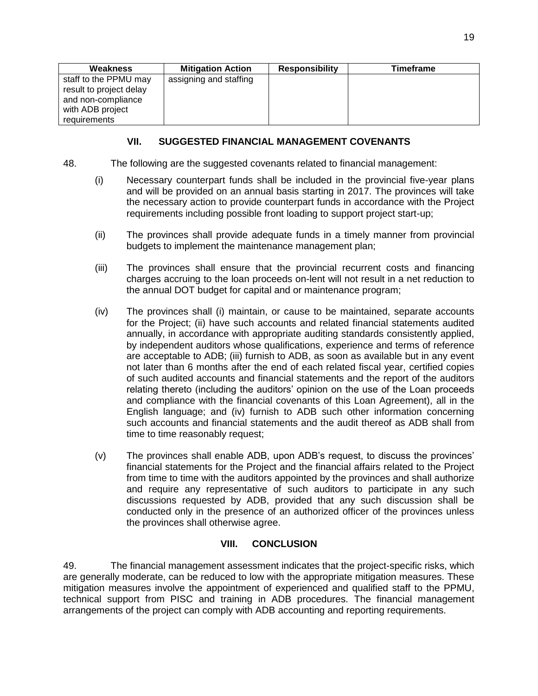| Weakness                                                                                                   | <b>Mitigation Action</b> | <b>Responsibility</b> | <b>Timeframe</b> |
|------------------------------------------------------------------------------------------------------------|--------------------------|-----------------------|------------------|
| staff to the PPMU may<br>result to project delay<br>and non-compliance<br>with ADB project<br>requirements | assigning and staffing   |                       |                  |

# **VII. SUGGESTED FINANCIAL MANAGEMENT COVENANTS**

- <span id="page-20-0"></span>48. The following are the suggested covenants related to financial management:
	- (i) Necessary counterpart funds shall be included in the provincial five-year plans and will be provided on an annual basis starting in 2017. The provinces will take the necessary action to provide counterpart funds in accordance with the Project requirements including possible front loading to support project start-up;
	- (ii) The provinces shall provide adequate funds in a timely manner from provincial budgets to implement the maintenance management plan;
	- (iii) The provinces shall ensure that the provincial recurrent costs and financing charges accruing to the loan proceeds on-lent will not result in a net reduction to the annual DOT budget for capital and or maintenance program;
	- (iv) The provinces shall (i) maintain, or cause to be maintained, separate accounts for the Project; (ii) have such accounts and related financial statements audited annually, in accordance with appropriate auditing standards consistently applied, by independent auditors whose qualifications, experience and terms of reference are acceptable to ADB; (iii) furnish to ADB, as soon as available but in any event not later than 6 months after the end of each related fiscal year, certified copies of such audited accounts and financial statements and the report of the auditors relating thereto (including the auditors' opinion on the use of the Loan proceeds and compliance with the financial covenants of this Loan Agreement), all in the English language; and (iv) furnish to ADB such other information concerning such accounts and financial statements and the audit thereof as ADB shall from time to time reasonably request;
	- (v) The provinces shall enable ADB, upon ADB's request, to discuss the provinces' financial statements for the Project and the financial affairs related to the Project from time to time with the auditors appointed by the provinces and shall authorize and require any representative of such auditors to participate in any such discussions requested by ADB, provided that any such discussion shall be conducted only in the presence of an authorized officer of the provinces unless the provinces shall otherwise agree.

# **VIII. CONCLUSION**

<span id="page-20-1"></span>49. The financial management assessment indicates that the project-specific risks, which are generally moderate, can be reduced to low with the appropriate mitigation measures. These mitigation measures involve the appointment of experienced and qualified staff to the PPMU, technical support from PISC and training in ADB procedures. The financial management arrangements of the project can comply with ADB accounting and reporting requirements.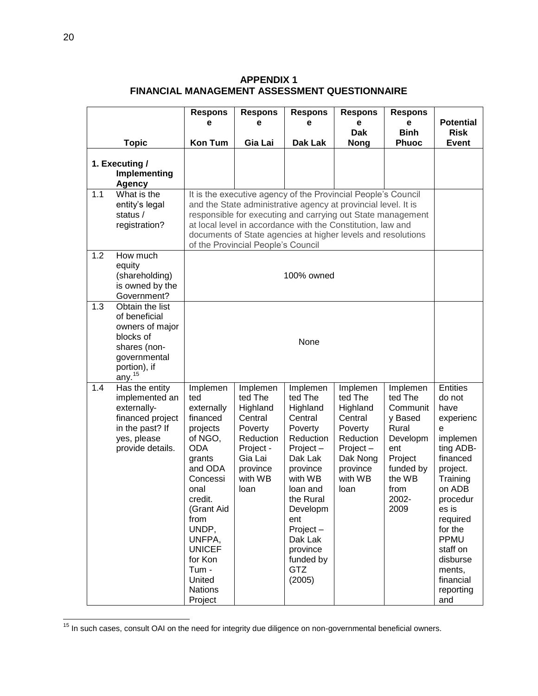|     |                                                                                                                                        | <b>Respons</b>                                                                                                                                                                                                                                               | <b>Respons</b>                                                                                                            | <b>Respons</b>                                                                                                                                                                                                                       | <b>Respons</b>                                                                                                               | <b>Respons</b>                                                                                                                    |                                                                                                                                                                                                                                                   |
|-----|----------------------------------------------------------------------------------------------------------------------------------------|--------------------------------------------------------------------------------------------------------------------------------------------------------------------------------------------------------------------------------------------------------------|---------------------------------------------------------------------------------------------------------------------------|--------------------------------------------------------------------------------------------------------------------------------------------------------------------------------------------------------------------------------------|------------------------------------------------------------------------------------------------------------------------------|-----------------------------------------------------------------------------------------------------------------------------------|---------------------------------------------------------------------------------------------------------------------------------------------------------------------------------------------------------------------------------------------------|
|     |                                                                                                                                        | е                                                                                                                                                                                                                                                            | е                                                                                                                         | е                                                                                                                                                                                                                                    | e                                                                                                                            | e                                                                                                                                 | <b>Potential</b>                                                                                                                                                                                                                                  |
|     |                                                                                                                                        |                                                                                                                                                                                                                                                              |                                                                                                                           |                                                                                                                                                                                                                                      | <b>Dak</b>                                                                                                                   | <b>Binh</b>                                                                                                                       | <b>Risk</b>                                                                                                                                                                                                                                       |
|     | <b>Topic</b>                                                                                                                           | <b>Kon Tum</b>                                                                                                                                                                                                                                               | Gia Lai                                                                                                                   | Dak Lak                                                                                                                                                                                                                              | <b>Nong</b>                                                                                                                  | <b>Phuoc</b>                                                                                                                      | <b>Event</b>                                                                                                                                                                                                                                      |
|     | 1. Executing /<br>Implementing<br><b>Agency</b>                                                                                        | It is the executive agency of the Provincial People's Council                                                                                                                                                                                                |                                                                                                                           |                                                                                                                                                                                                                                      |                                                                                                                              |                                                                                                                                   |                                                                                                                                                                                                                                                   |
| 1.1 | What is the<br>entity's legal<br>status /<br>registration?                                                                             | and the State administrative agency at provincial level. It is<br>responsible for executing and carrying out State management<br>at local level in accordance with the Constitution, law and<br>documents of State agencies at higher levels and resolutions |                                                                                                                           |                                                                                                                                                                                                                                      |                                                                                                                              |                                                                                                                                   |                                                                                                                                                                                                                                                   |
| 1.2 | How much<br>equity<br>(shareholding)<br>is owned by the<br>Government?                                                                 |                                                                                                                                                                                                                                                              | of the Provincial People's Council<br>100% owned                                                                          |                                                                                                                                                                                                                                      |                                                                                                                              |                                                                                                                                   |                                                                                                                                                                                                                                                   |
| 1.3 | Obtain the list<br>of beneficial<br>owners of major<br>blocks of<br>shares (non-<br>governmental<br>portion), if<br>any. <sup>15</sup> | None                                                                                                                                                                                                                                                         |                                                                                                                           |                                                                                                                                                                                                                                      |                                                                                                                              |                                                                                                                                   |                                                                                                                                                                                                                                                   |
| 1.4 | Has the entity<br>implemented an<br>externally-<br>financed project<br>in the past? If<br>yes, please<br>provide details.              | Implemen<br>ted<br>externally<br>financed<br>projects<br>of NGO,<br><b>ODA</b><br>grants<br>and ODA<br>Concessi<br>onal<br>credit.<br>(Grant Aid<br>from<br>UNDP,<br>UNFPA,<br><b>UNICEF</b><br>for Kon<br>Tum -<br>United<br><b>Nations</b><br>Project      | Implemen<br>ted The<br>Highland<br>Central<br>Poverty<br>Reduction<br>Project -<br>Gia Lai<br>province<br>with WB<br>loan | Implemen<br>ted The<br>Highland<br>Central<br>Poverty<br>Reduction<br>Project-<br>Dak Lak<br>province<br>with WB<br>loan and<br>the Rural<br>Developm<br>ent<br>Project-<br>Dak Lak<br>province<br>funded by<br><b>GTZ</b><br>(2005) | Implemen<br>ted The<br>Highland<br>Central<br>Poverty<br>Reduction<br>$Project -$<br>Dak Nong<br>province<br>with WB<br>loan | Implemen<br>ted The<br>Communit<br>y Based<br>Rural<br>Developm<br>ent<br>Project<br>funded by<br>the WB<br>from<br>2002-<br>2009 | <b>Entities</b><br>do not<br>have<br>experienc<br>e<br>implemen<br>ting ADB-<br>financed<br>project.<br>Training<br>on ADB<br>procedur<br>es is<br>required<br>for the<br>PPMU<br>staff on<br>disburse<br>ments,<br>financial<br>reporting<br>and |

**APPENDIX 1 FINANCIAL MANAGEMENT ASSESSMENT QUESTIONNAIRE**

<sup>&</sup>lt;sup>15</sup> In such cases, consult OAI on the need for integrity due diligence on non-governmental beneficial owners.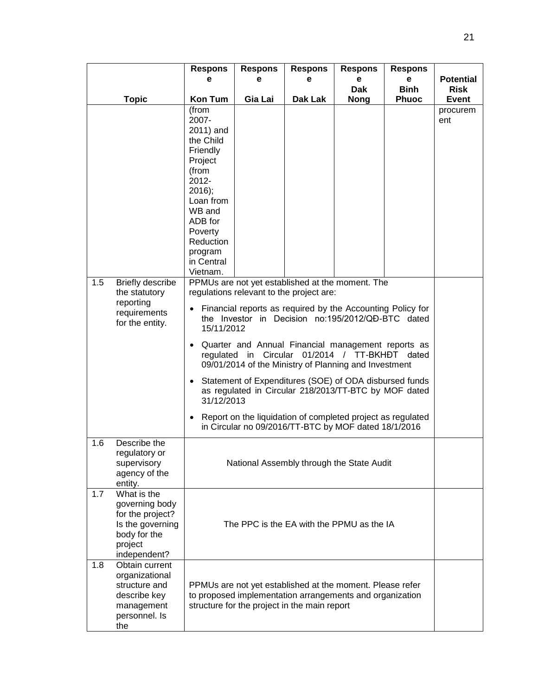|     |                                                                                                                  | <b>Respons</b>                                                                                                                                                                                                                                                                                                                                                                                                                                                                                                                                                                                                                                         | <b>Respons</b> | <b>Respons</b>                                                                                                                                                        | <b>Respons</b>  | <b>Respons</b>   |                                 |
|-----|------------------------------------------------------------------------------------------------------------------|--------------------------------------------------------------------------------------------------------------------------------------------------------------------------------------------------------------------------------------------------------------------------------------------------------------------------------------------------------------------------------------------------------------------------------------------------------------------------------------------------------------------------------------------------------------------------------------------------------------------------------------------------------|----------------|-----------------------------------------------------------------------------------------------------------------------------------------------------------------------|-----------------|------------------|---------------------------------|
|     |                                                                                                                  | е                                                                                                                                                                                                                                                                                                                                                                                                                                                                                                                                                                                                                                                      | е              | е                                                                                                                                                                     | е<br><b>Dak</b> | е<br><b>Binh</b> | <b>Potential</b><br><b>Risk</b> |
|     | <b>Topic</b>                                                                                                     | <b>Kon Tum</b>                                                                                                                                                                                                                                                                                                                                                                                                                                                                                                                                                                                                                                         | Gia Lai        | Dak Lak                                                                                                                                                               | <b>Nong</b>     | <b>Phuoc</b>     | <b>Event</b>                    |
|     |                                                                                                                  | (from<br>2007-<br>2011) and<br>the Child<br>Friendly<br>Project<br>(from<br>2012-<br>$2016$ ;<br>Loan from<br>WB and<br>ADB for<br>Poverty<br>Reduction                                                                                                                                                                                                                                                                                                                                                                                                                                                                                                |                |                                                                                                                                                                       |                 |                  | procurem<br>ent                 |
|     |                                                                                                                  | program<br>in Central                                                                                                                                                                                                                                                                                                                                                                                                                                                                                                                                                                                                                                  |                |                                                                                                                                                                       |                 |                  |                                 |
| 1.5 | Briefly describe<br>the statutory<br>reporting<br>requirements<br>for the entity.                                | Vietnam.<br>PPMUs are not yet established at the moment. The<br>regulations relevant to the project are:<br>Financial reports as required by the Accounting Policy for<br>the Investor in Decision no:195/2012/QĐ-BTC dated<br>15/11/2012<br>Quarter and Annual Financial management reports as<br>regulated in Circular<br>09/01/2014 of the Ministry of Planning and Investment<br>Statement of Expenditures (SOE) of ODA disbursed funds<br>$\bullet$<br>as regulated in Circular 218/2013/TT-BTC by MOF dated<br>31/12/2013<br>Report on the liquidation of completed project as regulated<br>in Circular no 09/2016/TT-BTC by MOF dated 18/1/2016 |                |                                                                                                                                                                       |                 |                  |                                 |
| 1.6 | Describe the<br>regulatory or<br>supervisory<br>agency of the<br>entity.                                         | National Assembly through the State Audit                                                                                                                                                                                                                                                                                                                                                                                                                                                                                                                                                                                                              |                |                                                                                                                                                                       |                 |                  |                                 |
| 1.7 | What is the<br>governing body<br>for the project?<br>Is the governing<br>body for the<br>project<br>independent? | The PPC is the EA with the PPMU as the IA                                                                                                                                                                                                                                                                                                                                                                                                                                                                                                                                                                                                              |                |                                                                                                                                                                       |                 |                  |                                 |
| 1.8 | Obtain current<br>organizational<br>structure and<br>describe key<br>management<br>personnel. Is<br>the          |                                                                                                                                                                                                                                                                                                                                                                                                                                                                                                                                                                                                                                                        |                | PPMUs are not yet established at the moment. Please refer<br>to proposed implementation arrangements and organization<br>structure for the project in the main report |                 |                  |                                 |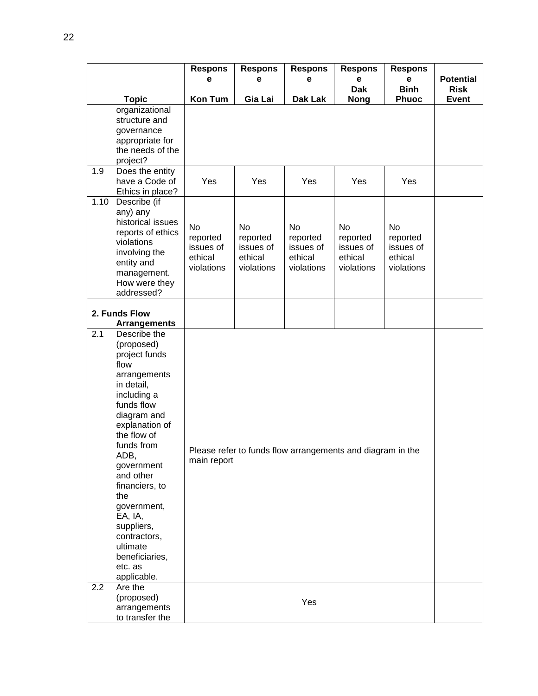|      |                                                                                                                                                                                                                                                                                                                                                          | <b>Respons</b><br>е                                  | <b>Respons</b><br>e                                        | <b>Respons</b><br>е                                  | <b>Respons</b><br>e<br><b>Dak</b>                    | <b>Respons</b><br>е<br><b>Binh</b>                   | <b>Potential</b><br><b>Risk</b> |
|------|----------------------------------------------------------------------------------------------------------------------------------------------------------------------------------------------------------------------------------------------------------------------------------------------------------------------------------------------------------|------------------------------------------------------|------------------------------------------------------------|------------------------------------------------------|------------------------------------------------------|------------------------------------------------------|---------------------------------|
|      | <b>Topic</b>                                                                                                                                                                                                                                                                                                                                             | <b>Kon Tum</b>                                       | Gia Lai                                                    | <b>Dak Lak</b>                                       | <b>Nong</b>                                          | <b>Phuoc</b>                                         | <b>Event</b>                    |
|      | organizational<br>structure and<br>governance<br>appropriate for<br>the needs of the<br>project?                                                                                                                                                                                                                                                         |                                                      |                                                            |                                                      |                                                      |                                                      |                                 |
| 1.9  | Does the entity<br>have a Code of<br>Ethics in place?                                                                                                                                                                                                                                                                                                    | Yes                                                  | Yes                                                        | Yes                                                  | Yes                                                  | Yes                                                  |                                 |
| 1.10 | Describe (if<br>any) any<br>historical issues<br>reports of ethics<br>violations<br>involving the<br>entity and<br>management.<br>How were they<br>addressed?                                                                                                                                                                                            | No<br>reported<br>issues of<br>ethical<br>violations | No<br>reported<br>issues of<br>ethical<br>violations       | No<br>reported<br>issues of<br>ethical<br>violations | No<br>reported<br>issues of<br>ethical<br>violations | No<br>reported<br>issues of<br>ethical<br>violations |                                 |
|      | 2. Funds Flow<br><b>Arrangements</b>                                                                                                                                                                                                                                                                                                                     |                                                      |                                                            |                                                      |                                                      |                                                      |                                 |
| 2.1  | Describe the<br>(proposed)<br>project funds<br>flow<br>arrangements<br>in detail,<br>including a<br>funds flow<br>diagram and<br>explanation of<br>the flow of<br>funds from<br>ADB,<br>government<br>and other<br>financiers, to<br>the<br>government,<br>EA, IA,<br>suppliers,<br>contractors,<br>ultimate<br>beneficiaries,<br>etc. as<br>applicable. | main report                                          | Please refer to funds flow arrangements and diagram in the |                                                      |                                                      |                                                      |                                 |
| 2.2  | Are the<br>(proposed)<br>arrangements<br>to transfer the                                                                                                                                                                                                                                                                                                 |                                                      |                                                            | Yes                                                  |                                                      |                                                      |                                 |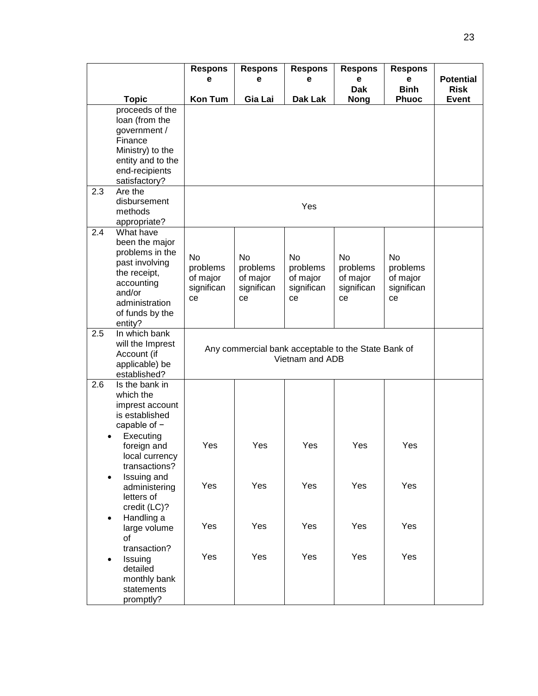|           |                                                                                                                                                          | <b>Respons</b><br>е                                   | <b>Respons</b><br>е                                                    | <b>Respons</b><br>е                                   | <b>Respons</b><br>е                            | <b>Respons</b><br>е                                   | <b>Potential</b> |  |
|-----------|----------------------------------------------------------------------------------------------------------------------------------------------------------|-------------------------------------------------------|------------------------------------------------------------------------|-------------------------------------------------------|------------------------------------------------|-------------------------------------------------------|------------------|--|
|           |                                                                                                                                                          |                                                       |                                                                        |                                                       | <b>Dak</b>                                     | <b>Binh</b>                                           | <b>Risk</b>      |  |
|           | <b>Topic</b>                                                                                                                                             | Kon Tum                                               | Gia Lai                                                                | Dak Lak                                               | <b>Nong</b>                                    | <b>Phuoc</b>                                          | <b>Event</b>     |  |
|           | proceeds of the<br>loan (from the<br>government /<br>Finance<br>Ministry) to the<br>entity and to the<br>end-recipients<br>satisfactory?                 |                                                       |                                                                        |                                                       |                                                |                                                       |                  |  |
| 2.3       | Are the<br>disbursement<br>methods<br>appropriate?                                                                                                       |                                                       |                                                                        | Yes                                                   |                                                |                                                       |                  |  |
| 2.4       | What have<br>been the major<br>problems in the<br>past involving<br>the receipt,<br>accounting<br>and/or<br>administration<br>of funds by the<br>entity? | <b>No</b><br>problems<br>of major<br>significan<br>ce | <b>No</b><br>problems<br>of major<br>significan<br>ce                  | <b>No</b><br>problems<br>of major<br>significan<br>ce | No<br>problems<br>of major<br>significan<br>ce | <b>No</b><br>problems<br>of major<br>significan<br>ce |                  |  |
| 2.5       | In which bank<br>will the Imprest<br>Account (if<br>applicable) be<br>established?                                                                       |                                                       | Any commercial bank acceptable to the State Bank of<br>Vietnam and ADB |                                                       |                                                |                                                       |                  |  |
| 2.6       | Is the bank in<br>which the<br>imprest account<br>is established<br>capable of -<br>Executing<br>foreign and<br>local currency<br>transactions?          | Yes                                                   | Yes                                                                    | Yes                                                   | Yes                                            | Yes                                                   |                  |  |
| $\bullet$ | Issuing and<br>administering<br>letters of<br>credit (LC)?                                                                                               | Yes                                                   | Yes                                                                    | Yes                                                   | Yes                                            | Yes                                                   |                  |  |
| $\bullet$ | Handling a<br>large volume<br>of                                                                                                                         | Yes                                                   | Yes                                                                    | Yes                                                   | Yes                                            | Yes                                                   |                  |  |
| $\bullet$ | transaction?<br>Issuing<br>detailed<br>monthly bank<br>statements<br>promptly?                                                                           | Yes                                                   | Yes                                                                    | Yes                                                   | Yes                                            | Yes                                                   |                  |  |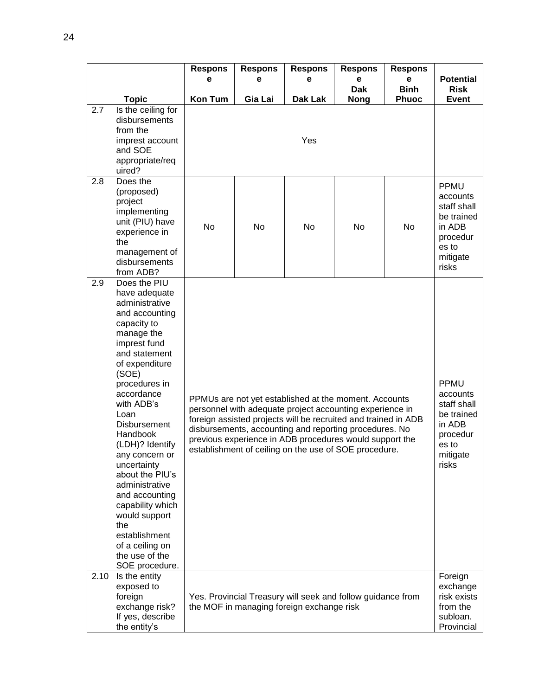|      |                                                                                                                                                                                                                                                                                                                                                                                                                                                                                   | <b>Respons</b><br>е | <b>Respons</b><br>е                                                                                                                                                                                                                                                                                                                                               | <b>Respons</b><br>е | <b>Respons</b><br>e<br><b>Dak</b> | <b>Respons</b><br>e<br><b>Binh</b> | <b>Potential</b><br>Risk                                                                                 |
|------|-----------------------------------------------------------------------------------------------------------------------------------------------------------------------------------------------------------------------------------------------------------------------------------------------------------------------------------------------------------------------------------------------------------------------------------------------------------------------------------|---------------------|-------------------------------------------------------------------------------------------------------------------------------------------------------------------------------------------------------------------------------------------------------------------------------------------------------------------------------------------------------------------|---------------------|-----------------------------------|------------------------------------|----------------------------------------------------------------------------------------------------------|
|      | <b>Topic</b>                                                                                                                                                                                                                                                                                                                                                                                                                                                                      | <b>Kon Tum</b>      | Gia Lai                                                                                                                                                                                                                                                                                                                                                           | Dak Lak             | <b>Nong</b>                       | <b>Phuoc</b>                       | <b>Event</b>                                                                                             |
| 2.7  | Is the ceiling for<br>disbursements<br>from the<br>imprest account<br>and SOE<br>appropriate/req<br>uired?                                                                                                                                                                                                                                                                                                                                                                        |                     |                                                                                                                                                                                                                                                                                                                                                                   |                     |                                   |                                    |                                                                                                          |
| 2.8  | Does the<br>(proposed)<br>project<br>implementing<br>unit (PIU) have<br>experience in<br>the<br>management of<br>disbursements<br>from ADB?                                                                                                                                                                                                                                                                                                                                       | <b>No</b>           | <b>No</b>                                                                                                                                                                                                                                                                                                                                                         | No                  | No                                | No                                 | <b>PPMU</b><br>accounts<br>staff shall<br>be trained<br>in ADB<br>procedur<br>es to<br>mitigate<br>risks |
| 2.9  | Does the PIU<br>have adequate<br>administrative<br>and accounting<br>capacity to<br>manage the<br>imprest fund<br>and statement<br>of expenditure<br>(SOE)<br>procedures in<br>accordance<br>with ADB's<br>Loan<br><b>Disbursement</b><br>Handbook<br>(LDH)? Identify<br>any concern or<br>uncertainty<br>about the PIU's<br>administrative<br>and accounting<br>capability which<br>would support<br>the<br>establishment<br>of a ceiling on<br>the use of the<br>SOE procedure. |                     | PPMUs are not yet established at the moment. Accounts<br>personnel with adequate project accounting experience in<br>foreign assisted projects will be recruited and trained in ADB<br>disbursements, accounting and reporting procedures. No<br>previous experience in ADB procedures would support the<br>establishment of ceiling on the use of SOE procedure. |                     |                                   |                                    |                                                                                                          |
| 2.10 | Is the entity<br>exposed to<br>foreign<br>exchange risk?<br>If yes, describe<br>the entity's                                                                                                                                                                                                                                                                                                                                                                                      |                     | Yes. Provincial Treasury will seek and follow guidance from<br>the MOF in managing foreign exchange risk                                                                                                                                                                                                                                                          |                     |                                   |                                    | Foreign<br>exchange<br>risk exists<br>from the<br>subloan.<br>Provincial                                 |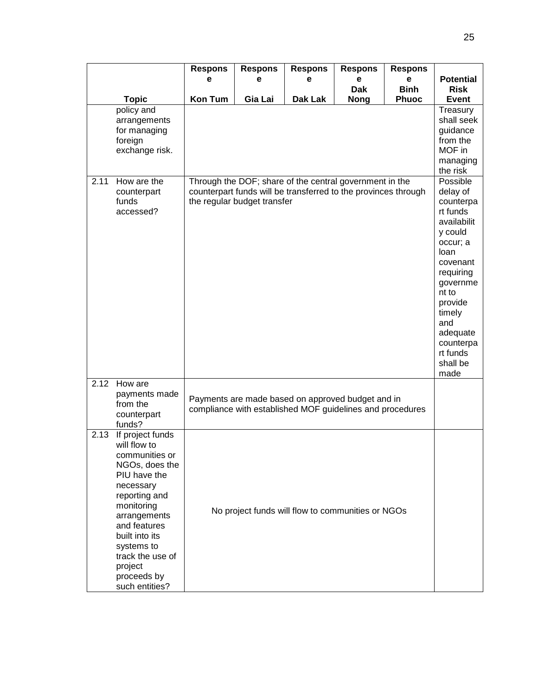|      |                                  | <b>Respons</b> | <b>Respons</b>              | <b>Respons</b>                                                                                                            | <b>Respons</b> | <b>Respons</b> |                          |  |  |  |
|------|----------------------------------|----------------|-----------------------------|---------------------------------------------------------------------------------------------------------------------------|----------------|----------------|--------------------------|--|--|--|
|      |                                  | е              | е                           | е                                                                                                                         | е              | е              | <b>Potential</b>         |  |  |  |
|      |                                  |                |                             |                                                                                                                           | <b>Dak</b>     | <b>Binh</b>    | <b>Risk</b>              |  |  |  |
|      | <b>Topic</b><br>policy and       | <b>Kon Tum</b> | Gia Lai                     | Dak Lak                                                                                                                   | <b>Nong</b>    | <b>Phuoc</b>   | <b>Event</b><br>Treasury |  |  |  |
|      | arrangements                     |                |                             |                                                                                                                           |                |                | shall seek               |  |  |  |
|      | for managing                     |                |                             |                                                                                                                           |                |                | guidance                 |  |  |  |
|      | foreign                          |                |                             |                                                                                                                           |                |                | from the<br>MOF in       |  |  |  |
|      | exchange risk.                   |                |                             |                                                                                                                           |                |                |                          |  |  |  |
|      |                                  |                |                             |                                                                                                                           |                |                |                          |  |  |  |
| 2.11 | How are the                      |                |                             | Through the DOF; share of the central government in the<br>counterpart funds will be transferred to the provinces through |                |                | Possible<br>delay of     |  |  |  |
|      | counterpart<br>funds             |                | the regular budget transfer |                                                                                                                           |                |                | counterpa                |  |  |  |
|      | accessed?                        |                |                             |                                                                                                                           |                |                | rt funds                 |  |  |  |
|      |                                  |                |                             |                                                                                                                           |                |                | availabilit              |  |  |  |
|      |                                  |                |                             |                                                                                                                           |                |                | y could                  |  |  |  |
|      |                                  |                | occur; a<br>loan            |                                                                                                                           |                |                |                          |  |  |  |
|      |                                  |                |                             |                                                                                                                           |                |                |                          |  |  |  |
|      |                                  |                |                             |                                                                                                                           |                |                |                          |  |  |  |
|      |                                  |                |                             |                                                                                                                           |                |                |                          |  |  |  |
|      |                                  |                |                             |                                                                                                                           |                |                |                          |  |  |  |
|      |                                  |                |                             |                                                                                                                           |                |                | timely                   |  |  |  |
|      |                                  |                |                             |                                                                                                                           |                |                | and                      |  |  |  |
|      |                                  |                |                             |                                                                                                                           |                |                | adequate<br>counterpa    |  |  |  |
|      |                                  |                |                             |                                                                                                                           |                |                | rt funds                 |  |  |  |
|      |                                  |                |                             |                                                                                                                           |                |                | shall be                 |  |  |  |
| 2.12 | How are                          |                |                             |                                                                                                                           |                |                | made                     |  |  |  |
|      | payments made                    |                |                             | Payments are made based on approved budget and in                                                                         |                |                |                          |  |  |  |
|      | from the                         |                |                             | compliance with established MOF guidelines and procedures                                                                 |                |                |                          |  |  |  |
|      | counterpart<br>funds?            |                |                             |                                                                                                                           |                |                |                          |  |  |  |
| 2.13 | If project funds                 |                |                             |                                                                                                                           |                |                |                          |  |  |  |
|      | will flow to                     |                |                             |                                                                                                                           |                |                |                          |  |  |  |
|      | communities or<br>NGOs, does the |                |                             |                                                                                                                           |                |                |                          |  |  |  |
|      | PIU have the                     |                |                             |                                                                                                                           |                |                |                          |  |  |  |
|      | necessary                        |                |                             |                                                                                                                           |                |                |                          |  |  |  |
|      | reporting and                    |                |                             |                                                                                                                           |                |                |                          |  |  |  |
|      | monitoring<br>arrangements       |                |                             | No project funds will flow to communities or NGOs                                                                         |                |                |                          |  |  |  |
|      | and features                     |                |                             |                                                                                                                           |                |                |                          |  |  |  |
|      | built into its                   |                |                             |                                                                                                                           |                |                |                          |  |  |  |
|      | systems to                       |                |                             |                                                                                                                           |                |                |                          |  |  |  |
|      | track the use of<br>project      |                |                             |                                                                                                                           |                |                |                          |  |  |  |
|      | proceeds by                      |                |                             |                                                                                                                           |                |                |                          |  |  |  |
|      | such entities?                   |                |                             |                                                                                                                           |                |                |                          |  |  |  |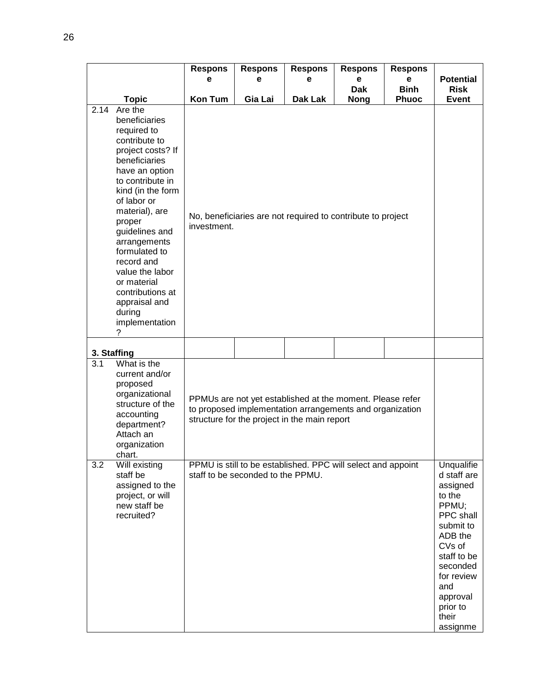|               |                                                                                                                                                                                                                                                                                                                                                                          | <b>Respons</b><br>е                                                                                                                                                   | <b>Respons</b><br>е               | <b>Respons</b><br>е                                          | <b>Respons</b><br>e       | <b>Respons</b><br>e         | <b>Potential</b>                                                                                                                                                                                     |
|---------------|--------------------------------------------------------------------------------------------------------------------------------------------------------------------------------------------------------------------------------------------------------------------------------------------------------------------------------------------------------------------------|-----------------------------------------------------------------------------------------------------------------------------------------------------------------------|-----------------------------------|--------------------------------------------------------------|---------------------------|-----------------------------|------------------------------------------------------------------------------------------------------------------------------------------------------------------------------------------------------|
|               | <b>Topic</b>                                                                                                                                                                                                                                                                                                                                                             | <b>Kon Tum</b>                                                                                                                                                        | Gia Lai                           | <b>Dak Lak</b>                                               | <b>Dak</b><br><b>Nong</b> | <b>Binh</b><br><b>Phuoc</b> | <b>Risk</b><br>Event                                                                                                                                                                                 |
| 2.14<br>?     | Are the<br>beneficiaries<br>required to<br>contribute to<br>project costs? If<br>beneficiaries<br>have an option<br>to contribute in<br>kind (in the form<br>of labor or<br>material), are<br>proper<br>guidelines and<br>arrangements<br>formulated to<br>record and<br>value the labor<br>or material<br>contributions at<br>appraisal and<br>during<br>implementation | investment.                                                                                                                                                           |                                   | No, beneficiaries are not required to contribute to project  |                           |                             |                                                                                                                                                                                                      |
| 3. Staffing   |                                                                                                                                                                                                                                                                                                                                                                          |                                                                                                                                                                       |                                   |                                                              |                           |                             |                                                                                                                                                                                                      |
| 3.1<br>chart. | What is the<br>current and/or<br>proposed<br>organizational<br>structure of the<br>accounting<br>department?<br>Attach an<br>organization                                                                                                                                                                                                                                | PPMUs are not yet established at the moment. Please refer<br>to proposed implementation arrangements and organization<br>structure for the project in the main report |                                   |                                                              |                           |                             |                                                                                                                                                                                                      |
| 3.2           | Will existing<br>staff be<br>assigned to the<br>project, or will<br>new staff be<br>recruited?                                                                                                                                                                                                                                                                           |                                                                                                                                                                       | staff to be seconded to the PPMU. | PPMU is still to be established. PPC will select and appoint |                           |                             | Unqualifie<br>d staff are<br>assigned<br>to the<br>PPMU;<br>PPC shall<br>submit to<br>ADB the<br>CVs of<br>staff to be<br>seconded<br>for review<br>and<br>approval<br>prior to<br>their<br>assignme |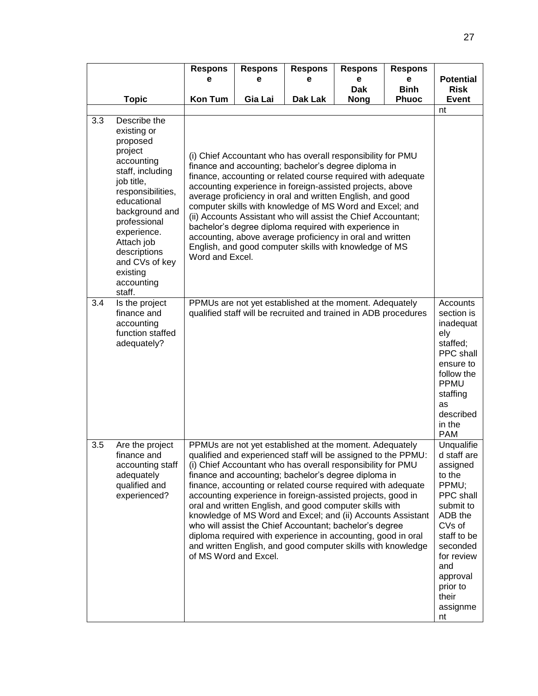|     |                                                                                                                                                                                                                                                                             | <b>Respons</b>  | <b>Respons</b>        | <b>Respons</b>                                                                                                                                                                                                                                                                                                                                                                                                                                                                                                                                                                                                                                                                                      | <b>Respons</b>  | <b>Respons</b>   |                                                                                                                                                                                                            |
|-----|-----------------------------------------------------------------------------------------------------------------------------------------------------------------------------------------------------------------------------------------------------------------------------|-----------------|-----------------------|-----------------------------------------------------------------------------------------------------------------------------------------------------------------------------------------------------------------------------------------------------------------------------------------------------------------------------------------------------------------------------------------------------------------------------------------------------------------------------------------------------------------------------------------------------------------------------------------------------------------------------------------------------------------------------------------------------|-----------------|------------------|------------------------------------------------------------------------------------------------------------------------------------------------------------------------------------------------------------|
|     |                                                                                                                                                                                                                                                                             | е               | е                     | е                                                                                                                                                                                                                                                                                                                                                                                                                                                                                                                                                                                                                                                                                                   | е<br><b>Dak</b> | е<br><b>Binh</b> | <b>Potential</b><br><b>Risk</b>                                                                                                                                                                            |
|     | <b>Topic</b>                                                                                                                                                                                                                                                                | <b>Kon Tum</b>  | Gia Lai               | Dak Lak                                                                                                                                                                                                                                                                                                                                                                                                                                                                                                                                                                                                                                                                                             | <b>Nong</b>     | <b>Phuoc</b>     | <b>Event</b>                                                                                                                                                                                               |
|     |                                                                                                                                                                                                                                                                             |                 |                       |                                                                                                                                                                                                                                                                                                                                                                                                                                                                                                                                                                                                                                                                                                     |                 |                  | nt                                                                                                                                                                                                         |
| 3.3 | Describe the<br>existing or<br>proposed<br>project<br>accounting<br>staff, including<br>job title,<br>responsibilities,<br>educational<br>background and<br>professional<br>experience.<br>Attach job<br>descriptions<br>and CVs of key<br>existing<br>accounting<br>staff. | Word and Excel. |                       | (i) Chief Accountant who has overall responsibility for PMU<br>finance and accounting; bachelor's degree diploma in<br>finance, accounting or related course required with adequate<br>accounting experience in foreign-assisted projects, above<br>average proficiency in oral and written English, and good<br>computer skills with knowledge of MS Word and Excel; and<br>(ii) Accounts Assistant who will assist the Chief Accountant;<br>bachelor's degree diploma required with experience in<br>accounting, above average proficiency in oral and written<br>English, and good computer skills with knowledge of MS                                                                          |                 |                  |                                                                                                                                                                                                            |
| 3.4 | Is the project<br>finance and<br>accounting<br>function staffed<br>adequately?                                                                                                                                                                                              |                 |                       | PPMUs are not yet established at the moment. Adequately<br>qualified staff will be recruited and trained in ADB procedures                                                                                                                                                                                                                                                                                                                                                                                                                                                                                                                                                                          |                 |                  | Accounts<br>section is<br>inadequat<br>ely<br>staffed;<br>PPC shall<br>ensure to<br>follow the<br>PPMU<br>staffing<br>as<br>described<br>in the<br><b>PAM</b>                                              |
| 3.5 | Are the project<br>finance and<br>accounting staff<br>adequately<br>qualified and<br>experienced?                                                                                                                                                                           |                 | of MS Word and Excel. | PPMUs are not yet established at the moment. Adequately<br>qualified and experienced staff will be assigned to the PPMU:<br>(i) Chief Accountant who has overall responsibility for PMU<br>finance and accounting; bachelor's degree diploma in<br>finance, accounting or related course required with adequate<br>accounting experience in foreign-assisted projects, good in<br>oral and written English, and good computer skills with<br>knowledge of MS Word and Excel; and (ii) Accounts Assistant<br>who will assist the Chief Accountant; bachelor's degree<br>diploma required with experience in accounting, good in oral<br>and written English, and good computer skills with knowledge |                 |                  | Unqualifie<br>d staff are<br>assigned<br>to the<br>PPMU;<br>PPC shall<br>submit to<br>ADB the<br>CVs of<br>staff to be<br>seconded<br>for review<br>and<br>approval<br>prior to<br>their<br>assignme<br>nt |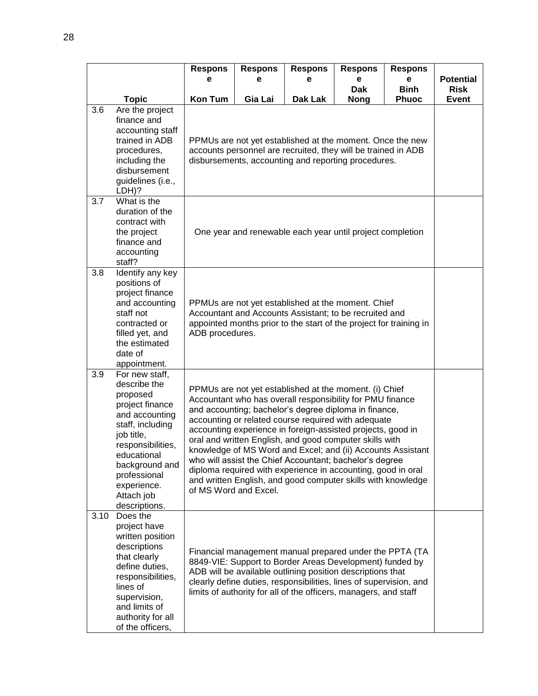|      |                                                                                                                                                                                                                                       | <b>Respons</b>                                                                                                                                                                                                                                                                                                                                                                                                                                                                                                                                                                                                                                   | <b>Respons</b><br>е                                                                                                                                                                                   | <b>Respons</b>                                                                                                                                                                                                                                                                                                              | <b>Respons</b>  | <b>Respons</b><br>е |                                 |  |  |
|------|---------------------------------------------------------------------------------------------------------------------------------------------------------------------------------------------------------------------------------------|--------------------------------------------------------------------------------------------------------------------------------------------------------------------------------------------------------------------------------------------------------------------------------------------------------------------------------------------------------------------------------------------------------------------------------------------------------------------------------------------------------------------------------------------------------------------------------------------------------------------------------------------------|-------------------------------------------------------------------------------------------------------------------------------------------------------------------------------------------------------|-----------------------------------------------------------------------------------------------------------------------------------------------------------------------------------------------------------------------------------------------------------------------------------------------------------------------------|-----------------|---------------------|---------------------------------|--|--|
|      |                                                                                                                                                                                                                                       | е                                                                                                                                                                                                                                                                                                                                                                                                                                                                                                                                                                                                                                                |                                                                                                                                                                                                       | е                                                                                                                                                                                                                                                                                                                           | е<br><b>Dak</b> | <b>Binh</b>         | <b>Potential</b><br><b>Risk</b> |  |  |
|      | <b>Topic</b>                                                                                                                                                                                                                          | <b>Kon Tum</b>                                                                                                                                                                                                                                                                                                                                                                                                                                                                                                                                                                                                                                   | Gia Lai                                                                                                                                                                                               | Dak Lak                                                                                                                                                                                                                                                                                                                     | <b>Nong</b>     | <b>Phuoc</b>        | <b>Event</b>                    |  |  |
| 3.6  | Are the project<br>finance and<br>accounting staff<br>trained in ADB<br>procedures,<br>including the<br>disbursement<br>guidelines (i.e.,<br>LDH)?                                                                                    |                                                                                                                                                                                                                                                                                                                                                                                                                                                                                                                                                                                                                                                  | PPMUs are not yet established at the moment. Once the new<br>accounts personnel are recruited, they will be trained in ADB<br>disbursements, accounting and reporting procedures.                     |                                                                                                                                                                                                                                                                                                                             |                 |                     |                                 |  |  |
| 3.7  | What is the<br>duration of the<br>contract with<br>the project<br>finance and<br>accounting<br>staff?                                                                                                                                 |                                                                                                                                                                                                                                                                                                                                                                                                                                                                                                                                                                                                                                                  | One year and renewable each year until project completion                                                                                                                                             |                                                                                                                                                                                                                                                                                                                             |                 |                     |                                 |  |  |
| 3.8  | Identify any key<br>positions of<br>project finance<br>and accounting<br>staff not<br>contracted or<br>filled yet, and<br>the estimated<br>date of<br>appointment.                                                                    |                                                                                                                                                                                                                                                                                                                                                                                                                                                                                                                                                                                                                                                  | PPMUs are not yet established at the moment. Chief<br>Accountant and Accounts Assistant; to be recruited and<br>appointed months prior to the start of the project for training in<br>ADB procedures. |                                                                                                                                                                                                                                                                                                                             |                 |                     |                                 |  |  |
| 3.9  | For new staff,<br>describe the<br>proposed<br>project finance<br>and accounting<br>staff, including<br>job title,<br>responsibilities,<br>educational<br>background and<br>professional<br>experience.<br>Attach job<br>descriptions. | PPMUs are not yet established at the moment. (i) Chief<br>Accountant who has overall responsibility for PMU finance<br>and accounting; bachelor's degree diploma in finance,<br>accounting or related course required with adequate<br>accounting experience in foreign-assisted projects, good in<br>oral and written English, and good computer skills with<br>knowledge of MS Word and Excel; and (ii) Accounts Assistant<br>who will assist the Chief Accountant; bachelor's degree<br>diploma required with experience in accounting, good in oral<br>and written English, and good computer skills with knowledge<br>of MS Word and Excel. |                                                                                                                                                                                                       |                                                                                                                                                                                                                                                                                                                             |                 |                     |                                 |  |  |
| 3.10 | Does the<br>project have<br>written position<br>descriptions<br>that clearly<br>define duties,<br>responsibilities,<br>lines of<br>supervision,<br>and limits of<br>authority for all<br>of the officers,                             |                                                                                                                                                                                                                                                                                                                                                                                                                                                                                                                                                                                                                                                  |                                                                                                                                                                                                       | Financial management manual prepared under the PPTA (TA<br>8849-VIE: Support to Border Areas Development) funded by<br>ADB will be available outlining position descriptions that<br>clearly define duties, responsibilities, lines of supervision, and<br>limits of authority for all of the officers, managers, and staff |                 |                     |                                 |  |  |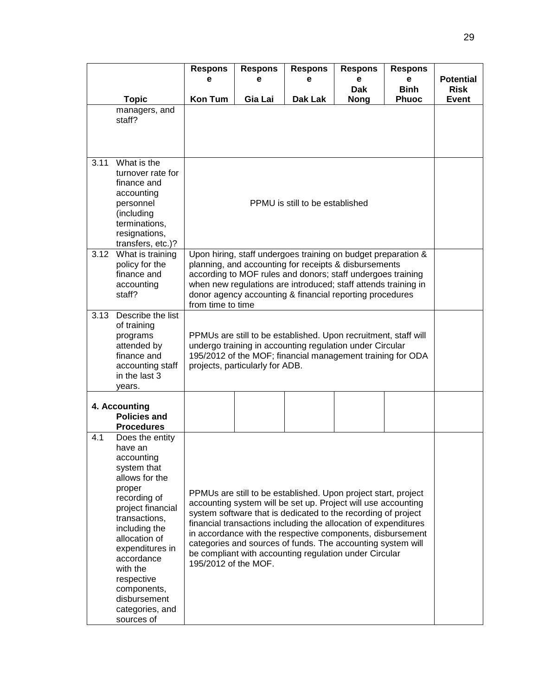|      |                                                                                                                                                                                                                                                                                                        | <b>Respons</b><br>е                                                                                                                                                                                                                                                                                                                                                                                                                                                                | <b>Respons</b><br>е             | <b>Respons</b><br>е | <b>Respons</b><br>е       | <b>Respons</b><br>е         | <b>Potential</b>            |  |  |
|------|--------------------------------------------------------------------------------------------------------------------------------------------------------------------------------------------------------------------------------------------------------------------------------------------------------|------------------------------------------------------------------------------------------------------------------------------------------------------------------------------------------------------------------------------------------------------------------------------------------------------------------------------------------------------------------------------------------------------------------------------------------------------------------------------------|---------------------------------|---------------------|---------------------------|-----------------------------|-----------------------------|--|--|
|      | <b>Topic</b>                                                                                                                                                                                                                                                                                           | <b>Kon Tum</b>                                                                                                                                                                                                                                                                                                                                                                                                                                                                     | Gia Lai                         | Dak Lak             | <b>Dak</b><br><b>Nong</b> | <b>Binh</b><br><b>Phuoc</b> | <b>Risk</b><br><b>Event</b> |  |  |
|      | managers, and<br>staff?                                                                                                                                                                                                                                                                                |                                                                                                                                                                                                                                                                                                                                                                                                                                                                                    |                                 |                     |                           |                             |                             |  |  |
| 3.11 | What is the<br>turnover rate for<br>finance and<br>accounting<br>personnel<br>(including<br>terminations,<br>resignations,<br>transfers, etc.)?                                                                                                                                                        |                                                                                                                                                                                                                                                                                                                                                                                                                                                                                    | PPMU is still to be established |                     |                           |                             |                             |  |  |
|      | 3.12 What is training<br>policy for the<br>finance and<br>accounting<br>staff?                                                                                                                                                                                                                         | Upon hiring, staff undergoes training on budget preparation &<br>planning, and accounting for receipts & disbursements<br>according to MOF rules and donors; staff undergoes training<br>when new regulations are introduced; staff attends training in<br>donor agency accounting & financial reporting procedures<br>from time to time                                                                                                                                           |                                 |                     |                           |                             |                             |  |  |
| 3.13 | Describe the list<br>of training<br>programs<br>attended by<br>finance and<br>accounting staff<br>in the last 3<br>years.                                                                                                                                                                              | PPMUs are still to be established. Upon recruitment, staff will<br>undergo training in accounting regulation under Circular<br>195/2012 of the MOF; financial management training for ODA<br>projects, particularly for ADB.                                                                                                                                                                                                                                                       |                                 |                     |                           |                             |                             |  |  |
|      | 4. Accounting<br><b>Policies and</b><br><b>Procedures</b>                                                                                                                                                                                                                                              |                                                                                                                                                                                                                                                                                                                                                                                                                                                                                    |                                 |                     |                           |                             |                             |  |  |
| 4.1  | Does the entity<br>have an<br>accounting<br>system that<br>allows for the<br>proper<br>recording of<br>project financial<br>transactions,<br>including the<br>allocation of<br>expenditures in<br>accordance<br>with the<br>respective<br>components,<br>disbursement<br>categories, and<br>sources of | PPMUs are still to be established. Upon project start, project<br>accounting system will be set up. Project will use accounting<br>system software that is dedicated to the recording of project<br>financial transactions including the allocation of expenditures<br>in accordance with the respective components, disbursement<br>categories and sources of funds. The accounting system will<br>be compliant with accounting regulation under Circular<br>195/2012 of the MOF. |                                 |                     |                           |                             |                             |  |  |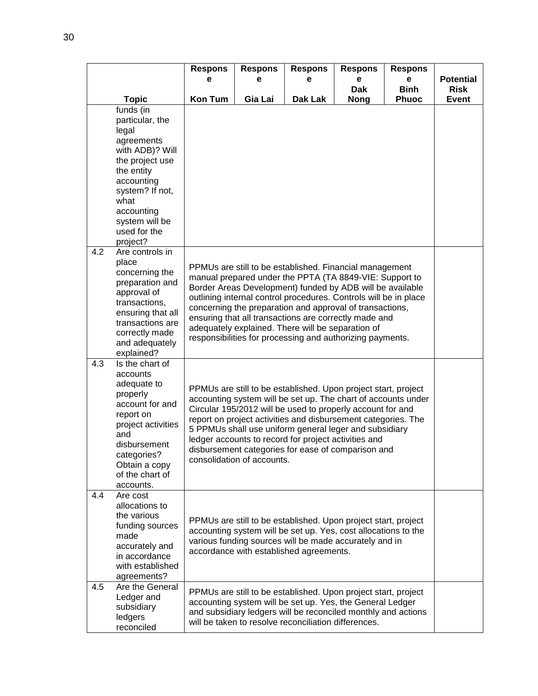|     |                                                                                                                                                                                                              | <b>Respons</b>                                                                                                                                                                                                                                                                                                                                                                                                                                                                             | <b>Respons</b> | <b>Respons</b>                                                                                                                                                                                                                                       | <b>Respons</b>            | <b>Respons</b>              |                             |
|-----|--------------------------------------------------------------------------------------------------------------------------------------------------------------------------------------------------------------|--------------------------------------------------------------------------------------------------------------------------------------------------------------------------------------------------------------------------------------------------------------------------------------------------------------------------------------------------------------------------------------------------------------------------------------------------------------------------------------------|----------------|------------------------------------------------------------------------------------------------------------------------------------------------------------------------------------------------------------------------------------------------------|---------------------------|-----------------------------|-----------------------------|
|     |                                                                                                                                                                                                              | е                                                                                                                                                                                                                                                                                                                                                                                                                                                                                          | е              | е                                                                                                                                                                                                                                                    | e                         | e                           | <b>Potential</b>            |
|     | <b>Topic</b>                                                                                                                                                                                                 | <b>Kon Tum</b>                                                                                                                                                                                                                                                                                                                                                                                                                                                                             | Gia Lai        | Dak Lak                                                                                                                                                                                                                                              | <b>Dak</b><br><b>Nong</b> | <b>Binh</b><br><b>Phuoc</b> | <b>Risk</b><br><b>Event</b> |
|     | funds (in<br>particular, the<br>legal<br>agreements<br>with ADB)? Will<br>the project use<br>the entity<br>accounting<br>system? If not,<br>what<br>accounting<br>system will be<br>used for the<br>project? |                                                                                                                                                                                                                                                                                                                                                                                                                                                                                            |                |                                                                                                                                                                                                                                                      |                           |                             |                             |
| 4.2 | Are controls in<br>place<br>concerning the<br>preparation and<br>approval of<br>transactions,<br>ensuring that all<br>transactions are<br>correctly made<br>and adequately<br>explained?                     | PPMUs are still to be established. Financial management<br>manual prepared under the PPTA (TA 8849-VIE: Support to<br>Border Areas Development) funded by ADB will be available<br>outlining internal control procedures. Controls will be in place<br>concerning the preparation and approval of transactions,<br>ensuring that all transactions are correctly made and<br>adequately explained. There will be separation of<br>responsibilities for processing and authorizing payments. |                |                                                                                                                                                                                                                                                      |                           |                             |                             |
| 4.3 | Is the chart of<br>accounts<br>adequate to<br>properly<br>account for and<br>report on<br>project activities<br>and<br>disbursement<br>categories?<br>Obtain a copy<br>of the chart of<br>accounts.          | PPMUs are still to be established. Upon project start, project<br>accounting system will be set up. The chart of accounts under<br>Circular 195/2012 will be used to properly account for and<br>report on project activities and disbursement categories. The<br>5 PPMUs shall use uniform general leger and subsidiary<br>ledger accounts to record for project activities and<br>disbursement categories for ease of comparison and<br>consolidation of accounts.                       |                |                                                                                                                                                                                                                                                      |                           |                             |                             |
| 4.4 | Are cost<br>allocations to<br>the various<br>funding sources<br>made<br>accurately and<br>in accordance<br>with established<br>agreements?                                                                   |                                                                                                                                                                                                                                                                                                                                                                                                                                                                                            |                | PPMUs are still to be established. Upon project start, project<br>accounting system will be set up. Yes, cost allocations to the<br>various funding sources will be made accurately and in<br>accordance with established agreements.                |                           |                             |                             |
| 4.5 | Are the General<br>Ledger and<br>subsidiary<br>ledgers<br>reconciled                                                                                                                                         |                                                                                                                                                                                                                                                                                                                                                                                                                                                                                            |                | PPMUs are still to be established. Upon project start, project<br>accounting system will be set up. Yes, the General Ledger<br>and subsidiary ledgers will be reconciled monthly and actions<br>will be taken to resolve reconciliation differences. |                           |                             |                             |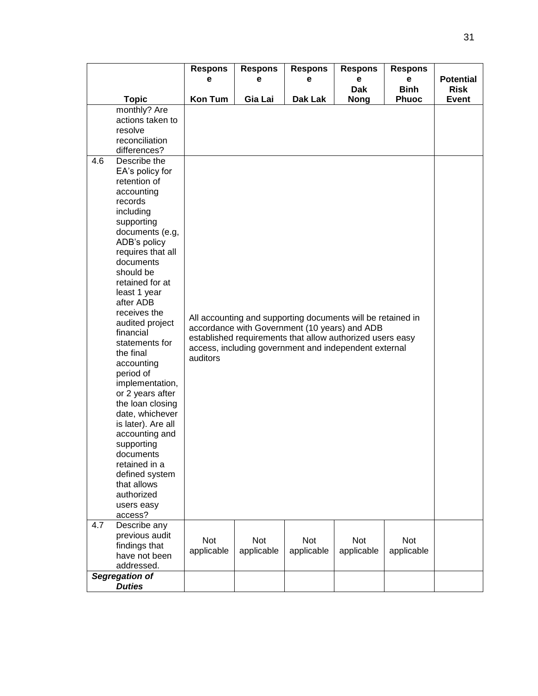|     |                                                                                                                                                                                                                                                                                                                                                                                                                                                                                                                                                                                           | <b>Respons</b><br>е | <b>Respons</b><br>е | <b>Respons</b><br>е                                                                                                                                                                                                                | <b>Respons</b><br>е | <b>Respons</b><br>е | <b>Potential</b> |
|-----|-------------------------------------------------------------------------------------------------------------------------------------------------------------------------------------------------------------------------------------------------------------------------------------------------------------------------------------------------------------------------------------------------------------------------------------------------------------------------------------------------------------------------------------------------------------------------------------------|---------------------|---------------------|------------------------------------------------------------------------------------------------------------------------------------------------------------------------------------------------------------------------------------|---------------------|---------------------|------------------|
|     |                                                                                                                                                                                                                                                                                                                                                                                                                                                                                                                                                                                           |                     |                     |                                                                                                                                                                                                                                    | <b>Dak</b>          | <b>Binh</b>         | <b>Risk</b>      |
|     | <b>Topic</b>                                                                                                                                                                                                                                                                                                                                                                                                                                                                                                                                                                              | <b>Kon Tum</b>      | Gia Lai             | Dak Lak                                                                                                                                                                                                                            | <b>Nong</b>         | <b>Phuoc</b>        | <b>Event</b>     |
|     | monthly? Are<br>actions taken to<br>resolve<br>reconciliation<br>differences?                                                                                                                                                                                                                                                                                                                                                                                                                                                                                                             |                     |                     |                                                                                                                                                                                                                                    |                     |                     |                  |
| 4.6 | Describe the<br>EA's policy for<br>retention of<br>accounting<br>records<br>including<br>supporting<br>documents (e.g,<br>ADB's policy<br>requires that all<br>documents<br>should be<br>retained for at<br>least 1 year<br>after ADB<br>receives the<br>audited project<br>financial<br>statements for<br>the final<br>accounting<br>period of<br>implementation,<br>or 2 years after<br>the loan closing<br>date, whichever<br>is later). Are all<br>accounting and<br>supporting<br>documents<br>retained in a<br>defined system<br>that allows<br>authorized<br>users easy<br>access? | auditors            |                     | All accounting and supporting documents will be retained in<br>accordance with Government (10 years) and ADB<br>established requirements that allow authorized users easy<br>access, including government and independent external |                     |                     |                  |
| 4.7 | Describe any<br>previous audit<br>findings that<br>have not been<br>addressed.                                                                                                                                                                                                                                                                                                                                                                                                                                                                                                            | Not<br>applicable   | Not<br>applicable   | Not<br>applicable                                                                                                                                                                                                                  | Not<br>applicable   | Not<br>applicable   |                  |
|     | Segregation of<br><b>Duties</b>                                                                                                                                                                                                                                                                                                                                                                                                                                                                                                                                                           |                     |                     |                                                                                                                                                                                                                                    |                     |                     |                  |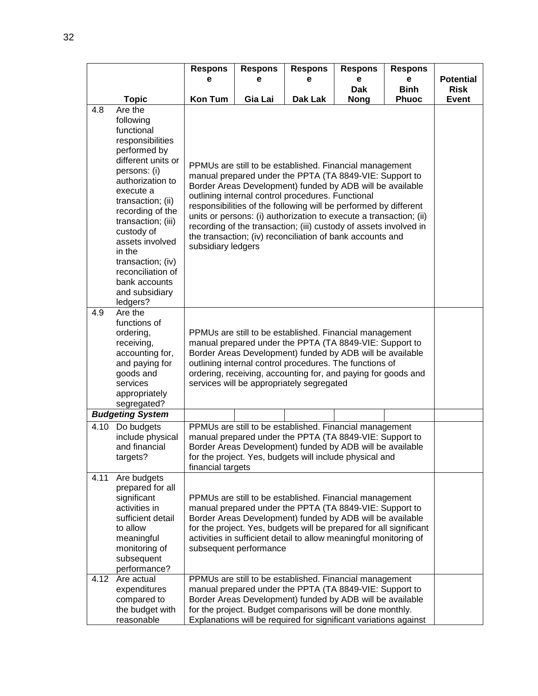|      |                                                                                                                                                                                                                                                                                                                                       | <b>Respons</b>                                                                                                                                                                                                                                                                                                                                                                                                                                                                                                                         | <b>Respons</b>         | <b>Respons</b>                                                                                                                                                                                                                                                                                                             | <b>Respons</b> | <b>Respons</b> |                  |
|------|---------------------------------------------------------------------------------------------------------------------------------------------------------------------------------------------------------------------------------------------------------------------------------------------------------------------------------------|----------------------------------------------------------------------------------------------------------------------------------------------------------------------------------------------------------------------------------------------------------------------------------------------------------------------------------------------------------------------------------------------------------------------------------------------------------------------------------------------------------------------------------------|------------------------|----------------------------------------------------------------------------------------------------------------------------------------------------------------------------------------------------------------------------------------------------------------------------------------------------------------------------|----------------|----------------|------------------|
|      |                                                                                                                                                                                                                                                                                                                                       | е                                                                                                                                                                                                                                                                                                                                                                                                                                                                                                                                      | е                      | е                                                                                                                                                                                                                                                                                                                          | е              | е              | <b>Potential</b> |
|      |                                                                                                                                                                                                                                                                                                                                       |                                                                                                                                                                                                                                                                                                                                                                                                                                                                                                                                        |                        |                                                                                                                                                                                                                                                                                                                            | <b>Dak</b>     | <b>Binh</b>    | <b>Risk</b>      |
| 4.8  | <b>Topic</b><br>Are the                                                                                                                                                                                                                                                                                                               | <b>Kon Tum</b>                                                                                                                                                                                                                                                                                                                                                                                                                                                                                                                         | Gia Lai                | Dak Lak                                                                                                                                                                                                                                                                                                                    | <b>Nong</b>    | <b>Phuoc</b>   | <b>Event</b>     |
|      | following<br>functional<br>responsibilities<br>performed by<br>different units or<br>persons: (i)<br>authorization to<br>execute a<br>transaction; (ii)<br>recording of the<br>transaction; (iii)<br>custody of<br>assets involved<br>in the<br>transaction; (iv)<br>reconciliation of<br>bank accounts<br>and subsidiary<br>ledgers? | PPMUs are still to be established. Financial management<br>manual prepared under the PPTA (TA 8849-VIE: Support to<br>Border Areas Development) funded by ADB will be available<br>outlining internal control procedures. Functional<br>responsibilities of the following will be performed by different<br>units or persons: (i) authorization to execute a transaction; (ii)<br>recording of the transaction; (iii) custody of assets involved in<br>the transaction; (iv) reconciliation of bank accounts and<br>subsidiary ledgers |                        |                                                                                                                                                                                                                                                                                                                            |                |                |                  |
| 4.9  | Are the<br>functions of<br>ordering,<br>receiving,<br>accounting for,<br>and paying for<br>goods and<br>services<br>appropriately<br>segregated?                                                                                                                                                                                      | PPMUs are still to be established. Financial management<br>manual prepared under the PPTA (TA 8849-VIE: Support to<br>Border Areas Development) funded by ADB will be available<br>outlining internal control procedures. The functions of<br>ordering, receiving, accounting for, and paying for goods and<br>services will be appropriately segregated                                                                                                                                                                               |                        |                                                                                                                                                                                                                                                                                                                            |                |                |                  |
|      | <b>Budgeting System</b>                                                                                                                                                                                                                                                                                                               |                                                                                                                                                                                                                                                                                                                                                                                                                                                                                                                                        |                        |                                                                                                                                                                                                                                                                                                                            |                |                |                  |
|      | 4.10 Do budgets                                                                                                                                                                                                                                                                                                                       |                                                                                                                                                                                                                                                                                                                                                                                                                                                                                                                                        |                        | PPMUs are still to be established. Financial management                                                                                                                                                                                                                                                                    |                |                |                  |
|      | include physical<br>and financial<br>targets?                                                                                                                                                                                                                                                                                         | financial targets                                                                                                                                                                                                                                                                                                                                                                                                                                                                                                                      |                        | manual prepared under the PPTA (TA 8849-VIE: Support to<br>Border Areas Development) funded by ADB will be available<br>for the project. Yes, budgets will include physical and                                                                                                                                            |                |                |                  |
| 4.11 | Are budgets<br>prepared for all<br>significant<br>activities in<br>sufficient detail<br>to allow<br>meaningful<br>monitoring of<br>subsequent<br>performance?                                                                                                                                                                         |                                                                                                                                                                                                                                                                                                                                                                                                                                                                                                                                        | subsequent performance | PPMUs are still to be established. Financial management<br>manual prepared under the PPTA (TA 8849-VIE: Support to<br>Border Areas Development) funded by ADB will be available<br>for the project. Yes, budgets will be prepared for all significant<br>activities in sufficient detail to allow meaningful monitoring of |                |                |                  |
| 4.12 | Are actual<br>expenditures<br>compared to<br>the budget with<br>reasonable                                                                                                                                                                                                                                                            |                                                                                                                                                                                                                                                                                                                                                                                                                                                                                                                                        |                        | PPMUs are still to be established. Financial management<br>manual prepared under the PPTA (TA 8849-VIE: Support to<br>Border Areas Development) funded by ADB will be available<br>for the project. Budget comparisons will be done monthly.<br>Explanations will be required for significant variations against           |                |                |                  |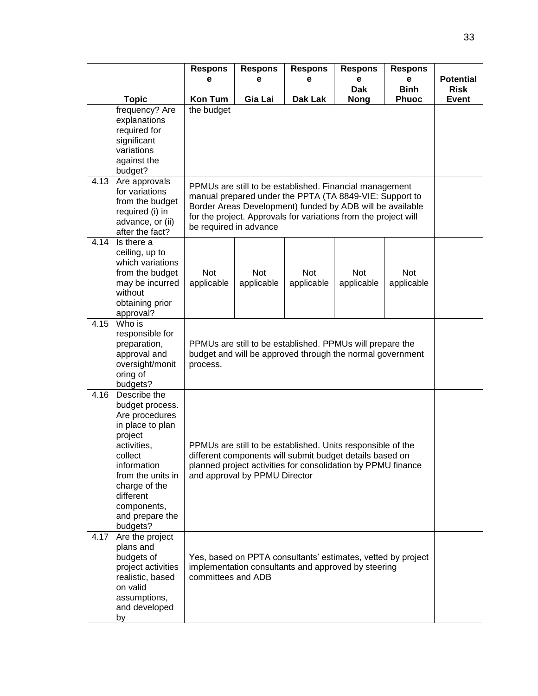|      |                                                                                                                                                                                                                            | <b>Respons</b><br>е                                                                                                                                                                                                      | <b>Respons</b><br>е                                                                                                                                                                                                                                                          | <b>Respons</b><br>е                                                                                                 | <b>Respons</b><br>е       | <b>Respons</b><br>е         | <b>Potential</b>            |  |  |
|------|----------------------------------------------------------------------------------------------------------------------------------------------------------------------------------------------------------------------------|--------------------------------------------------------------------------------------------------------------------------------------------------------------------------------------------------------------------------|------------------------------------------------------------------------------------------------------------------------------------------------------------------------------------------------------------------------------------------------------------------------------|---------------------------------------------------------------------------------------------------------------------|---------------------------|-----------------------------|-----------------------------|--|--|
|      | <b>Topic</b>                                                                                                                                                                                                               | <b>Kon Tum</b>                                                                                                                                                                                                           | Gia Lai                                                                                                                                                                                                                                                                      | Dak Lak                                                                                                             | <b>Dak</b><br><b>Nong</b> | <b>Binh</b><br><b>Phuoc</b> | <b>Risk</b><br><b>Event</b> |  |  |
|      | frequency? Are<br>explanations<br>required for<br>significant<br>variations<br>against the<br>budget?                                                                                                                      | the budget                                                                                                                                                                                                               |                                                                                                                                                                                                                                                                              |                                                                                                                     |                           |                             |                             |  |  |
| 4.13 | Are approvals<br>for variations<br>from the budget<br>required (i) in<br>advance, or (ii)<br>after the fact?                                                                                                               |                                                                                                                                                                                                                          | PPMUs are still to be established. Financial management<br>manual prepared under the PPTA (TA 8849-VIE: Support to<br>Border Areas Development) funded by ADB will be available<br>for the project. Approvals for variations from the project will<br>be required in advance |                                                                                                                     |                           |                             |                             |  |  |
| 4.14 | Is there a<br>ceiling, up to<br>which variations<br>from the budget<br>may be incurred<br>without<br>obtaining prior<br>approval?                                                                                          | Not<br>applicable                                                                                                                                                                                                        | <b>Not</b><br>applicable                                                                                                                                                                                                                                                     | Not<br>applicable                                                                                                   | <b>Not</b><br>applicable  | Not<br>applicable           |                             |  |  |
| 4.15 | Who is<br>responsible for<br>preparation,<br>approval and<br>oversight/monit<br>oring of<br>budgets?                                                                                                                       | process.                                                                                                                                                                                                                 | PPMUs are still to be established. PPMUs will prepare the<br>budget and will be approved through the normal government                                                                                                                                                       |                                                                                                                     |                           |                             |                             |  |  |
| 4.16 | Describe the<br>budget process.<br>Are procedures<br>in place to plan<br>project<br>activities,<br>collect<br>information<br>from the units in<br>charge of the<br>different<br>components,<br>and prepare the<br>budgets? | PPMUs are still to be established. Units responsible of the<br>different components will submit budget details based on<br>planned project activities for consolidation by PPMU finance<br>and approval by PPMU Director |                                                                                                                                                                                                                                                                              |                                                                                                                     |                           |                             |                             |  |  |
| 4.17 | Are the project<br>plans and<br>budgets of<br>project activities<br>realistic, based<br>on valid<br>assumptions,<br>and developed<br>by                                                                                    | committees and ADB                                                                                                                                                                                                       |                                                                                                                                                                                                                                                                              | Yes, based on PPTA consultants' estimates, vetted by project<br>implementation consultants and approved by steering |                           |                             |                             |  |  |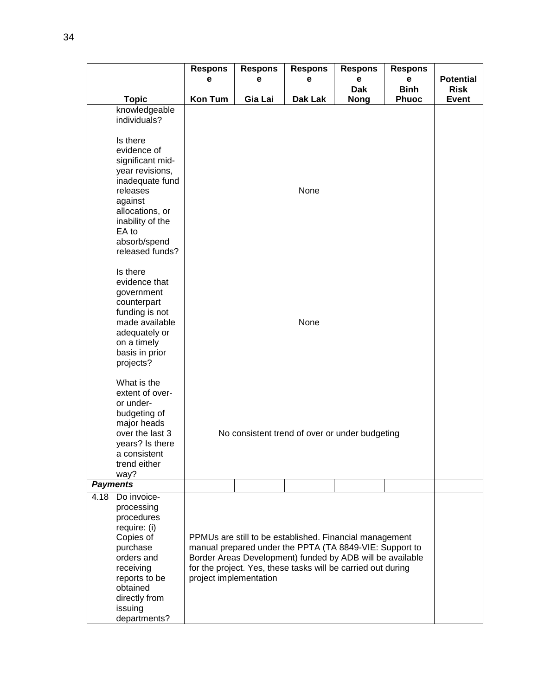|      |                                                                                                                                                                                                                                         | <b>Respons</b>         | <b>Respons</b> | <b>Respons</b>                                                                                                                                                                                                                                  | <b>Respons</b>            | <b>Respons</b>              |                      |
|------|-----------------------------------------------------------------------------------------------------------------------------------------------------------------------------------------------------------------------------------------|------------------------|----------------|-------------------------------------------------------------------------------------------------------------------------------------------------------------------------------------------------------------------------------------------------|---------------------------|-----------------------------|----------------------|
|      |                                                                                                                                                                                                                                         | е                      | е              | е                                                                                                                                                                                                                                               | e                         | е                           | <b>Potential</b>     |
|      | <b>Topic</b>                                                                                                                                                                                                                            | <b>Kon Tum</b>         | Gia Lai        | Dak Lak                                                                                                                                                                                                                                         | <b>Dak</b><br><b>Nong</b> | <b>Binh</b><br><b>Phuoc</b> | <b>Risk</b><br>Event |
|      | knowledgeable<br>individuals?<br>Is there<br>evidence of<br>significant mid-<br>year revisions,<br>inadequate fund<br>releases<br>against<br>allocations, or<br>inability of the<br>EA to<br>absorb/spend<br>released funds?            |                        |                | None                                                                                                                                                                                                                                            |                           |                             |                      |
|      | Is there<br>evidence that<br>government<br>counterpart<br>funding is not<br>made available<br>adequately or<br>on a timely<br>basis in prior<br>projects?<br>What is the<br>extent of over-<br>or under-<br>budgeting of<br>major heads |                        |                | None                                                                                                                                                                                                                                            |                           |                             |                      |
|      | over the last 3<br>years? Is there<br>a consistent<br>trend either<br>way?                                                                                                                                                              |                        |                | No consistent trend of over or under budgeting                                                                                                                                                                                                  |                           |                             |                      |
|      | <b>Payments</b>                                                                                                                                                                                                                         |                        |                |                                                                                                                                                                                                                                                 |                           |                             |                      |
| 4.18 | Do invoice-<br>processing<br>procedures<br>require: (i)<br>Copies of<br>purchase<br>orders and<br>receiving<br>reports to be<br>obtained<br>directly from<br>issuing<br>departments?                                                    | project implementation |                | PPMUs are still to be established. Financial management<br>manual prepared under the PPTA (TA 8849-VIE: Support to<br>Border Areas Development) funded by ADB will be available<br>for the project. Yes, these tasks will be carried out during |                           |                             |                      |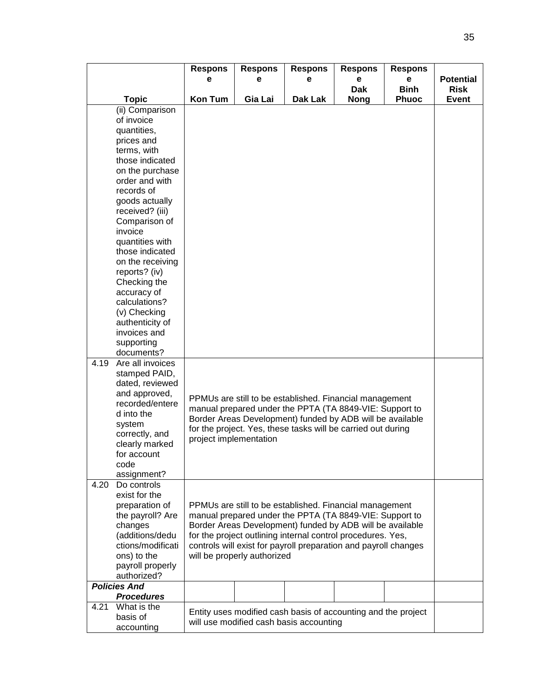|      |                                          | <b>Respons</b>         | <b>Respons</b>              | <b>Respons</b>                                                                                                            | <b>Respons</b> | <b>Respons</b> |                  |
|------|------------------------------------------|------------------------|-----------------------------|---------------------------------------------------------------------------------------------------------------------------|----------------|----------------|------------------|
|      |                                          | е                      | е                           | е                                                                                                                         | е              | е              | <b>Potential</b> |
|      |                                          |                        |                             |                                                                                                                           | <b>Dak</b>     | <b>Binh</b>    | <b>Risk</b>      |
|      | <b>Topic</b>                             | <b>Kon Tum</b>         | Gia Lai                     | Dak Lak                                                                                                                   | <b>Nong</b>    | <b>Phuoc</b>   | <b>Event</b>     |
|      | (ii) Comparison<br>of invoice            |                        |                             |                                                                                                                           |                |                |                  |
|      | quantities,                              |                        |                             |                                                                                                                           |                |                |                  |
|      | prices and                               |                        |                             |                                                                                                                           |                |                |                  |
|      | terms, with                              |                        |                             |                                                                                                                           |                |                |                  |
|      | those indicated                          |                        |                             |                                                                                                                           |                |                |                  |
|      | on the purchase                          |                        |                             |                                                                                                                           |                |                |                  |
|      | order and with                           |                        |                             |                                                                                                                           |                |                |                  |
|      | records of                               |                        |                             |                                                                                                                           |                |                |                  |
|      | goods actually                           |                        |                             |                                                                                                                           |                |                |                  |
|      | received? (iii)                          |                        |                             |                                                                                                                           |                |                |                  |
|      | Comparison of                            |                        |                             |                                                                                                                           |                |                |                  |
|      | invoice                                  |                        |                             |                                                                                                                           |                |                |                  |
|      | quantities with                          |                        |                             |                                                                                                                           |                |                |                  |
|      | those indicated<br>on the receiving      |                        |                             |                                                                                                                           |                |                |                  |
|      | reports? (iv)                            |                        |                             |                                                                                                                           |                |                |                  |
|      | Checking the                             |                        |                             |                                                                                                                           |                |                |                  |
|      | accuracy of                              |                        |                             |                                                                                                                           |                |                |                  |
|      | calculations?                            |                        |                             |                                                                                                                           |                |                |                  |
|      | (v) Checking                             |                        |                             |                                                                                                                           |                |                |                  |
|      | authenticity of                          |                        |                             |                                                                                                                           |                |                |                  |
|      | invoices and                             |                        |                             |                                                                                                                           |                |                |                  |
|      | supporting                               |                        |                             |                                                                                                                           |                |                |                  |
|      | documents?                               |                        |                             |                                                                                                                           |                |                |                  |
| 4.19 | Are all invoices<br>stamped PAID,        |                        |                             |                                                                                                                           |                |                |                  |
|      | dated, reviewed                          |                        |                             |                                                                                                                           |                |                |                  |
|      | and approved,                            |                        |                             |                                                                                                                           |                |                |                  |
|      | recorded/entere                          |                        |                             | PPMUs are still to be established. Financial management                                                                   |                |                |                  |
|      | d into the                               |                        |                             | manual prepared under the PPTA (TA 8849-VIE: Support to                                                                   |                |                |                  |
|      | system                                   |                        |                             | Border Areas Development) funded by ADB will be available<br>for the project. Yes, these tasks will be carried out during |                |                |                  |
|      | correctly, and                           | project implementation |                             |                                                                                                                           |                |                |                  |
|      | clearly marked                           |                        |                             |                                                                                                                           |                |                |                  |
|      | for account                              |                        |                             |                                                                                                                           |                |                |                  |
|      | code                                     |                        |                             |                                                                                                                           |                |                |                  |
| 4.20 | assignment?<br>Do controls               |                        |                             |                                                                                                                           |                |                |                  |
|      | exist for the                            |                        |                             |                                                                                                                           |                |                |                  |
|      | preparation of                           |                        |                             | PPMUs are still to be established. Financial management                                                                   |                |                |                  |
|      | the payroll? Are                         |                        |                             | manual prepared under the PPTA (TA 8849-VIE: Support to                                                                   |                |                |                  |
|      | changes                                  |                        |                             | Border Areas Development) funded by ADB will be available                                                                 |                |                |                  |
|      | (additions/dedu                          |                        |                             | for the project outlining internal control procedures. Yes,                                                               |                |                |                  |
|      | ctions/modificati                        |                        |                             | controls will exist for payroll preparation and payroll changes                                                           |                |                |                  |
|      | ons) to the                              |                        | will be properly authorized |                                                                                                                           |                |                |                  |
|      | payroll properly                         |                        |                             |                                                                                                                           |                |                |                  |
|      | authorized?                              |                        |                             |                                                                                                                           |                |                |                  |
|      | <b>Policies And</b><br><b>Procedures</b> |                        |                             |                                                                                                                           |                |                |                  |
| 4.21 | What is the                              |                        |                             |                                                                                                                           |                |                |                  |
|      | basis of                                 |                        |                             | Entity uses modified cash basis of accounting and the project                                                             |                |                |                  |
|      | accounting                               |                        |                             | will use modified cash basis accounting                                                                                   |                |                |                  |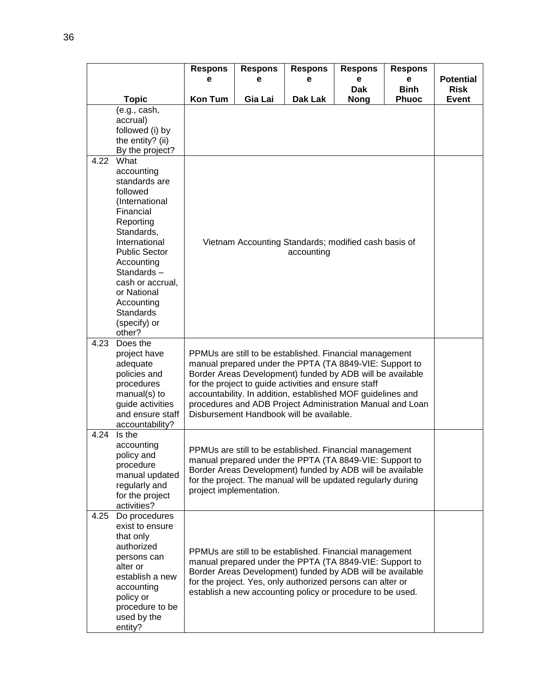|      |                                      | <b>Respons</b><br>e | <b>Respons</b><br>е     | <b>Respons</b><br>е                                                                                                | <b>Respons</b><br>e | <b>Respons</b><br>e | <b>Potential</b> |
|------|--------------------------------------|---------------------|-------------------------|--------------------------------------------------------------------------------------------------------------------|---------------------|---------------------|------------------|
|      |                                      |                     |                         |                                                                                                                    | <b>Dak</b>          | <b>Binh</b>         | <b>Risk</b>      |
|      | <b>Topic</b>                         | <b>Kon Tum</b>      | Gia Lai                 | Dak Lak                                                                                                            | <b>Nong</b>         | <b>Phuoc</b>        | Event            |
|      | (e.g., cash,<br>accrual)             |                     |                         |                                                                                                                    |                     |                     |                  |
|      | followed (i) by                      |                     |                         |                                                                                                                    |                     |                     |                  |
|      | the entity? (ii)                     |                     |                         |                                                                                                                    |                     |                     |                  |
|      | By the project?                      |                     |                         |                                                                                                                    |                     |                     |                  |
| 4.22 | What                                 |                     |                         |                                                                                                                    |                     |                     |                  |
|      | accounting<br>standards are          |                     |                         |                                                                                                                    |                     |                     |                  |
|      | followed                             |                     |                         |                                                                                                                    |                     |                     |                  |
|      | (International                       |                     |                         |                                                                                                                    |                     |                     |                  |
|      | Financial                            |                     |                         |                                                                                                                    |                     |                     |                  |
|      | Reporting                            |                     |                         |                                                                                                                    |                     |                     |                  |
|      | Standards,<br>International          |                     |                         | Vietnam Accounting Standards; modified cash basis of                                                               |                     |                     |                  |
|      | <b>Public Sector</b>                 |                     |                         | accounting                                                                                                         |                     |                     |                  |
|      | Accounting                           |                     |                         |                                                                                                                    |                     |                     |                  |
|      | Standards-                           |                     |                         |                                                                                                                    |                     |                     |                  |
|      | cash or accrual,                     |                     |                         |                                                                                                                    |                     |                     |                  |
|      | or National<br>Accounting            |                     |                         |                                                                                                                    |                     |                     |                  |
|      | <b>Standards</b>                     |                     |                         |                                                                                                                    |                     |                     |                  |
|      | (specify) or                         |                     |                         |                                                                                                                    |                     |                     |                  |
|      | other?                               |                     |                         |                                                                                                                    |                     |                     |                  |
| 4.23 | Does the                             |                     |                         |                                                                                                                    |                     |                     |                  |
|      | project have<br>adequate             |                     |                         | PPMUs are still to be established. Financial management<br>manual prepared under the PPTA (TA 8849-VIE: Support to |                     |                     |                  |
|      | policies and                         |                     |                         | Border Areas Development) funded by ADB will be available                                                          |                     |                     |                  |
|      | procedures                           |                     |                         | for the project to guide activities and ensure staff                                                               |                     |                     |                  |
|      | manual(s) to                         |                     |                         | accountability. In addition, established MOF guidelines and                                                        |                     |                     |                  |
|      | guide activities<br>and ensure staff |                     |                         | procedures and ADB Project Administration Manual and Loan<br>Disbursement Handbook will be available.              |                     |                     |                  |
|      | accountability?                      |                     |                         |                                                                                                                    |                     |                     |                  |
| 4.24 | Is the                               |                     |                         |                                                                                                                    |                     |                     |                  |
|      | accounting                           |                     |                         | PPMUs are still to be established. Financial management                                                            |                     |                     |                  |
|      | policy and                           |                     |                         | manual prepared under the PPTA (TA 8849-VIE: Support to                                                            |                     |                     |                  |
|      | procedure<br>manual updated          |                     |                         | Border Areas Development) funded by ADB will be available                                                          |                     |                     |                  |
|      | regularly and                        |                     |                         | for the project. The manual will be updated regularly during                                                       |                     |                     |                  |
|      | for the project                      |                     | project implementation. |                                                                                                                    |                     |                     |                  |
| 4.25 | activities?                          |                     |                         |                                                                                                                    |                     |                     |                  |
|      | Do procedures<br>exist to ensure     |                     |                         |                                                                                                                    |                     |                     |                  |
|      | that only                            |                     |                         |                                                                                                                    |                     |                     |                  |
|      | authorized                           |                     |                         | PPMUs are still to be established. Financial management                                                            |                     |                     |                  |
|      | persons can                          |                     |                         | manual prepared under the PPTA (TA 8849-VIE: Support to                                                            |                     |                     |                  |
|      | alter or                             |                     |                         | Border Areas Development) funded by ADB will be available                                                          |                     |                     |                  |
|      | establish a new<br>accounting        |                     |                         | for the project. Yes, only authorized persons can alter or                                                         |                     |                     |                  |
|      | policy or                            |                     |                         | establish a new accounting policy or procedure to be used.                                                         |                     |                     |                  |
|      | procedure to be                      |                     |                         |                                                                                                                    |                     |                     |                  |
|      | used by the                          |                     |                         |                                                                                                                    |                     |                     |                  |
|      | entity?                              |                     |                         |                                                                                                                    |                     |                     |                  |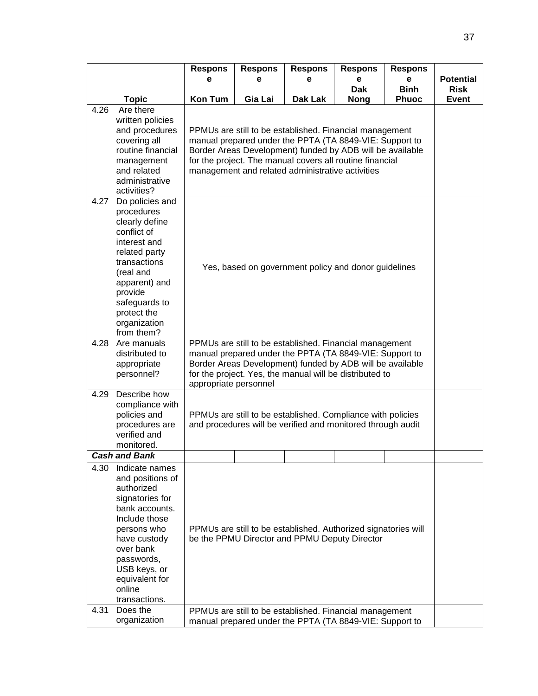| <b>Binh</b><br><b>Dak</b><br><b>Risk</b><br><b>Topic</b><br><b>Kon Tum</b><br>Gia Lai<br>Dak Lak<br><b>Phuoc</b><br><b>Event</b><br><b>Nong</b><br>4.26<br>Are there<br>written policies<br>and procedures<br>PPMUs are still to be established. Financial management<br>manual prepared under the PPTA (TA 8849-VIE: Support to<br>covering all<br>routine financial<br>Border Areas Development) funded by ADB will be available<br>for the project. The manual covers all routine financial<br>management<br>and related<br>management and related administrative activities<br>administrative<br>activities?<br>4.27<br>Do policies and<br>procedures<br>clearly define<br>conflict of<br>interest and<br>related party<br>transactions<br>Yes, based on government policy and donor guidelines<br>(real and<br>apparent) and<br>provide<br>safeguards to<br>protect the<br>organization<br>from them?<br>PPMUs are still to be established. Financial management<br>4.28<br>Are manuals<br>manual prepared under the PPTA (TA 8849-VIE: Support to<br>distributed to<br>Border Areas Development) funded by ADB will be available<br>appropriate<br>personnel?<br>for the project. Yes, the manual will be distributed to<br>appropriate personnel<br>4.29<br>Describe how<br>compliance with<br>policies and<br>PPMUs are still to be established. Compliance with policies<br>and procedures will be verified and monitored through audit<br>procedures are<br>verified and<br>monitored.<br><b>Cash and Bank</b><br>4.30<br>Indicate names<br>and positions of<br>authorized<br>signatories for<br>bank accounts.<br>Include those<br>persons who<br>PPMUs are still to be established. Authorized signatories will<br>be the PPMU Director and PPMU Deputy Director<br>have custody<br>over bank<br>passwords,<br>USB keys, or<br>equivalent for<br>online<br>transactions.<br>4.31<br>Does the<br>PPMUs are still to be established. Financial management<br>manual prepared under the PPTA (TA 8849-VIE: Support to |              | <b>Respons</b><br>е | <b>Respons</b><br>е | <b>Respons</b><br>е | <b>Respons</b><br>е | <b>Respons</b><br>е | <b>Potential</b> |  |  |  |
|--------------------------------------------------------------------------------------------------------------------------------------------------------------------------------------------------------------------------------------------------------------------------------------------------------------------------------------------------------------------------------------------------------------------------------------------------------------------------------------------------------------------------------------------------------------------------------------------------------------------------------------------------------------------------------------------------------------------------------------------------------------------------------------------------------------------------------------------------------------------------------------------------------------------------------------------------------------------------------------------------------------------------------------------------------------------------------------------------------------------------------------------------------------------------------------------------------------------------------------------------------------------------------------------------------------------------------------------------------------------------------------------------------------------------------------------------------------------------------------------------------------------------------------------------------------------------------------------------------------------------------------------------------------------------------------------------------------------------------------------------------------------------------------------------------------------------------------------------------------------------------------------------------------------------------------------------------------------------------------------------------------------------------|--------------|---------------------|---------------------|---------------------|---------------------|---------------------|------------------|--|--|--|
|                                                                                                                                                                                                                                                                                                                                                                                                                                                                                                                                                                                                                                                                                                                                                                                                                                                                                                                                                                                                                                                                                                                                                                                                                                                                                                                                                                                                                                                                                                                                                                                                                                                                                                                                                                                                                                                                                                                                                                                                                                |              |                     |                     |                     |                     |                     |                  |  |  |  |
|                                                                                                                                                                                                                                                                                                                                                                                                                                                                                                                                                                                                                                                                                                                                                                                                                                                                                                                                                                                                                                                                                                                                                                                                                                                                                                                                                                                                                                                                                                                                                                                                                                                                                                                                                                                                                                                                                                                                                                                                                                |              |                     |                     |                     |                     |                     |                  |  |  |  |
|                                                                                                                                                                                                                                                                                                                                                                                                                                                                                                                                                                                                                                                                                                                                                                                                                                                                                                                                                                                                                                                                                                                                                                                                                                                                                                                                                                                                                                                                                                                                                                                                                                                                                                                                                                                                                                                                                                                                                                                                                                |              |                     |                     |                     |                     |                     |                  |  |  |  |
|                                                                                                                                                                                                                                                                                                                                                                                                                                                                                                                                                                                                                                                                                                                                                                                                                                                                                                                                                                                                                                                                                                                                                                                                                                                                                                                                                                                                                                                                                                                                                                                                                                                                                                                                                                                                                                                                                                                                                                                                                                |              |                     |                     |                     |                     |                     |                  |  |  |  |
|                                                                                                                                                                                                                                                                                                                                                                                                                                                                                                                                                                                                                                                                                                                                                                                                                                                                                                                                                                                                                                                                                                                                                                                                                                                                                                                                                                                                                                                                                                                                                                                                                                                                                                                                                                                                                                                                                                                                                                                                                                |              |                     |                     |                     |                     |                     |                  |  |  |  |
|                                                                                                                                                                                                                                                                                                                                                                                                                                                                                                                                                                                                                                                                                                                                                                                                                                                                                                                                                                                                                                                                                                                                                                                                                                                                                                                                                                                                                                                                                                                                                                                                                                                                                                                                                                                                                                                                                                                                                                                                                                |              |                     |                     |                     |                     |                     |                  |  |  |  |
|                                                                                                                                                                                                                                                                                                                                                                                                                                                                                                                                                                                                                                                                                                                                                                                                                                                                                                                                                                                                                                                                                                                                                                                                                                                                                                                                                                                                                                                                                                                                                                                                                                                                                                                                                                                                                                                                                                                                                                                                                                |              |                     |                     |                     |                     |                     |                  |  |  |  |
|                                                                                                                                                                                                                                                                                                                                                                                                                                                                                                                                                                                                                                                                                                                                                                                                                                                                                                                                                                                                                                                                                                                                                                                                                                                                                                                                                                                                                                                                                                                                                                                                                                                                                                                                                                                                                                                                                                                                                                                                                                |              |                     |                     |                     |                     |                     |                  |  |  |  |
|                                                                                                                                                                                                                                                                                                                                                                                                                                                                                                                                                                                                                                                                                                                                                                                                                                                                                                                                                                                                                                                                                                                                                                                                                                                                                                                                                                                                                                                                                                                                                                                                                                                                                                                                                                                                                                                                                                                                                                                                                                |              |                     |                     |                     |                     |                     |                  |  |  |  |
|                                                                                                                                                                                                                                                                                                                                                                                                                                                                                                                                                                                                                                                                                                                                                                                                                                                                                                                                                                                                                                                                                                                                                                                                                                                                                                                                                                                                                                                                                                                                                                                                                                                                                                                                                                                                                                                                                                                                                                                                                                |              |                     |                     |                     |                     |                     |                  |  |  |  |
|                                                                                                                                                                                                                                                                                                                                                                                                                                                                                                                                                                                                                                                                                                                                                                                                                                                                                                                                                                                                                                                                                                                                                                                                                                                                                                                                                                                                                                                                                                                                                                                                                                                                                                                                                                                                                                                                                                                                                                                                                                |              |                     |                     |                     |                     |                     |                  |  |  |  |
|                                                                                                                                                                                                                                                                                                                                                                                                                                                                                                                                                                                                                                                                                                                                                                                                                                                                                                                                                                                                                                                                                                                                                                                                                                                                                                                                                                                                                                                                                                                                                                                                                                                                                                                                                                                                                                                                                                                                                                                                                                |              |                     |                     |                     |                     |                     |                  |  |  |  |
|                                                                                                                                                                                                                                                                                                                                                                                                                                                                                                                                                                                                                                                                                                                                                                                                                                                                                                                                                                                                                                                                                                                                                                                                                                                                                                                                                                                                                                                                                                                                                                                                                                                                                                                                                                                                                                                                                                                                                                                                                                |              |                     |                     |                     |                     |                     |                  |  |  |  |
|                                                                                                                                                                                                                                                                                                                                                                                                                                                                                                                                                                                                                                                                                                                                                                                                                                                                                                                                                                                                                                                                                                                                                                                                                                                                                                                                                                                                                                                                                                                                                                                                                                                                                                                                                                                                                                                                                                                                                                                                                                |              |                     |                     |                     |                     |                     |                  |  |  |  |
|                                                                                                                                                                                                                                                                                                                                                                                                                                                                                                                                                                                                                                                                                                                                                                                                                                                                                                                                                                                                                                                                                                                                                                                                                                                                                                                                                                                                                                                                                                                                                                                                                                                                                                                                                                                                                                                                                                                                                                                                                                |              |                     |                     |                     |                     |                     |                  |  |  |  |
|                                                                                                                                                                                                                                                                                                                                                                                                                                                                                                                                                                                                                                                                                                                                                                                                                                                                                                                                                                                                                                                                                                                                                                                                                                                                                                                                                                                                                                                                                                                                                                                                                                                                                                                                                                                                                                                                                                                                                                                                                                |              |                     |                     |                     |                     |                     |                  |  |  |  |
|                                                                                                                                                                                                                                                                                                                                                                                                                                                                                                                                                                                                                                                                                                                                                                                                                                                                                                                                                                                                                                                                                                                                                                                                                                                                                                                                                                                                                                                                                                                                                                                                                                                                                                                                                                                                                                                                                                                                                                                                                                |              |                     |                     |                     |                     |                     |                  |  |  |  |
|                                                                                                                                                                                                                                                                                                                                                                                                                                                                                                                                                                                                                                                                                                                                                                                                                                                                                                                                                                                                                                                                                                                                                                                                                                                                                                                                                                                                                                                                                                                                                                                                                                                                                                                                                                                                                                                                                                                                                                                                                                |              |                     |                     |                     |                     |                     |                  |  |  |  |
|                                                                                                                                                                                                                                                                                                                                                                                                                                                                                                                                                                                                                                                                                                                                                                                                                                                                                                                                                                                                                                                                                                                                                                                                                                                                                                                                                                                                                                                                                                                                                                                                                                                                                                                                                                                                                                                                                                                                                                                                                                |              |                     |                     |                     |                     |                     |                  |  |  |  |
|                                                                                                                                                                                                                                                                                                                                                                                                                                                                                                                                                                                                                                                                                                                                                                                                                                                                                                                                                                                                                                                                                                                                                                                                                                                                                                                                                                                                                                                                                                                                                                                                                                                                                                                                                                                                                                                                                                                                                                                                                                |              |                     |                     |                     |                     |                     |                  |  |  |  |
|                                                                                                                                                                                                                                                                                                                                                                                                                                                                                                                                                                                                                                                                                                                                                                                                                                                                                                                                                                                                                                                                                                                                                                                                                                                                                                                                                                                                                                                                                                                                                                                                                                                                                                                                                                                                                                                                                                                                                                                                                                |              |                     |                     |                     |                     |                     |                  |  |  |  |
|                                                                                                                                                                                                                                                                                                                                                                                                                                                                                                                                                                                                                                                                                                                                                                                                                                                                                                                                                                                                                                                                                                                                                                                                                                                                                                                                                                                                                                                                                                                                                                                                                                                                                                                                                                                                                                                                                                                                                                                                                                |              |                     |                     |                     |                     |                     |                  |  |  |  |
|                                                                                                                                                                                                                                                                                                                                                                                                                                                                                                                                                                                                                                                                                                                                                                                                                                                                                                                                                                                                                                                                                                                                                                                                                                                                                                                                                                                                                                                                                                                                                                                                                                                                                                                                                                                                                                                                                                                                                                                                                                |              |                     |                     |                     |                     |                     |                  |  |  |  |
|                                                                                                                                                                                                                                                                                                                                                                                                                                                                                                                                                                                                                                                                                                                                                                                                                                                                                                                                                                                                                                                                                                                                                                                                                                                                                                                                                                                                                                                                                                                                                                                                                                                                                                                                                                                                                                                                                                                                                                                                                                |              |                     |                     |                     |                     |                     |                  |  |  |  |
|                                                                                                                                                                                                                                                                                                                                                                                                                                                                                                                                                                                                                                                                                                                                                                                                                                                                                                                                                                                                                                                                                                                                                                                                                                                                                                                                                                                                                                                                                                                                                                                                                                                                                                                                                                                                                                                                                                                                                                                                                                |              |                     |                     |                     |                     |                     |                  |  |  |  |
|                                                                                                                                                                                                                                                                                                                                                                                                                                                                                                                                                                                                                                                                                                                                                                                                                                                                                                                                                                                                                                                                                                                                                                                                                                                                                                                                                                                                                                                                                                                                                                                                                                                                                                                                                                                                                                                                                                                                                                                                                                |              |                     |                     |                     |                     |                     |                  |  |  |  |
|                                                                                                                                                                                                                                                                                                                                                                                                                                                                                                                                                                                                                                                                                                                                                                                                                                                                                                                                                                                                                                                                                                                                                                                                                                                                                                                                                                                                                                                                                                                                                                                                                                                                                                                                                                                                                                                                                                                                                                                                                                |              |                     |                     |                     |                     |                     |                  |  |  |  |
|                                                                                                                                                                                                                                                                                                                                                                                                                                                                                                                                                                                                                                                                                                                                                                                                                                                                                                                                                                                                                                                                                                                                                                                                                                                                                                                                                                                                                                                                                                                                                                                                                                                                                                                                                                                                                                                                                                                                                                                                                                |              |                     |                     |                     |                     |                     |                  |  |  |  |
|                                                                                                                                                                                                                                                                                                                                                                                                                                                                                                                                                                                                                                                                                                                                                                                                                                                                                                                                                                                                                                                                                                                                                                                                                                                                                                                                                                                                                                                                                                                                                                                                                                                                                                                                                                                                                                                                                                                                                                                                                                |              |                     |                     |                     |                     |                     |                  |  |  |  |
|                                                                                                                                                                                                                                                                                                                                                                                                                                                                                                                                                                                                                                                                                                                                                                                                                                                                                                                                                                                                                                                                                                                                                                                                                                                                                                                                                                                                                                                                                                                                                                                                                                                                                                                                                                                                                                                                                                                                                                                                                                |              |                     |                     |                     |                     |                     |                  |  |  |  |
|                                                                                                                                                                                                                                                                                                                                                                                                                                                                                                                                                                                                                                                                                                                                                                                                                                                                                                                                                                                                                                                                                                                                                                                                                                                                                                                                                                                                                                                                                                                                                                                                                                                                                                                                                                                                                                                                                                                                                                                                                                |              |                     |                     |                     |                     |                     |                  |  |  |  |
|                                                                                                                                                                                                                                                                                                                                                                                                                                                                                                                                                                                                                                                                                                                                                                                                                                                                                                                                                                                                                                                                                                                                                                                                                                                                                                                                                                                                                                                                                                                                                                                                                                                                                                                                                                                                                                                                                                                                                                                                                                |              |                     |                     |                     |                     |                     |                  |  |  |  |
|                                                                                                                                                                                                                                                                                                                                                                                                                                                                                                                                                                                                                                                                                                                                                                                                                                                                                                                                                                                                                                                                                                                                                                                                                                                                                                                                                                                                                                                                                                                                                                                                                                                                                                                                                                                                                                                                                                                                                                                                                                |              |                     |                     |                     |                     |                     |                  |  |  |  |
|                                                                                                                                                                                                                                                                                                                                                                                                                                                                                                                                                                                                                                                                                                                                                                                                                                                                                                                                                                                                                                                                                                                                                                                                                                                                                                                                                                                                                                                                                                                                                                                                                                                                                                                                                                                                                                                                                                                                                                                                                                |              |                     |                     |                     |                     |                     |                  |  |  |  |
|                                                                                                                                                                                                                                                                                                                                                                                                                                                                                                                                                                                                                                                                                                                                                                                                                                                                                                                                                                                                                                                                                                                                                                                                                                                                                                                                                                                                                                                                                                                                                                                                                                                                                                                                                                                                                                                                                                                                                                                                                                |              |                     |                     |                     |                     |                     |                  |  |  |  |
|                                                                                                                                                                                                                                                                                                                                                                                                                                                                                                                                                                                                                                                                                                                                                                                                                                                                                                                                                                                                                                                                                                                                                                                                                                                                                                                                                                                                                                                                                                                                                                                                                                                                                                                                                                                                                                                                                                                                                                                                                                |              |                     |                     |                     |                     |                     |                  |  |  |  |
|                                                                                                                                                                                                                                                                                                                                                                                                                                                                                                                                                                                                                                                                                                                                                                                                                                                                                                                                                                                                                                                                                                                                                                                                                                                                                                                                                                                                                                                                                                                                                                                                                                                                                                                                                                                                                                                                                                                                                                                                                                |              |                     |                     |                     |                     |                     |                  |  |  |  |
|                                                                                                                                                                                                                                                                                                                                                                                                                                                                                                                                                                                                                                                                                                                                                                                                                                                                                                                                                                                                                                                                                                                                                                                                                                                                                                                                                                                                                                                                                                                                                                                                                                                                                                                                                                                                                                                                                                                                                                                                                                |              |                     |                     |                     |                     |                     |                  |  |  |  |
|                                                                                                                                                                                                                                                                                                                                                                                                                                                                                                                                                                                                                                                                                                                                                                                                                                                                                                                                                                                                                                                                                                                                                                                                                                                                                                                                                                                                                                                                                                                                                                                                                                                                                                                                                                                                                                                                                                                                                                                                                                |              |                     |                     |                     |                     |                     |                  |  |  |  |
|                                                                                                                                                                                                                                                                                                                                                                                                                                                                                                                                                                                                                                                                                                                                                                                                                                                                                                                                                                                                                                                                                                                                                                                                                                                                                                                                                                                                                                                                                                                                                                                                                                                                                                                                                                                                                                                                                                                                                                                                                                |              |                     |                     |                     |                     |                     |                  |  |  |  |
|                                                                                                                                                                                                                                                                                                                                                                                                                                                                                                                                                                                                                                                                                                                                                                                                                                                                                                                                                                                                                                                                                                                                                                                                                                                                                                                                                                                                                                                                                                                                                                                                                                                                                                                                                                                                                                                                                                                                                                                                                                |              |                     |                     |                     |                     |                     |                  |  |  |  |
|                                                                                                                                                                                                                                                                                                                                                                                                                                                                                                                                                                                                                                                                                                                                                                                                                                                                                                                                                                                                                                                                                                                                                                                                                                                                                                                                                                                                                                                                                                                                                                                                                                                                                                                                                                                                                                                                                                                                                                                                                                |              |                     |                     |                     |                     |                     |                  |  |  |  |
|                                                                                                                                                                                                                                                                                                                                                                                                                                                                                                                                                                                                                                                                                                                                                                                                                                                                                                                                                                                                                                                                                                                                                                                                                                                                                                                                                                                                                                                                                                                                                                                                                                                                                                                                                                                                                                                                                                                                                                                                                                |              |                     |                     |                     |                     |                     |                  |  |  |  |
|                                                                                                                                                                                                                                                                                                                                                                                                                                                                                                                                                                                                                                                                                                                                                                                                                                                                                                                                                                                                                                                                                                                                                                                                                                                                                                                                                                                                                                                                                                                                                                                                                                                                                                                                                                                                                                                                                                                                                                                                                                |              |                     |                     |                     |                     |                     |                  |  |  |  |
|                                                                                                                                                                                                                                                                                                                                                                                                                                                                                                                                                                                                                                                                                                                                                                                                                                                                                                                                                                                                                                                                                                                                                                                                                                                                                                                                                                                                                                                                                                                                                                                                                                                                                                                                                                                                                                                                                                                                                                                                                                |              |                     |                     |                     |                     |                     |                  |  |  |  |
|                                                                                                                                                                                                                                                                                                                                                                                                                                                                                                                                                                                                                                                                                                                                                                                                                                                                                                                                                                                                                                                                                                                                                                                                                                                                                                                                                                                                                                                                                                                                                                                                                                                                                                                                                                                                                                                                                                                                                                                                                                | organization |                     |                     |                     |                     |                     |                  |  |  |  |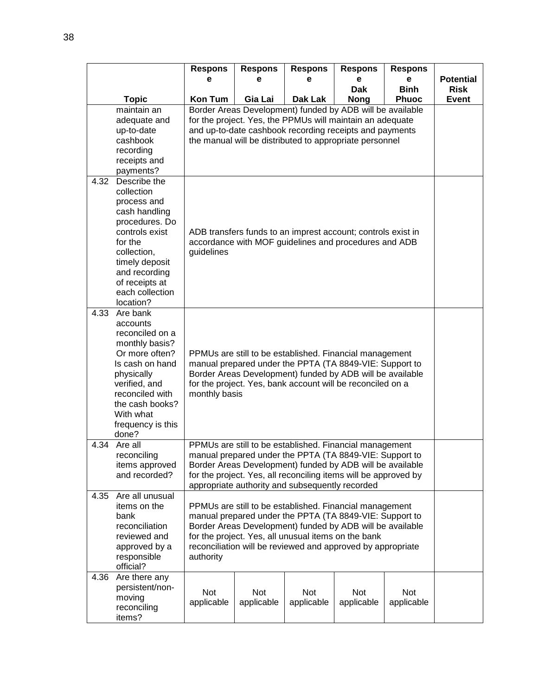|      |                                  | <b>Respons</b>                                                                                                   | <b>Respons</b>                                                                                                         | <b>Respons</b>                                                  | <b>Respons</b> | <b>Respons</b> |                  |  |  |
|------|----------------------------------|------------------------------------------------------------------------------------------------------------------|------------------------------------------------------------------------------------------------------------------------|-----------------------------------------------------------------|----------------|----------------|------------------|--|--|
|      |                                  | е                                                                                                                | е                                                                                                                      | е                                                               | е              | e              | <b>Potential</b> |  |  |
|      |                                  |                                                                                                                  |                                                                                                                        |                                                                 | <b>Dak</b>     | <b>Binh</b>    | <b>Risk</b>      |  |  |
|      | <b>Topic</b>                     | <b>Kon Tum</b>                                                                                                   | Gia Lai                                                                                                                | Dak Lak                                                         | <b>Nong</b>    | <b>Phuoc</b>   | <b>Event</b>     |  |  |
|      | maintain an                      |                                                                                                                  | Border Areas Development) funded by ADB will be available<br>for the project. Yes, the PPMUs will maintain an adequate |                                                                 |                |                |                  |  |  |
|      | adequate and                     |                                                                                                                  |                                                                                                                        |                                                                 |                |                |                  |  |  |
|      | up-to-date                       |                                                                                                                  |                                                                                                                        | and up-to-date cashbook recording receipts and payments         |                |                |                  |  |  |
|      | cashbook                         |                                                                                                                  |                                                                                                                        | the manual will be distributed to appropriate personnel         |                |                |                  |  |  |
|      | recording                        |                                                                                                                  |                                                                                                                        |                                                                 |                |                |                  |  |  |
|      | receipts and<br>payments?        |                                                                                                                  |                                                                                                                        |                                                                 |                |                |                  |  |  |
| 4.32 | Describe the                     |                                                                                                                  |                                                                                                                        |                                                                 |                |                |                  |  |  |
|      | collection                       |                                                                                                                  |                                                                                                                        |                                                                 |                |                |                  |  |  |
|      | process and                      |                                                                                                                  |                                                                                                                        |                                                                 |                |                |                  |  |  |
|      | cash handling                    |                                                                                                                  |                                                                                                                        |                                                                 |                |                |                  |  |  |
|      | procedures. Do                   |                                                                                                                  |                                                                                                                        |                                                                 |                |                |                  |  |  |
|      | controls exist                   | ADB transfers funds to an imprest account; controls exist in                                                     |                                                                                                                        |                                                                 |                |                |                  |  |  |
|      | for the                          | accordance with MOF guidelines and procedures and ADB                                                            |                                                                                                                        |                                                                 |                |                |                  |  |  |
|      | collection,                      | guidelines                                                                                                       |                                                                                                                        |                                                                 |                |                |                  |  |  |
|      | timely deposit                   |                                                                                                                  |                                                                                                                        |                                                                 |                |                |                  |  |  |
|      | and recording                    |                                                                                                                  |                                                                                                                        |                                                                 |                |                |                  |  |  |
|      | of receipts at                   |                                                                                                                  |                                                                                                                        |                                                                 |                |                |                  |  |  |
|      | each collection                  |                                                                                                                  |                                                                                                                        |                                                                 |                |                |                  |  |  |
|      | location?                        |                                                                                                                  |                                                                                                                        |                                                                 |                |                |                  |  |  |
| 4.33 | Are bank                         |                                                                                                                  |                                                                                                                        |                                                                 |                |                |                  |  |  |
|      | accounts                         |                                                                                                                  |                                                                                                                        |                                                                 |                |                |                  |  |  |
|      | reconciled on a                  |                                                                                                                  |                                                                                                                        |                                                                 |                |                |                  |  |  |
|      | monthly basis?                   |                                                                                                                  |                                                                                                                        |                                                                 |                |                |                  |  |  |
|      | Or more often?                   |                                                                                                                  |                                                                                                                        | PPMUs are still to be established. Financial management         |                |                |                  |  |  |
|      | Is cash on hand                  |                                                                                                                  |                                                                                                                        | manual prepared under the PPTA (TA 8849-VIE: Support to         |                |                |                  |  |  |
|      | physically                       |                                                                                                                  |                                                                                                                        | Border Areas Development) funded by ADB will be available       |                |                |                  |  |  |
|      | verified, and<br>reconciled with |                                                                                                                  |                                                                                                                        | for the project. Yes, bank account will be reconciled on a      |                |                |                  |  |  |
|      | the cash books?                  | monthly basis                                                                                                    |                                                                                                                        |                                                                 |                |                |                  |  |  |
|      | With what                        |                                                                                                                  |                                                                                                                        |                                                                 |                |                |                  |  |  |
|      | frequency is this                |                                                                                                                  |                                                                                                                        |                                                                 |                |                |                  |  |  |
|      | done?                            |                                                                                                                  |                                                                                                                        |                                                                 |                |                |                  |  |  |
| 4.34 | Are all                          |                                                                                                                  |                                                                                                                        | PPMUs are still to be established. Financial management         |                |                |                  |  |  |
|      | reconciling                      |                                                                                                                  |                                                                                                                        | manual prepared under the PPTA (TA 8849-VIE: Support to         |                |                |                  |  |  |
|      | items approved                   |                                                                                                                  |                                                                                                                        | Border Areas Development) funded by ADB will be available       |                |                |                  |  |  |
|      | and recorded?                    |                                                                                                                  |                                                                                                                        | for the project. Yes, all reconciling items will be approved by |                |                |                  |  |  |
|      |                                  |                                                                                                                  |                                                                                                                        | appropriate authority and subsequently recorded                 |                |                |                  |  |  |
| 4.35 | Are all unusual                  |                                                                                                                  |                                                                                                                        |                                                                 |                |                |                  |  |  |
|      | items on the                     |                                                                                                                  |                                                                                                                        | PPMUs are still to be established. Financial management         |                |                |                  |  |  |
|      | bank                             | manual prepared under the PPTA (TA 8849-VIE: Support to                                                          |                                                                                                                        |                                                                 |                |                |                  |  |  |
|      | reconciliation                   | Border Areas Development) funded by ADB will be available<br>for the project. Yes, all unusual items on the bank |                                                                                                                        |                                                                 |                |                |                  |  |  |
|      | reviewed and                     |                                                                                                                  |                                                                                                                        |                                                                 |                |                |                  |  |  |
|      | approved by a                    |                                                                                                                  |                                                                                                                        | reconciliation will be reviewed and approved by appropriate     |                |                |                  |  |  |
|      | responsible                      | authority                                                                                                        |                                                                                                                        |                                                                 |                |                |                  |  |  |
|      | official?                        |                                                                                                                  |                                                                                                                        |                                                                 |                |                |                  |  |  |
| 4.36 | Are there any                    |                                                                                                                  |                                                                                                                        |                                                                 |                |                |                  |  |  |
|      | persistent/non-                  | Not                                                                                                              | Not                                                                                                                    | Not                                                             | Not            | Not            |                  |  |  |
|      | moving                           | applicable                                                                                                       | applicable                                                                                                             | applicable                                                      | applicable     | applicable     |                  |  |  |
|      | reconciling                      |                                                                                                                  |                                                                                                                        |                                                                 |                |                |                  |  |  |
|      | items?                           |                                                                                                                  |                                                                                                                        |                                                                 |                |                |                  |  |  |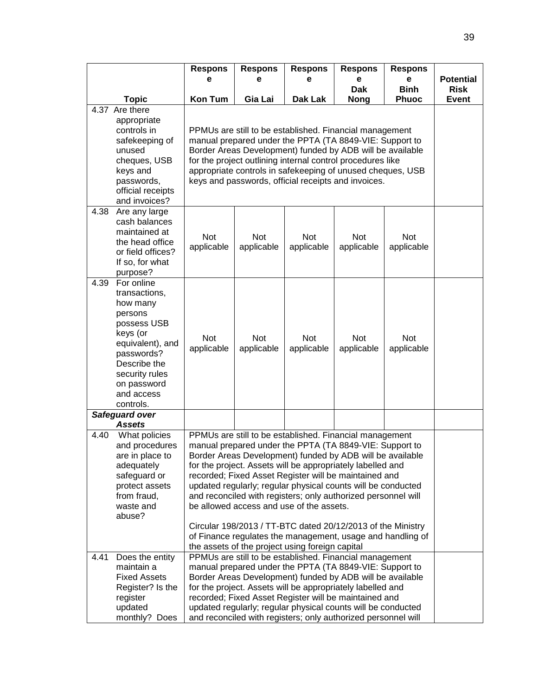|      |                                                                                                                                                                                             | <b>Respons</b>                                                                                                                                                                                                                                                                                                                                                                                                                                                                                                                                                                                                                                                      | <b>Respons</b>                                                                                                                                                                                                                                                                                                                                                                                                                          | <b>Respons</b>    | <b>Respons</b>            | <b>Respons</b>              |                             |  |  |
|------|---------------------------------------------------------------------------------------------------------------------------------------------------------------------------------------------|---------------------------------------------------------------------------------------------------------------------------------------------------------------------------------------------------------------------------------------------------------------------------------------------------------------------------------------------------------------------------------------------------------------------------------------------------------------------------------------------------------------------------------------------------------------------------------------------------------------------------------------------------------------------|-----------------------------------------------------------------------------------------------------------------------------------------------------------------------------------------------------------------------------------------------------------------------------------------------------------------------------------------------------------------------------------------------------------------------------------------|-------------------|---------------------------|-----------------------------|-----------------------------|--|--|
|      |                                                                                                                                                                                             | е                                                                                                                                                                                                                                                                                                                                                                                                                                                                                                                                                                                                                                                                   | е                                                                                                                                                                                                                                                                                                                                                                                                                                       | е                 | е                         | е                           | <b>Potential</b>            |  |  |
|      | <b>Topic</b>                                                                                                                                                                                | <b>Kon Tum</b>                                                                                                                                                                                                                                                                                                                                                                                                                                                                                                                                                                                                                                                      | Gia Lai                                                                                                                                                                                                                                                                                                                                                                                                                                 | Dak Lak           | <b>Dak</b><br><b>Nong</b> | <b>Binh</b><br><b>Phuoc</b> | <b>Risk</b><br><b>Event</b> |  |  |
|      | 4.37 Are there<br>appropriate<br>controls in<br>safekeeping of<br>unused<br>cheques, USB<br>keys and<br>passwords,<br>official receipts<br>and invoices?                                    |                                                                                                                                                                                                                                                                                                                                                                                                                                                                                                                                                                                                                                                                     | PPMUs are still to be established. Financial management<br>manual prepared under the PPTA (TA 8849-VIE: Support to<br>Border Areas Development) funded by ADB will be available<br>for the project outlining internal control procedures like<br>appropriate controls in safekeeping of unused cheques, USB<br>keys and passwords, official receipts and invoices.                                                                      |                   |                           |                             |                             |  |  |
| 4.38 | Are any large<br>cash balances<br>maintained at<br>the head office<br>or field offices?<br>If so, for what<br>purpose?                                                                      | Not<br>applicable                                                                                                                                                                                                                                                                                                                                                                                                                                                                                                                                                                                                                                                   | <b>Not</b><br>applicable                                                                                                                                                                                                                                                                                                                                                                                                                | Not<br>applicable | Not<br>applicable         | Not<br>applicable           |                             |  |  |
| 4.39 | For online<br>transactions,<br>how many<br>persons<br>possess USB<br>keys (or<br>equivalent), and<br>passwords?<br>Describe the<br>security rules<br>on password<br>and access<br>controls. | <b>Not</b><br>applicable                                                                                                                                                                                                                                                                                                                                                                                                                                                                                                                                                                                                                                            | <b>Not</b><br>applicable                                                                                                                                                                                                                                                                                                                                                                                                                | Not<br>applicable | Not<br>applicable         | Not<br>applicable           |                             |  |  |
|      | Safeguard over<br><b>Assets</b>                                                                                                                                                             |                                                                                                                                                                                                                                                                                                                                                                                                                                                                                                                                                                                                                                                                     |                                                                                                                                                                                                                                                                                                                                                                                                                                         |                   |                           |                             |                             |  |  |
| 4.40 | What policies<br>and procedures<br>are in place to<br>adequately<br>safeguard or<br>protect assets<br>from fraud,<br>waste and<br>abuse?                                                    | PPMUs are still to be established. Financial management<br>manual prepared under the PPTA (TA 8849-VIE: Support to<br>Border Areas Development) funded by ADB will be available<br>for the project. Assets will be appropriately labelled and<br>recorded; Fixed Asset Register will be maintained and<br>updated regularly; regular physical counts will be conducted<br>and reconciled with registers; only authorized personnel will<br>be allowed access and use of the assets.<br>Circular 198/2013 / TT-BTC dated 20/12/2013 of the Ministry<br>of Finance regulates the management, usage and handling of<br>the assets of the project using foreign capital |                                                                                                                                                                                                                                                                                                                                                                                                                                         |                   |                           |                             |                             |  |  |
| 4.41 | Does the entity<br>maintain a<br><b>Fixed Assets</b><br>Register? Is the<br>register<br>updated<br>monthly? Does                                                                            |                                                                                                                                                                                                                                                                                                                                                                                                                                                                                                                                                                                                                                                                     | PPMUs are still to be established. Financial management<br>manual prepared under the PPTA (TA 8849-VIE: Support to<br>Border Areas Development) funded by ADB will be available<br>for the project. Assets will be appropriately labelled and<br>recorded; Fixed Asset Register will be maintained and<br>updated regularly; regular physical counts will be conducted<br>and reconciled with registers; only authorized personnel will |                   |                           |                             |                             |  |  |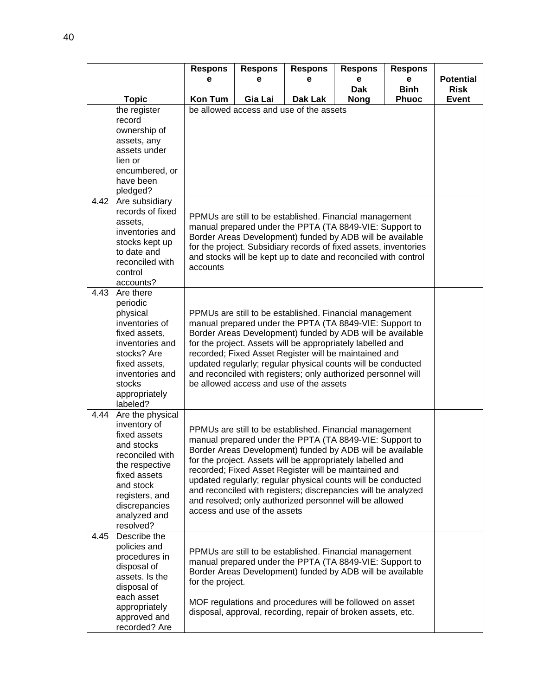|      |                                  | <b>Respons</b>   | <b>Respons</b>                                                                                                                | <b>Respons</b>                                                                                                          | <b>Respons</b> | <b>Respons</b> |                  |  |  |
|------|----------------------------------|------------------|-------------------------------------------------------------------------------------------------------------------------------|-------------------------------------------------------------------------------------------------------------------------|----------------|----------------|------------------|--|--|
|      |                                  | е                | е                                                                                                                             | е                                                                                                                       | e              | e              | <b>Potential</b> |  |  |
|      |                                  |                  |                                                                                                                               |                                                                                                                         | <b>Dak</b>     | <b>Binh</b>    | <b>Risk</b>      |  |  |
|      | <b>Topic</b><br>the register     | <b>Kon Tum</b>   | Gia Lai                                                                                                                       | Dak Lak<br>be allowed access and use of the assets                                                                      | <b>Nong</b>    | <b>Phuoc</b>   | <b>Event</b>     |  |  |
|      | record                           |                  |                                                                                                                               |                                                                                                                         |                |                |                  |  |  |
|      | ownership of                     |                  |                                                                                                                               |                                                                                                                         |                |                |                  |  |  |
|      | assets, any                      |                  |                                                                                                                               |                                                                                                                         |                |                |                  |  |  |
|      | assets under                     |                  |                                                                                                                               |                                                                                                                         |                |                |                  |  |  |
|      | lien or                          |                  |                                                                                                                               |                                                                                                                         |                |                |                  |  |  |
|      | encumbered, or                   |                  |                                                                                                                               |                                                                                                                         |                |                |                  |  |  |
|      | have been                        |                  |                                                                                                                               |                                                                                                                         |                |                |                  |  |  |
|      | pledged?                         |                  |                                                                                                                               |                                                                                                                         |                |                |                  |  |  |
| 4.42 | Are subsidiary                   |                  |                                                                                                                               |                                                                                                                         |                |                |                  |  |  |
|      | records of fixed                 |                  |                                                                                                                               | PPMUs are still to be established. Financial management                                                                 |                |                |                  |  |  |
|      | assets,<br>inventories and       |                  |                                                                                                                               | manual prepared under the PPTA (TA 8849-VIE: Support to                                                                 |                |                |                  |  |  |
|      | stocks kept up                   |                  |                                                                                                                               |                                                                                                                         |                |                |                  |  |  |
|      | to date and                      |                  | Border Areas Development) funded by ADB will be available<br>for the project. Subsidiary records of fixed assets, inventories |                                                                                                                         |                |                |                  |  |  |
|      | reconciled with                  |                  | and stocks will be kept up to date and reconciled with control<br>accounts                                                    |                                                                                                                         |                |                |                  |  |  |
|      | control                          |                  |                                                                                                                               |                                                                                                                         |                |                |                  |  |  |
|      | accounts?                        |                  |                                                                                                                               |                                                                                                                         |                |                |                  |  |  |
| 4.43 | Are there                        |                  |                                                                                                                               |                                                                                                                         |                |                |                  |  |  |
|      | periodic                         |                  |                                                                                                                               |                                                                                                                         |                |                |                  |  |  |
|      | physical                         |                  |                                                                                                                               | PPMUs are still to be established. Financial management                                                                 |                |                |                  |  |  |
|      | inventories of                   |                  |                                                                                                                               | manual prepared under the PPTA (TA 8849-VIE: Support to                                                                 |                |                |                  |  |  |
|      | fixed assets,<br>inventories and |                  |                                                                                                                               | Border Areas Development) funded by ADB will be available<br>for the project. Assets will be appropriately labelled and |                |                |                  |  |  |
|      | stocks? Are                      |                  |                                                                                                                               | recorded; Fixed Asset Register will be maintained and                                                                   |                |                |                  |  |  |
|      | fixed assets,                    |                  |                                                                                                                               | updated regularly; regular physical counts will be conducted                                                            |                |                |                  |  |  |
|      | inventories and                  |                  |                                                                                                                               | and reconciled with registers; only authorized personnel will                                                           |                |                |                  |  |  |
|      | stocks                           |                  |                                                                                                                               | be allowed access and use of the assets                                                                                 |                |                |                  |  |  |
|      | appropriately                    |                  |                                                                                                                               |                                                                                                                         |                |                |                  |  |  |
|      | labeled?                         |                  |                                                                                                                               |                                                                                                                         |                |                |                  |  |  |
| 4.44 | Are the physical<br>inventory of |                  |                                                                                                                               |                                                                                                                         |                |                |                  |  |  |
|      | fixed assets                     |                  |                                                                                                                               | PPMUs are still to be established. Financial management                                                                 |                |                |                  |  |  |
|      | and stocks                       |                  |                                                                                                                               | manual prepared under the PPTA (TA 8849-VIE: Support to                                                                 |                |                |                  |  |  |
|      | reconciled with                  |                  |                                                                                                                               | Border Areas Development) funded by ADB will be available                                                               |                |                |                  |  |  |
|      | the respective                   |                  |                                                                                                                               | for the project. Assets will be appropriately labelled and                                                              |                |                |                  |  |  |
|      | fixed assets                     |                  |                                                                                                                               | recorded; Fixed Asset Register will be maintained and<br>updated regularly; regular physical counts will be conducted   |                |                |                  |  |  |
|      | and stock                        |                  |                                                                                                                               | and reconciled with registers; discrepancies will be analyzed                                                           |                |                |                  |  |  |
|      | registers, and                   |                  |                                                                                                                               | and resolved; only authorized personnel will be allowed                                                                 |                |                |                  |  |  |
|      | discrepancies                    |                  | access and use of the assets                                                                                                  |                                                                                                                         |                |                |                  |  |  |
|      | analyzed and<br>resolved?        |                  |                                                                                                                               |                                                                                                                         |                |                |                  |  |  |
| 4.45 | Describe the                     |                  |                                                                                                                               |                                                                                                                         |                |                |                  |  |  |
|      | policies and                     |                  |                                                                                                                               |                                                                                                                         |                |                |                  |  |  |
|      | procedures in                    |                  |                                                                                                                               | PPMUs are still to be established. Financial management<br>manual prepared under the PPTA (TA 8849-VIE: Support to      |                |                |                  |  |  |
|      | disposal of                      |                  |                                                                                                                               | Border Areas Development) funded by ADB will be available                                                               |                |                |                  |  |  |
|      | assets. Is the                   | for the project. |                                                                                                                               |                                                                                                                         |                |                |                  |  |  |
|      | disposal of                      |                  |                                                                                                                               |                                                                                                                         |                |                |                  |  |  |
|      | each asset<br>appropriately      |                  |                                                                                                                               | MOF regulations and procedures will be followed on asset                                                                |                |                |                  |  |  |
|      | approved and                     |                  |                                                                                                                               | disposal, approval, recording, repair of broken assets, etc.                                                            |                |                |                  |  |  |
|      | recorded? Are                    |                  |                                                                                                                               |                                                                                                                         |                |                |                  |  |  |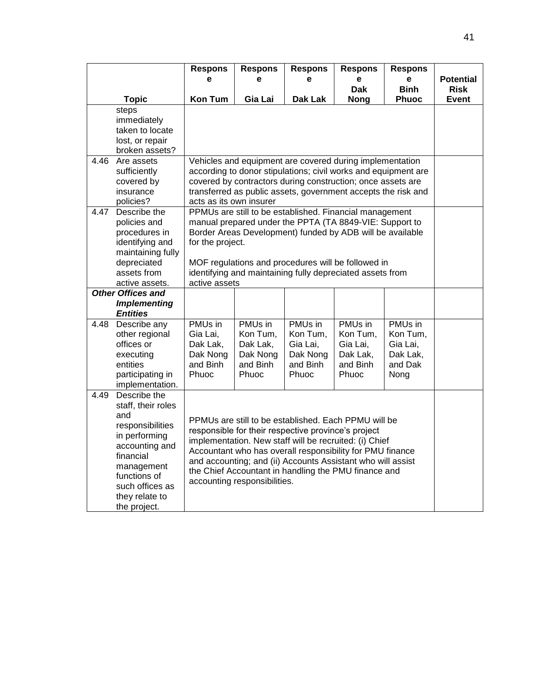|      |                                                                                                                                                                                                  | <b>Respons</b>                                                                                                                                                                                                                                                                                                                          | <b>Respons</b>                                                   | <b>Respons</b>                                                                                                                                                                                                                                                                                                                                            | <b>Respons</b>                                                   | <b>Respons</b>                                                 |                                 |
|------|--------------------------------------------------------------------------------------------------------------------------------------------------------------------------------------------------|-----------------------------------------------------------------------------------------------------------------------------------------------------------------------------------------------------------------------------------------------------------------------------------------------------------------------------------------|------------------------------------------------------------------|-----------------------------------------------------------------------------------------------------------------------------------------------------------------------------------------------------------------------------------------------------------------------------------------------------------------------------------------------------------|------------------------------------------------------------------|----------------------------------------------------------------|---------------------------------|
|      |                                                                                                                                                                                                  | e                                                                                                                                                                                                                                                                                                                                       | e                                                                | e                                                                                                                                                                                                                                                                                                                                                         | e<br><b>Dak</b>                                                  | e<br><b>Binh</b>                                               | <b>Potential</b><br><b>Risk</b> |
|      | <b>Topic</b>                                                                                                                                                                                     | <b>Kon Tum</b>                                                                                                                                                                                                                                                                                                                          | Gia Lai                                                          | <b>Dak Lak</b>                                                                                                                                                                                                                                                                                                                                            | <b>Nong</b>                                                      | <b>Phuoc</b>                                                   | Event                           |
|      | steps<br>immediately<br>taken to locate<br>lost, or repair<br>broken assets?                                                                                                                     |                                                                                                                                                                                                                                                                                                                                         |                                                                  |                                                                                                                                                                                                                                                                                                                                                           |                                                                  |                                                                |                                 |
| 4.46 | Are assets<br>sufficiently<br>covered by<br>insurance<br>policies?                                                                                                                               | Vehicles and equipment are covered during implementation<br>according to donor stipulations; civil works and equipment are<br>covered by contractors during construction; once assets are<br>transferred as public assets, government accepts the risk and<br>acts as its own insurer                                                   |                                                                  |                                                                                                                                                                                                                                                                                                                                                           |                                                                  |                                                                |                                 |
| 4.47 | Describe the<br>policies and<br>procedures in<br>identifying and<br>maintaining fully<br>depreciated<br>assets from<br>active assets.                                                            | PPMUs are still to be established. Financial management<br>manual prepared under the PPTA (TA 8849-VIE: Support to<br>Border Areas Development) funded by ADB will be available<br>for the project.<br>MOF regulations and procedures will be followed in<br>identifying and maintaining fully depreciated assets from<br>active assets |                                                                  |                                                                                                                                                                                                                                                                                                                                                           |                                                                  |                                                                |                                 |
|      | <b>Other Offices and</b><br><b>Implementing</b><br><b>Entities</b>                                                                                                                               |                                                                                                                                                                                                                                                                                                                                         |                                                                  |                                                                                                                                                                                                                                                                                                                                                           |                                                                  |                                                                |                                 |
| 4.48 | Describe any<br>other regional<br>offices or<br>executing<br>entities<br>participating in<br>implementation.                                                                                     | PMUs in<br>Gia Lai,<br>Dak Lak,<br>Dak Nong<br>and Binh<br>Phuoc                                                                                                                                                                                                                                                                        | PMUs in<br>Kon Tum,<br>Dak Lak,<br>Dak Nong<br>and Binh<br>Phuoc | PMUs in<br>Kon Tum,<br>Gia Lai,<br>Dak Nong<br>and Binh<br>Phuoc                                                                                                                                                                                                                                                                                          | PMUs in<br>Kon Tum,<br>Gia Lai,<br>Dak Lak,<br>and Binh<br>Phuoc | PMUs in<br>Kon Tum,<br>Gia Lai,<br>Dak Lak,<br>and Dak<br>Nong |                                 |
| 4.49 | Describe the<br>staff, their roles<br>and<br>responsibilities<br>in performing<br>accounting and<br>financial<br>management<br>functions of<br>such offices as<br>they relate to<br>the project. |                                                                                                                                                                                                                                                                                                                                         | accounting responsibilities.                                     | PPMUs are still to be established. Each PPMU will be<br>responsible for their respective province's project<br>implementation. New staff will be recruited: (i) Chief<br>Accountant who has overall responsibility for PMU finance<br>and accounting; and (ii) Accounts Assistant who will assist<br>the Chief Accountant in handling the PMU finance and |                                                                  |                                                                |                                 |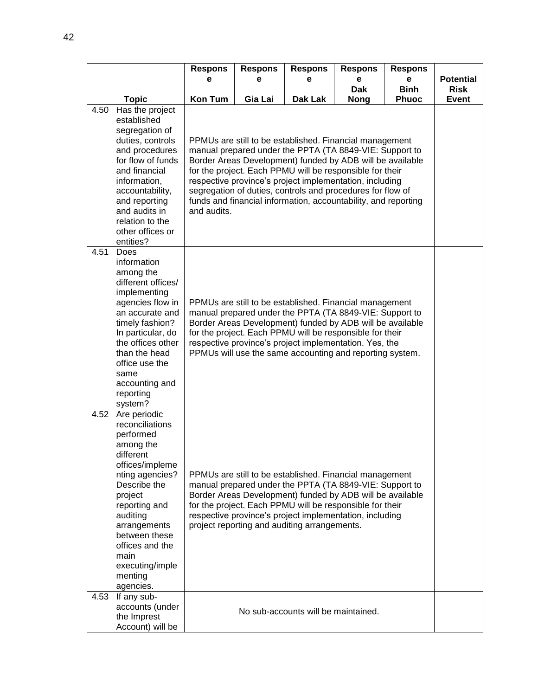|      |                                                                                                                                                                                                                                                                             | <b>Respons</b>                                                                                                                                                                                                                                                                                                                                                                                                                                        | <b>Respons</b> | <b>Respons</b>                                                                                                                                                                                                                                                                                                                                         | <b>Respons</b>            | <b>Respons</b>              |                             |
|------|-----------------------------------------------------------------------------------------------------------------------------------------------------------------------------------------------------------------------------------------------------------------------------|-------------------------------------------------------------------------------------------------------------------------------------------------------------------------------------------------------------------------------------------------------------------------------------------------------------------------------------------------------------------------------------------------------------------------------------------------------|----------------|--------------------------------------------------------------------------------------------------------------------------------------------------------------------------------------------------------------------------------------------------------------------------------------------------------------------------------------------------------|---------------------------|-----------------------------|-----------------------------|
|      |                                                                                                                                                                                                                                                                             | е                                                                                                                                                                                                                                                                                                                                                                                                                                                     | е              | е                                                                                                                                                                                                                                                                                                                                                      | е                         | e                           | <b>Potential</b>            |
|      | <b>Topic</b>                                                                                                                                                                                                                                                                | <b>Kon Tum</b>                                                                                                                                                                                                                                                                                                                                                                                                                                        | Gia Lai        | Dak Lak                                                                                                                                                                                                                                                                                                                                                | <b>Dak</b><br><b>Nong</b> | <b>Binh</b><br><b>Phuoc</b> | <b>Risk</b><br><b>Event</b> |
| 4.50 | Has the project<br>established<br>segregation of<br>duties, controls<br>and procedures<br>for flow of funds<br>and financial<br>information,<br>accountability,<br>and reporting<br>and audits in<br>relation to the<br>other offices or<br>entities?                       | PPMUs are still to be established. Financial management<br>manual prepared under the PPTA (TA 8849-VIE: Support to<br>Border Areas Development) funded by ADB will be available<br>for the project. Each PPMU will be responsible for their<br>respective province's project implementation, including<br>segregation of duties, controls and procedures for flow of<br>funds and financial information, accountability, and reporting<br>and audits. |                |                                                                                                                                                                                                                                                                                                                                                        |                           |                             |                             |
| 4.51 | Does<br>information<br>among the<br>different offices/<br>implementing<br>agencies flow in<br>an accurate and<br>timely fashion?<br>In particular, do<br>the offices other<br>than the head<br>office use the<br>same<br>accounting and<br>reporting<br>system?             | PPMUs are still to be established. Financial management<br>manual prepared under the PPTA (TA 8849-VIE: Support to<br>Border Areas Development) funded by ADB will be available<br>for the project. Each PPMU will be responsible for their<br>respective province's project implementation. Yes, the<br>PPMUs will use the same accounting and reporting system.                                                                                     |                |                                                                                                                                                                                                                                                                                                                                                        |                           |                             |                             |
| 4.52 | Are periodic<br>reconciliations<br>performed<br>among the<br>different<br>offices/impleme<br>nting agencies?<br>Describe the<br>project<br>reporting and<br>auditing<br>arrangements<br>between these<br>offices and the<br>main<br>executing/imple<br>menting<br>agencies. |                                                                                                                                                                                                                                                                                                                                                                                                                                                       |                | PPMUs are still to be established. Financial management<br>manual prepared under the PPTA (TA 8849-VIE: Support to<br>Border Areas Development) funded by ADB will be available<br>for the project. Each PPMU will be responsible for their<br>respective province's project implementation, including<br>project reporting and auditing arrangements. |                           |                             |                             |
| 4.53 | If any sub-<br>accounts (under<br>the Imprest<br>Account) will be                                                                                                                                                                                                           |                                                                                                                                                                                                                                                                                                                                                                                                                                                       |                | No sub-accounts will be maintained.                                                                                                                                                                                                                                                                                                                    |                           |                             |                             |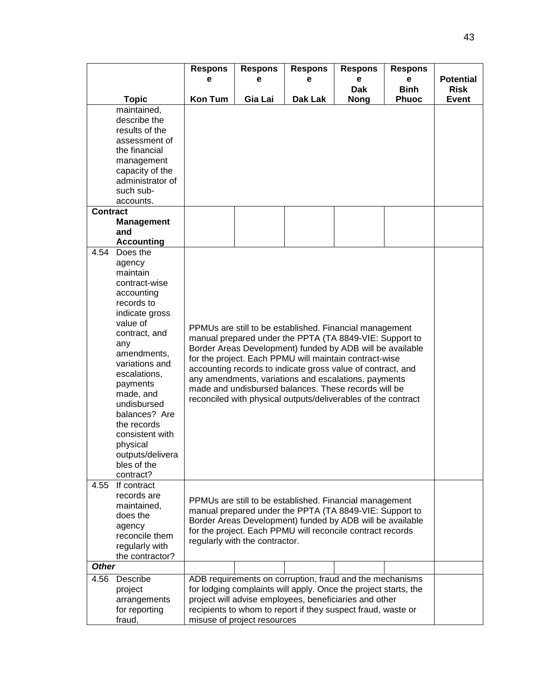|              |                   | <b>Respons</b><br>е                                                                                                       | <b>Respons</b><br>e         | <b>Respons</b><br>е                                           | <b>Respons</b><br>е | <b>Respons</b><br>е | <b>Potential</b> |  |  |
|--------------|-------------------|---------------------------------------------------------------------------------------------------------------------------|-----------------------------|---------------------------------------------------------------|---------------------|---------------------|------------------|--|--|
|              |                   |                                                                                                                           |                             |                                                               | <b>Dak</b>          | <b>Binh</b>         | <b>Risk</b>      |  |  |
|              | <b>Topic</b>      | <b>Kon Tum</b>                                                                                                            | Gia Lai                     | Dak Lak                                                       | <b>Nong</b>         | <b>Phuoc</b>        | <b>Event</b>     |  |  |
|              | maintained,       |                                                                                                                           |                             |                                                               |                     |                     |                  |  |  |
|              | describe the      |                                                                                                                           |                             |                                                               |                     |                     |                  |  |  |
|              | results of the    |                                                                                                                           |                             |                                                               |                     |                     |                  |  |  |
|              | assessment of     |                                                                                                                           |                             |                                                               |                     |                     |                  |  |  |
|              | the financial     |                                                                                                                           |                             |                                                               |                     |                     |                  |  |  |
|              | management        |                                                                                                                           |                             |                                                               |                     |                     |                  |  |  |
|              | capacity of the   |                                                                                                                           |                             |                                                               |                     |                     |                  |  |  |
|              | administrator of  |                                                                                                                           |                             |                                                               |                     |                     |                  |  |  |
|              | such sub-         |                                                                                                                           |                             |                                                               |                     |                     |                  |  |  |
|              | accounts.         |                                                                                                                           |                             |                                                               |                     |                     |                  |  |  |
| Contract     |                   |                                                                                                                           |                             |                                                               |                     |                     |                  |  |  |
|              | <b>Management</b> |                                                                                                                           |                             |                                                               |                     |                     |                  |  |  |
|              | and               |                                                                                                                           |                             |                                                               |                     |                     |                  |  |  |
|              | <b>Accounting</b> |                                                                                                                           |                             |                                                               |                     |                     |                  |  |  |
| 4.54         | Does the          |                                                                                                                           |                             |                                                               |                     |                     |                  |  |  |
|              | agency            |                                                                                                                           |                             |                                                               |                     |                     |                  |  |  |
|              | maintain          |                                                                                                                           |                             |                                                               |                     |                     |                  |  |  |
|              | contract-wise     |                                                                                                                           |                             |                                                               |                     |                     |                  |  |  |
|              | accounting        |                                                                                                                           |                             |                                                               |                     |                     |                  |  |  |
|              | records to        |                                                                                                                           |                             |                                                               |                     |                     |                  |  |  |
|              | indicate gross    |                                                                                                                           |                             |                                                               |                     |                     |                  |  |  |
|              | value of          | PPMUs are still to be established. Financial management                                                                   |                             |                                                               |                     |                     |                  |  |  |
|              | contract, and     | manual prepared under the PPTA (TA 8849-VIE: Support to                                                                   |                             |                                                               |                     |                     |                  |  |  |
|              | any               | Border Areas Development) funded by ADB will be available                                                                 |                             |                                                               |                     |                     |                  |  |  |
|              | amendments,       |                                                                                                                           |                             | for the project. Each PPMU will maintain contract-wise        |                     |                     |                  |  |  |
|              | variations and    |                                                                                                                           |                             | accounting records to indicate gross value of contract, and   |                     |                     |                  |  |  |
|              | escalations,      |                                                                                                                           |                             | any amendments, variations and escalations, payments          |                     |                     |                  |  |  |
|              | payments          |                                                                                                                           |                             | made and undisbursed balances. These records will be          |                     |                     |                  |  |  |
|              | made, and         |                                                                                                                           |                             | reconciled with physical outputs/deliverables of the contract |                     |                     |                  |  |  |
|              | undisbursed       |                                                                                                                           |                             |                                                               |                     |                     |                  |  |  |
|              | balances? Are     |                                                                                                                           |                             |                                                               |                     |                     |                  |  |  |
|              | the records       |                                                                                                                           |                             |                                                               |                     |                     |                  |  |  |
|              | consistent with   |                                                                                                                           |                             |                                                               |                     |                     |                  |  |  |
|              | physical          |                                                                                                                           |                             |                                                               |                     |                     |                  |  |  |
|              | outputs/delivera  |                                                                                                                           |                             |                                                               |                     |                     |                  |  |  |
|              | bles of the       |                                                                                                                           |                             |                                                               |                     |                     |                  |  |  |
|              | contract?         |                                                                                                                           |                             |                                                               |                     |                     |                  |  |  |
| 4.55         | If contract       |                                                                                                                           |                             |                                                               |                     |                     |                  |  |  |
|              | records are       |                                                                                                                           |                             | PPMUs are still to be established. Financial management       |                     |                     |                  |  |  |
|              | maintained,       |                                                                                                                           |                             | manual prepared under the PPTA (TA 8849-VIE: Support to       |                     |                     |                  |  |  |
|              | does the          |                                                                                                                           |                             |                                                               |                     |                     |                  |  |  |
|              | agency            | Border Areas Development) funded by ADB will be available<br>for the project. Each PPMU will reconcile contract records   |                             |                                                               |                     |                     |                  |  |  |
|              | reconcile them    | regularly with the contractor.                                                                                            |                             |                                                               |                     |                     |                  |  |  |
|              | regularly with    |                                                                                                                           |                             |                                                               |                     |                     |                  |  |  |
|              | the contractor?   |                                                                                                                           |                             |                                                               |                     |                     |                  |  |  |
| <b>Other</b> |                   |                                                                                                                           |                             |                                                               |                     |                     |                  |  |  |
| 4.56         | Describe          | ADB requirements on corruption, fraud and the mechanisms                                                                  |                             |                                                               |                     |                     |                  |  |  |
|              | project           | for lodging complaints will apply. Once the project starts, the<br>project will advise employees, beneficiaries and other |                             |                                                               |                     |                     |                  |  |  |
|              | arrangements      |                                                                                                                           |                             |                                                               |                     |                     |                  |  |  |
|              | for reporting     |                                                                                                                           |                             | recipients to whom to report if they suspect fraud, waste or  |                     |                     |                  |  |  |
|              | fraud,            |                                                                                                                           | misuse of project resources |                                                               |                     |                     |                  |  |  |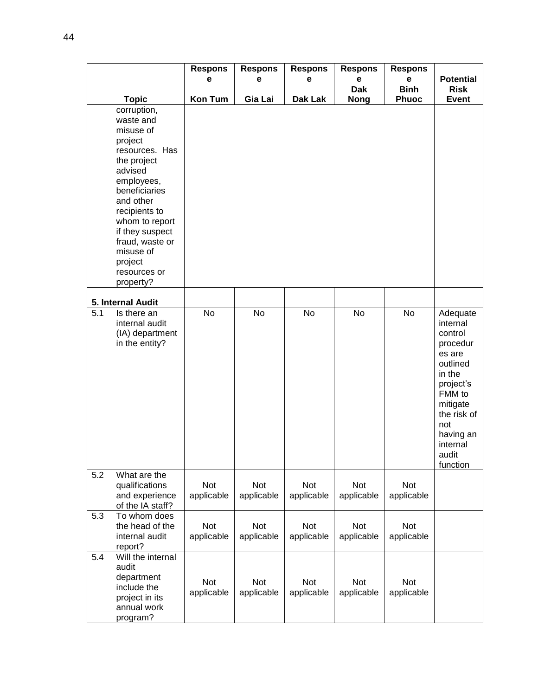|     |                                                                                                                                                                                                                                                                        | <b>Respons</b><br>е | <b>Respons</b><br>е      | <b>Respons</b><br>е | <b>Respons</b><br>е      | <b>Respons</b><br>e      | <b>Potential</b>                                                                                                                                                                   |
|-----|------------------------------------------------------------------------------------------------------------------------------------------------------------------------------------------------------------------------------------------------------------------------|---------------------|--------------------------|---------------------|--------------------------|--------------------------|------------------------------------------------------------------------------------------------------------------------------------------------------------------------------------|
|     |                                                                                                                                                                                                                                                                        |                     |                          |                     | <b>Dak</b>               | <b>Binh</b>              | <b>Risk</b>                                                                                                                                                                        |
|     | <b>Topic</b>                                                                                                                                                                                                                                                           | Kon Tum             | Gia Lai                  | Dak Lak             | <b>Nong</b>              | Phuoc                    | <b>Event</b>                                                                                                                                                                       |
|     | corruption,<br>waste and<br>misuse of<br>project<br>resources. Has<br>the project<br>advised<br>employees,<br>beneficiaries<br>and other<br>recipients to<br>whom to report<br>if they suspect<br>fraud, waste or<br>misuse of<br>project<br>resources or<br>property? |                     |                          |                     |                          |                          |                                                                                                                                                                                    |
|     | 5. Internal Audit                                                                                                                                                                                                                                                      |                     |                          |                     |                          |                          |                                                                                                                                                                                    |
| 5.1 | Is there an<br>internal audit<br>(IA) department<br>in the entity?                                                                                                                                                                                                     | No                  | No                       | No                  | No                       | No                       | Adequate<br>internal<br>control<br>procedur<br>es are<br>outlined<br>in the<br>project's<br>FMM to<br>mitigate<br>the risk of<br>not<br>having an<br>internal<br>audit<br>function |
| 5.2 | What are the<br>qualifications<br>and experience<br>of the IA staff?                                                                                                                                                                                                   | Not<br>applicable   | Not<br>applicable        | Not<br>applicable   | Not<br>applicable        | Not<br>applicable        |                                                                                                                                                                                    |
| 5.3 | To whom does<br>the head of the<br>internal audit<br>report?                                                                                                                                                                                                           | Not<br>applicable   | Not<br>applicable        | Not<br>applicable   | Not<br>applicable        | Not<br>applicable        |                                                                                                                                                                                    |
| 5.4 | Will the internal<br>audit<br>department<br>include the<br>project in its<br>annual work<br>program?                                                                                                                                                                   | Not<br>applicable   | <b>Not</b><br>applicable | Not<br>applicable   | <b>Not</b><br>applicable | <b>Not</b><br>applicable |                                                                                                                                                                                    |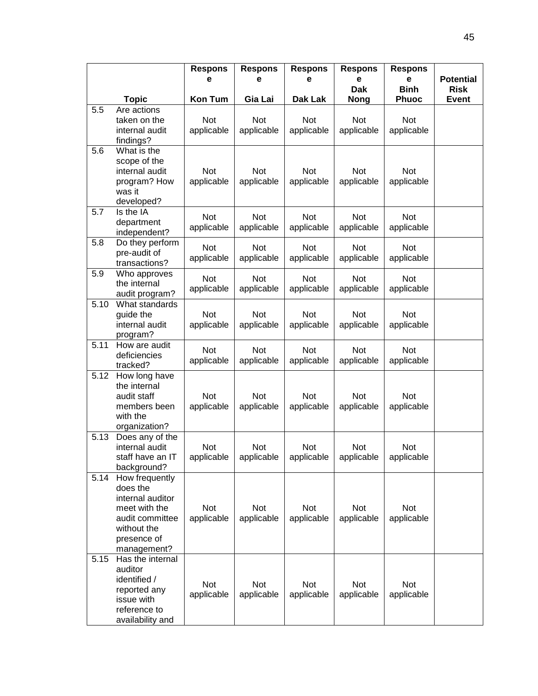|      |                                                                                                                                 | <b>Respons</b><br>е      | <b>Respons</b><br>е | <b>Respons</b><br>е | <b>Respons</b><br>е      | <b>Respons</b><br>е         | <b>Potential</b>            |
|------|---------------------------------------------------------------------------------------------------------------------------------|--------------------------|---------------------|---------------------|--------------------------|-----------------------------|-----------------------------|
|      | <b>Topic</b>                                                                                                                    | <b>Kon Tum</b>           | Gia Lai             | Dak Lak             | Dak<br><b>Nong</b>       | <b>Binh</b><br><b>Phuoc</b> | <b>Risk</b><br><b>Event</b> |
| 5.5  | Are actions                                                                                                                     |                          |                     |                     |                          |                             |                             |
|      | taken on the<br>internal audit<br>findings?                                                                                     | Not<br>applicable        | Not<br>applicable   | Not<br>applicable   | Not<br>applicable        | Not<br>applicable           |                             |
| 5.6  | What is the<br>scope of the<br>internal audit<br>program? How<br>was it<br>developed?                                           | Not<br>applicable        | Not<br>applicable   | Not<br>applicable   | <b>Not</b><br>applicable | <b>Not</b><br>applicable    |                             |
| 5.7  | Is the IA<br>department<br>independent?                                                                                         | Not<br>applicable        | Not<br>applicable   | Not<br>applicable   | Not<br>applicable        | Not<br>applicable           |                             |
| 5.8  | Do they perform<br>pre-audit of<br>transactions?                                                                                | <b>Not</b><br>applicable | Not<br>applicable   | Not<br>applicable   | <b>Not</b><br>applicable | <b>Not</b><br>applicable    |                             |
| 5.9  | Who approves<br>the internal<br>audit program?                                                                                  | Not<br>applicable        | Not<br>applicable   | Not<br>applicable   | Not<br>applicable        | Not<br>applicable           |                             |
| 5.10 | What standards<br>guide the<br>internal audit<br>program?                                                                       | Not<br>applicable        | Not<br>applicable   | Not<br>applicable   | Not<br>applicable        | Not<br>applicable           |                             |
| 5.11 | How are audit<br>deficiencies<br>tracked?                                                                                       | Not<br>applicable        | Not<br>applicable   | Not<br>applicable   | <b>Not</b><br>applicable | Not<br>applicable           |                             |
| 5.12 | How long have<br>the internal<br>audit staff<br>members been<br>with the<br>organization?                                       | Not<br>applicable        | Not<br>applicable   | Not<br>applicable   | Not<br>applicable        | Not<br>applicable           |                             |
| 5.13 | Does any of the<br>internal audit<br>staff have an IT<br>background?                                                            | Not<br>applicable        | Not<br>applicable   | Not<br>applicable   | Not<br>applicable        | Not<br>applicable           |                             |
| 5.14 | How frequently<br>does the<br>internal auditor<br>meet with the<br>audit committee<br>without the<br>presence of<br>management? | Not<br>applicable        | Not<br>applicable   | Not<br>applicable   | Not<br>applicable        | Not<br>applicable           |                             |
| 5.15 | Has the internal<br>auditor<br>identified /<br>reported any<br>issue with<br>reference to<br>availability and                   | Not<br>applicable        | Not<br>applicable   | Not<br>applicable   | Not<br>applicable        | Not<br>applicable           |                             |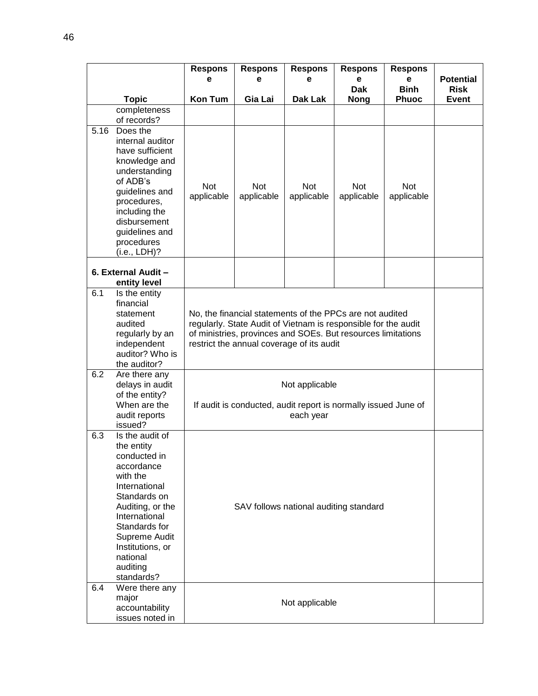|      |                                                                                                                                                                                                                                           | <b>Respons</b><br>е                                                                                                                                                                                                                     | <b>Respons</b><br>е      | <b>Respons</b><br>е                                                                           | <b>Respons</b><br>e | <b>Respons</b><br>e      | <b>Potential</b> |
|------|-------------------------------------------------------------------------------------------------------------------------------------------------------------------------------------------------------------------------------------------|-----------------------------------------------------------------------------------------------------------------------------------------------------------------------------------------------------------------------------------------|--------------------------|-----------------------------------------------------------------------------------------------|---------------------|--------------------------|------------------|
|      |                                                                                                                                                                                                                                           |                                                                                                                                                                                                                                         |                          |                                                                                               | <b>Dak</b>          | <b>Binh</b>              | <b>Risk</b>      |
|      | <b>Topic</b>                                                                                                                                                                                                                              | <b>Kon Tum</b>                                                                                                                                                                                                                          | Gia Lai                  | Dak Lak                                                                                       | <b>Nong</b>         | <b>Phuoc</b>             | <b>Event</b>     |
|      | completeness<br>of records?                                                                                                                                                                                                               |                                                                                                                                                                                                                                         |                          |                                                                                               |                     |                          |                  |
| 5.16 | Does the                                                                                                                                                                                                                                  |                                                                                                                                                                                                                                         |                          |                                                                                               |                     |                          |                  |
|      | internal auditor<br>have sufficient<br>knowledge and<br>understanding<br>of ADB's<br>guidelines and<br>procedures,<br>including the<br>disbursement<br>guidelines and<br>procedures<br>(i.e., LDH)?                                       | Not<br>applicable                                                                                                                                                                                                                       | <b>Not</b><br>applicable | <b>Not</b><br>applicable                                                                      | Not<br>applicable   | <b>Not</b><br>applicable |                  |
|      | 6. External Audit -<br>entity level                                                                                                                                                                                                       |                                                                                                                                                                                                                                         |                          |                                                                                               |                     |                          |                  |
| 6.1  | Is the entity<br>financial<br>statement<br>audited<br>regularly by an<br>independent<br>auditor? Who is<br>the auditor?                                                                                                                   | No, the financial statements of the PPCs are not audited<br>regularly. State Audit of Vietnam is responsible for the audit<br>of ministries, provinces and SOEs. But resources limitations<br>restrict the annual coverage of its audit |                          |                                                                                               |                     |                          |                  |
| 6.2  | Are there any<br>delays in audit<br>of the entity?<br>When are the<br>audit reports<br>issued?                                                                                                                                            |                                                                                                                                                                                                                                         |                          | Not applicable<br>If audit is conducted, audit report is normally issued June of<br>each year |                     |                          |                  |
| 6.3  | Is the audit of<br>the entity<br>conducted in<br>accordance<br>with the<br>International<br>Standards on<br>Auditing, or the<br>International<br>Standards for<br>Supreme Audit<br>Institutions, or<br>national<br>auditing<br>standards? | SAV follows national auditing standard                                                                                                                                                                                                  |                          |                                                                                               |                     |                          |                  |
| 6.4  | Were there any<br>major<br>accountability<br>issues noted in                                                                                                                                                                              |                                                                                                                                                                                                                                         |                          | Not applicable                                                                                |                     |                          |                  |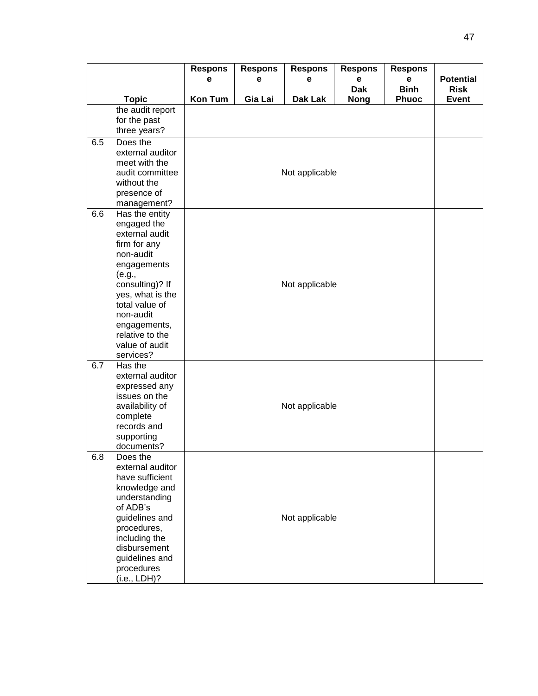|     |                                     | <b>Respons</b> | <b>Respons</b> | <b>Respons</b> | <b>Respons</b>  | <b>Respons</b>   |                                 |  |  |  |
|-----|-------------------------------------|----------------|----------------|----------------|-----------------|------------------|---------------------------------|--|--|--|
|     |                                     | е              | е              | е              | е<br><b>Dak</b> | е<br><b>Binh</b> | <b>Potential</b><br><b>Risk</b> |  |  |  |
|     | <b>Topic</b>                        | <b>Kon Tum</b> | Gia Lai        | Dak Lak        | <b>Nong</b>     | <b>Phuoc</b>     | <b>Event</b>                    |  |  |  |
|     | the audit report                    |                |                |                |                 |                  |                                 |  |  |  |
|     | for the past                        |                |                |                |                 |                  |                                 |  |  |  |
|     | three years?                        |                |                |                |                 |                  |                                 |  |  |  |
| 6.5 | Does the                            |                |                |                |                 |                  |                                 |  |  |  |
|     | external auditor                    |                |                |                |                 |                  |                                 |  |  |  |
|     | meet with the<br>audit committee    |                |                |                |                 |                  |                                 |  |  |  |
|     | without the                         |                | Not applicable |                |                 |                  |                                 |  |  |  |
|     | presence of                         |                |                |                |                 |                  |                                 |  |  |  |
|     | management?                         |                |                |                |                 |                  |                                 |  |  |  |
| 6.6 | Has the entity                      |                |                |                |                 |                  |                                 |  |  |  |
|     | engaged the                         |                |                |                |                 |                  |                                 |  |  |  |
|     | external audit                      |                |                |                |                 |                  |                                 |  |  |  |
|     | firm for any<br>non-audit           |                |                |                |                 |                  |                                 |  |  |  |
|     | engagements                         |                |                |                |                 |                  |                                 |  |  |  |
|     | (e.g.,                              |                |                |                |                 |                  |                                 |  |  |  |
|     | consulting)? If                     |                |                | Not applicable |                 |                  |                                 |  |  |  |
|     | yes, what is the                    |                |                |                |                 |                  |                                 |  |  |  |
|     | total value of                      |                |                |                |                 |                  |                                 |  |  |  |
|     | non-audit                           |                |                |                |                 |                  |                                 |  |  |  |
|     | engagements,<br>relative to the     |                |                |                |                 |                  |                                 |  |  |  |
|     | value of audit                      |                |                |                |                 |                  |                                 |  |  |  |
|     | services?                           |                |                |                |                 |                  |                                 |  |  |  |
| 6.7 | Has the                             |                |                |                |                 |                  |                                 |  |  |  |
|     | external auditor                    |                |                |                |                 |                  |                                 |  |  |  |
|     | expressed any                       |                |                |                |                 |                  |                                 |  |  |  |
|     | issues on the<br>availability of    |                |                | Not applicable |                 |                  |                                 |  |  |  |
|     | complete                            |                |                |                |                 |                  |                                 |  |  |  |
|     | records and                         |                |                |                |                 |                  |                                 |  |  |  |
|     | supporting                          |                |                |                |                 |                  |                                 |  |  |  |
|     | documents?                          |                |                |                |                 |                  |                                 |  |  |  |
| 6.8 | Does the                            |                |                |                |                 |                  |                                 |  |  |  |
|     | external auditor<br>have sufficient |                |                |                |                 |                  |                                 |  |  |  |
|     | knowledge and                       |                |                |                |                 |                  |                                 |  |  |  |
|     | understanding                       |                |                |                |                 |                  |                                 |  |  |  |
|     | of ADB's                            |                |                |                |                 |                  |                                 |  |  |  |
|     | guidelines and                      |                |                | Not applicable |                 |                  |                                 |  |  |  |
|     | procedures,                         |                |                |                |                 |                  |                                 |  |  |  |
|     | including the                       |                |                |                |                 |                  |                                 |  |  |  |
|     | disbursement                        |                |                |                |                 |                  |                                 |  |  |  |
|     | guidelines and<br>procedures        |                |                |                |                 |                  |                                 |  |  |  |
|     | (i.e., LDH)?                        |                |                |                |                 |                  |                                 |  |  |  |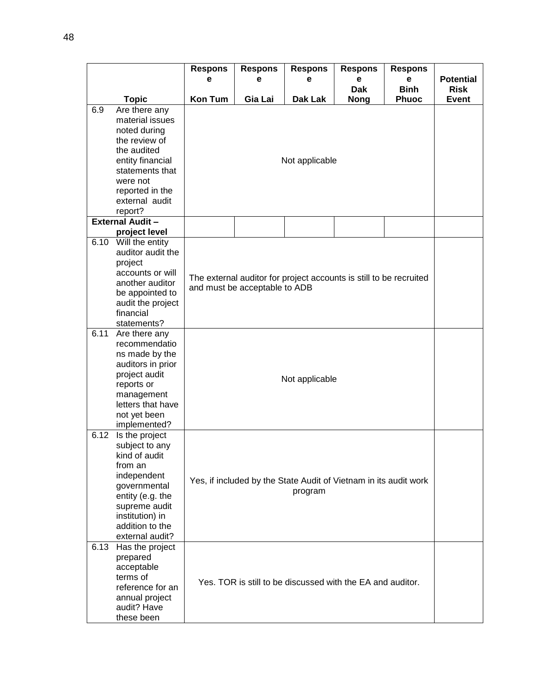|      |                                                                                                                                                                                           | <b>Respons</b><br>е                                              | <b>Respons</b><br>е           | <b>Respons</b><br>е                                                | <b>Respons</b><br>e       | <b>Respons</b><br>e         | <b>Potential</b>            |  |  |
|------|-------------------------------------------------------------------------------------------------------------------------------------------------------------------------------------------|------------------------------------------------------------------|-------------------------------|--------------------------------------------------------------------|---------------------------|-----------------------------|-----------------------------|--|--|
|      | <b>Topic</b>                                                                                                                                                                              | <b>Kon Tum</b>                                                   | Gia Lai                       | <b>Dak Lak</b>                                                     | <b>Dak</b><br><b>Nong</b> | <b>Binh</b><br><b>Phuoc</b> | <b>Risk</b><br><b>Event</b> |  |  |
| 6.9  | Are there any<br>material issues<br>noted during<br>the review of<br>the audited<br>entity financial<br>statements that<br>were not<br>reported in the<br>external audit<br>report?       |                                                                  |                               |                                                                    |                           |                             |                             |  |  |
|      | <b>External Audit -</b><br>project level                                                                                                                                                  |                                                                  |                               |                                                                    |                           |                             |                             |  |  |
|      | 6.10 Will the entity<br>auditor audit the<br>project<br>accounts or will<br>another auditor<br>be appointed to<br>audit the project<br>financial<br>statements?                           |                                                                  | and must be acceptable to ADB | The external auditor for project accounts is still to be recruited |                           |                             |                             |  |  |
| 6.11 | Are there any<br>recommendatio<br>ns made by the<br>auditors in prior<br>project audit<br>reports or<br>management<br>letters that have<br>not yet been<br>implemented?                   |                                                                  | Not applicable                |                                                                    |                           |                             |                             |  |  |
| 6.12 | Is the project<br>subject to any<br>kind of audit<br>from an<br>independent<br>governmental<br>entity (e.g. the<br>supreme audit<br>institution) in<br>addition to the<br>external audit? | Yes, if included by the State Audit of Vietnam in its audit work |                               |                                                                    |                           |                             |                             |  |  |
| 6.13 | Has the project<br>prepared<br>acceptable<br>terms of<br>reference for an<br>annual project<br>audit? Have<br>these been                                                                  |                                                                  |                               | Yes. TOR is still to be discussed with the EA and auditor.         |                           |                             |                             |  |  |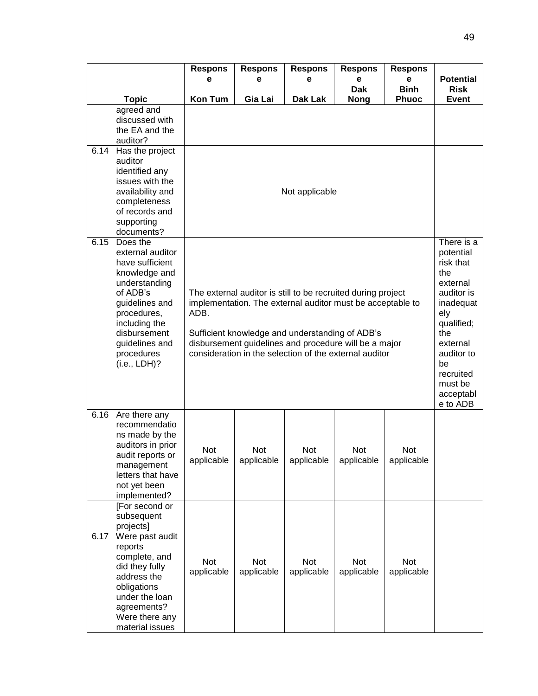|      |                                                                                                                                                                                                                 | <b>Respons</b><br>е | <b>Respons</b><br>е                                                                                                                                                                                                                                                                              | <b>Respons</b><br>е | <b>Respons</b><br>е       | <b>Respons</b><br>е         | <b>Potential</b>            |  |
|------|-----------------------------------------------------------------------------------------------------------------------------------------------------------------------------------------------------------------|---------------------|--------------------------------------------------------------------------------------------------------------------------------------------------------------------------------------------------------------------------------------------------------------------------------------------------|---------------------|---------------------------|-----------------------------|-----------------------------|--|
|      | <b>Topic</b>                                                                                                                                                                                                    | <b>Kon Tum</b>      | Gia Lai                                                                                                                                                                                                                                                                                          | Dak Lak             | <b>Dak</b><br><b>Nong</b> | <b>Binh</b><br><b>Phuoc</b> | <b>Risk</b><br><b>Event</b> |  |
|      | agreed and<br>discussed with<br>the EA and the<br>auditor?                                                                                                                                                      |                     |                                                                                                                                                                                                                                                                                                  |                     |                           |                             |                             |  |
| 6.14 | Has the project<br>auditor<br>identified any<br>issues with the<br>availability and<br>completeness<br>of records and<br>supporting<br>documents?                                                               |                     | There is a                                                                                                                                                                                                                                                                                       |                     |                           |                             |                             |  |
| 6.15 | Does the<br>external auditor<br>have sufficient<br>knowledge and<br>understanding<br>of ADB's<br>guidelines and<br>procedures,<br>including the<br>disbursement<br>guidelines and<br>procedures<br>(i.e., LDH)? | ADB.                | The external auditor is still to be recruited during project<br>implementation. The external auditor must be acceptable to<br>Sufficient knowledge and understanding of ADB's<br>disbursement guidelines and procedure will be a major<br>consideration in the selection of the external auditor |                     |                           |                             |                             |  |
| 6.16 | Are there any<br>recommendatio<br>ns made by the<br>auditors in prior<br>audit reports or<br>management<br>letters that have<br>not yet been<br>implemented?                                                    | Not<br>applicable   | <b>Not</b><br>applicable                                                                                                                                                                                                                                                                         | Not<br>applicable   | Not<br>applicable         | Not<br>applicable           | e to ADB                    |  |
| 6.17 | [For second or<br>subsequent<br>projects]<br>Were past audit<br>reports<br>complete, and<br>did they fully<br>address the<br>obligations<br>under the loan<br>agreements?<br>Were there any<br>material issues  | Not<br>applicable   | <b>Not</b><br>applicable                                                                                                                                                                                                                                                                         | Not<br>applicable   | Not<br>applicable         | Not<br>applicable           |                             |  |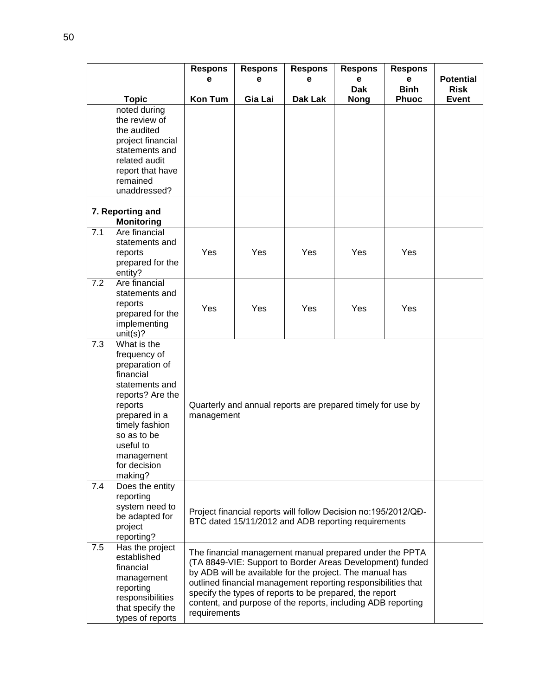|     |                                                                                                                                                                                                                     | <b>Respons</b><br>е                                                                                                                                                                                                                                                                                                                                                                          | <b>Respons</b><br>е                                                                                                   | <b>Respons</b><br>е | <b>Respons</b><br>е | <b>Respons</b><br>е | <b>Potential</b> |  |  |
|-----|---------------------------------------------------------------------------------------------------------------------------------------------------------------------------------------------------------------------|----------------------------------------------------------------------------------------------------------------------------------------------------------------------------------------------------------------------------------------------------------------------------------------------------------------------------------------------------------------------------------------------|-----------------------------------------------------------------------------------------------------------------------|---------------------|---------------------|---------------------|------------------|--|--|
|     |                                                                                                                                                                                                                     |                                                                                                                                                                                                                                                                                                                                                                                              |                                                                                                                       |                     | <b>Dak</b>          | <b>Binh</b>         | <b>Risk</b>      |  |  |
|     | <b>Topic</b>                                                                                                                                                                                                        | <b>Kon Tum</b>                                                                                                                                                                                                                                                                                                                                                                               | Gia Lai                                                                                                               | Dak Lak             | <b>Nong</b>         | <b>Phuoc</b>        | <b>Event</b>     |  |  |
|     | noted during<br>the review of<br>the audited<br>project financial<br>statements and<br>related audit<br>report that have<br>remained<br>unaddressed?                                                                |                                                                                                                                                                                                                                                                                                                                                                                              |                                                                                                                       |                     |                     |                     |                  |  |  |
|     | 7. Reporting and<br><b>Monitoring</b>                                                                                                                                                                               |                                                                                                                                                                                                                                                                                                                                                                                              |                                                                                                                       |                     |                     |                     |                  |  |  |
| 7.1 | Are financial<br>statements and<br>reports<br>prepared for the<br>entity?                                                                                                                                           | Yes                                                                                                                                                                                                                                                                                                                                                                                          | Yes                                                                                                                   | Yes                 | Yes                 | Yes                 |                  |  |  |
| 7.2 | Are financial<br>statements and<br>reports<br>prepared for the<br>implementing<br>unit(s)?                                                                                                                          | Yes                                                                                                                                                                                                                                                                                                                                                                                          | Yes                                                                                                                   | Yes                 | Yes                 | Yes                 |                  |  |  |
| 7.3 | What is the<br>frequency of<br>preparation of<br>financial<br>statements and<br>reports? Are the<br>reports<br>prepared in a<br>timely fashion<br>so as to be<br>useful to<br>management<br>for decision<br>making? |                                                                                                                                                                                                                                                                                                                                                                                              | Quarterly and annual reports are prepared timely for use by<br>management                                             |                     |                     |                     |                  |  |  |
| 7.4 | Does the entity<br>reporting<br>system need to<br>be adapted for<br>project<br>reporting?                                                                                                                           |                                                                                                                                                                                                                                                                                                                                                                                              | Project financial reports will follow Decision no:195/2012/QĐ-<br>BTC dated 15/11/2012 and ADB reporting requirements |                     |                     |                     |                  |  |  |
| 7.5 | Has the project<br>established<br>financial<br>management<br>reporting<br>responsibilities<br>that specify the<br>types of reports                                                                                  | The financial management manual prepared under the PPTA<br>(TA 8849-VIE: Support to Border Areas Development) funded<br>by ADB will be available for the project. The manual has<br>outlined financial management reporting responsibilities that<br>specify the types of reports to be prepared, the report<br>content, and purpose of the reports, including ADB reporting<br>requirements |                                                                                                                       |                     |                     |                     |                  |  |  |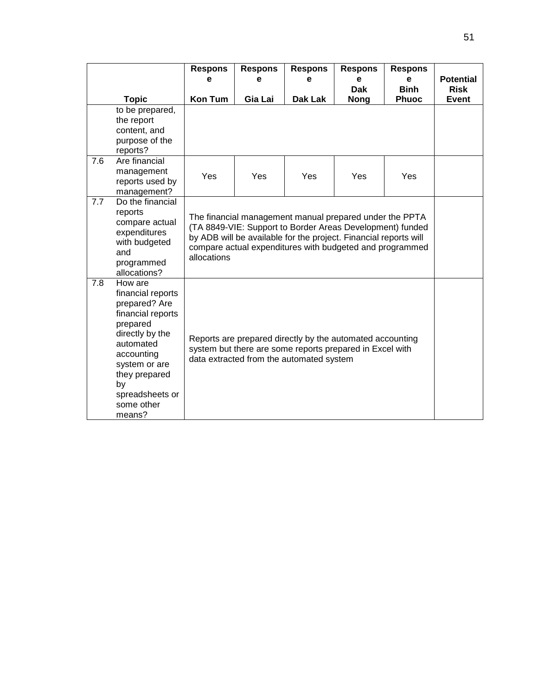|     |                                                                                                                                                                                                                 | <b>Respons</b>                                                                                                                                                    | <b>Respons</b>                                                                                                                                                                                                                                       | <b>Respons</b> | <b>Respons</b> | <b>Respons</b> |                  |  |
|-----|-----------------------------------------------------------------------------------------------------------------------------------------------------------------------------------------------------------------|-------------------------------------------------------------------------------------------------------------------------------------------------------------------|------------------------------------------------------------------------------------------------------------------------------------------------------------------------------------------------------------------------------------------------------|----------------|----------------|----------------|------------------|--|
|     |                                                                                                                                                                                                                 | е                                                                                                                                                                 | е                                                                                                                                                                                                                                                    | е              | е              | е              | <b>Potential</b> |  |
|     |                                                                                                                                                                                                                 |                                                                                                                                                                   |                                                                                                                                                                                                                                                      |                | <b>Dak</b>     | <b>Binh</b>    | <b>Risk</b>      |  |
|     | <b>Topic</b>                                                                                                                                                                                                    | <b>Kon Tum</b>                                                                                                                                                    | Gia Lai                                                                                                                                                                                                                                              | Dak Lak        | <b>Nong</b>    | <b>Phuoc</b>   | <b>Event</b>     |  |
|     | to be prepared,<br>the report<br>content, and<br>purpose of the<br>reports?                                                                                                                                     |                                                                                                                                                                   |                                                                                                                                                                                                                                                      |                |                |                |                  |  |
| 7.6 | Are financial<br>management<br>reports used by<br>management?                                                                                                                                                   | Yes                                                                                                                                                               | Yes                                                                                                                                                                                                                                                  | Yes            | Yes            | <b>Yes</b>     |                  |  |
| 7.7 | Do the financial<br>reports<br>compare actual<br>expenditures<br>with budgeted<br>and<br>programmed<br>allocations?                                                                                             | allocations                                                                                                                                                       | The financial management manual prepared under the PPTA<br>(TA 8849-VIE: Support to Border Areas Development) funded<br>by ADB will be available for the project. Financial reports will<br>compare actual expenditures with budgeted and programmed |                |                |                |                  |  |
| 7.8 | How are<br>financial reports<br>prepared? Are<br>financial reports<br>prepared<br>directly by the<br>automated<br>accounting<br>system or are<br>they prepared<br>by<br>spreadsheets or<br>some other<br>means? | Reports are prepared directly by the automated accounting<br>system but there are some reports prepared in Excel with<br>data extracted from the automated system |                                                                                                                                                                                                                                                      |                |                |                |                  |  |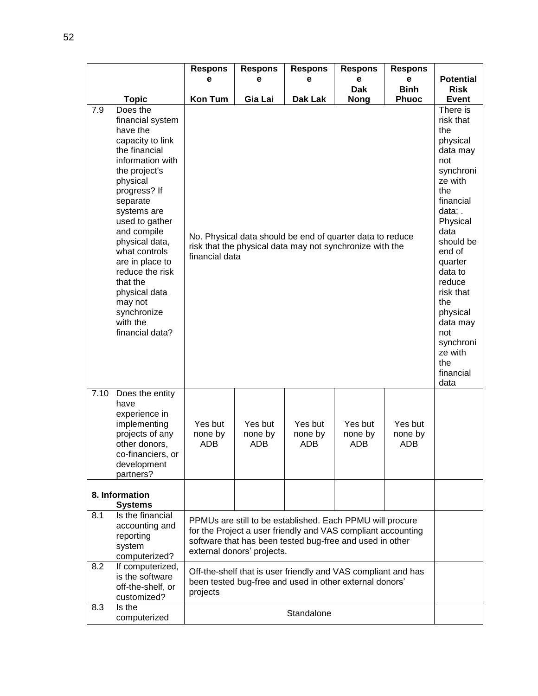|      |                                                                                                                                                                                                                                                                                                                                                                           | <b>Respons</b><br>е                                                                                                                                                                                                 | <b>Respons</b><br>е                                                                                                                                                                                                                                                                                 | <b>Respons</b><br>е       | <b>Respons</b><br>е<br><b>Dak</b> | <b>Respons</b><br>е<br><b>Binh</b> | <b>Potential</b><br><b>Risk</b> |
|------|---------------------------------------------------------------------------------------------------------------------------------------------------------------------------------------------------------------------------------------------------------------------------------------------------------------------------------------------------------------------------|---------------------------------------------------------------------------------------------------------------------------------------------------------------------------------------------------------------------|-----------------------------------------------------------------------------------------------------------------------------------------------------------------------------------------------------------------------------------------------------------------------------------------------------|---------------------------|-----------------------------------|------------------------------------|---------------------------------|
|      | <b>Topic</b>                                                                                                                                                                                                                                                                                                                                                              | <b>Kon Tum</b>                                                                                                                                                                                                      | Gia Lai                                                                                                                                                                                                                                                                                             | Dak Lak                   | <b>Nong</b>                       | <b>Phuoc</b>                       | <b>Event</b>                    |
| 7.9  | Does the<br>financial system<br>have the<br>capacity to link<br>the financial<br>information with<br>the project's<br>physical<br>progress? If<br>separate<br>systems are<br>used to gather<br>and compile<br>physical data,<br>what controls<br>are in place to<br>reduce the risk<br>that the<br>physical data<br>may not<br>synchronize<br>with the<br>financial data? | No. Physical data should be end of quarter data to reduce<br>risk that the physical data may not synchronize with the<br>financial data                                                                             | There is<br>risk that<br>the<br>physical<br>data may<br>not<br>synchroni<br>ze with<br>the<br>financial<br>data;.<br>Physical<br>data<br>should be<br>end of<br>quarter<br>data to<br>reduce<br>risk that<br>the<br>physical<br>data may<br>not<br>synchroni<br>ze with<br>the<br>financial<br>data |                           |                                   |                                    |                                 |
| 7.10 | Does the entity<br>have<br>experience in<br>implementing<br>projects of any<br>other donors,<br>co-financiers, or<br>development<br>partners?                                                                                                                                                                                                                             | Yes but<br>none by<br>ADB                                                                                                                                                                                           | Yes but<br>none by<br>ADB                                                                                                                                                                                                                                                                           | Yes but<br>none by<br>ADB | Yes but<br>none by<br>ADB         | Yes but<br>none by<br>ADB          |                                 |
|      | 8. Information<br><b>Systems</b>                                                                                                                                                                                                                                                                                                                                          |                                                                                                                                                                                                                     |                                                                                                                                                                                                                                                                                                     |                           |                                   |                                    |                                 |
| 8.1  | Is the financial<br>accounting and<br>reporting<br>system<br>computerized?                                                                                                                                                                                                                                                                                                | PPMUs are still to be established. Each PPMU will procure<br>for the Project a user friendly and VAS compliant accounting<br>software that has been tested bug-free and used in other<br>external donors' projects. |                                                                                                                                                                                                                                                                                                     |                           |                                   |                                    |                                 |
| 8.2  | If computerized,<br>is the software<br>off-the-shelf, or<br>customized?                                                                                                                                                                                                                                                                                                   | Off-the-shelf that is user friendly and VAS compliant and has<br>been tested bug-free and used in other external donors'<br>projects                                                                                |                                                                                                                                                                                                                                                                                                     |                           |                                   |                                    |                                 |
| 8.3  | Is the<br>computerized                                                                                                                                                                                                                                                                                                                                                    |                                                                                                                                                                                                                     |                                                                                                                                                                                                                                                                                                     | Standalone                |                                   |                                    |                                 |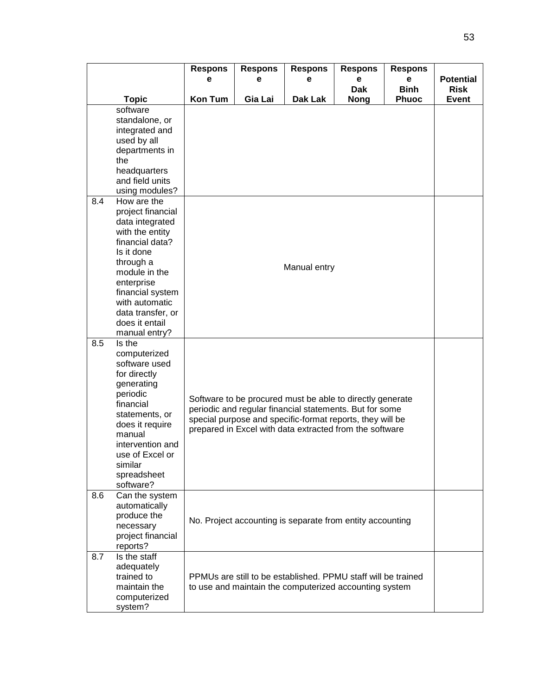|     |                                | <b>Respons</b><br>е                                       | <b>Respons</b><br>е | <b>Respons</b><br>е                                           | <b>Respons</b><br>е | <b>Respons</b><br>е | <b>Potential</b> |  |  |
|-----|--------------------------------|-----------------------------------------------------------|---------------------|---------------------------------------------------------------|---------------------|---------------------|------------------|--|--|
|     |                                |                                                           |                     |                                                               | <b>Dak</b>          | <b>Binh</b>         | <b>Risk</b>      |  |  |
|     | <b>Topic</b>                   | <b>Kon Tum</b>                                            | Gia Lai             | Dak Lak                                                       | <b>Nong</b>         | <b>Phuoc</b>        | <b>Event</b>     |  |  |
|     | software                       |                                                           |                     |                                                               |                     |                     |                  |  |  |
|     | standalone, or                 |                                                           |                     |                                                               |                     |                     |                  |  |  |
|     | integrated and                 |                                                           |                     |                                                               |                     |                     |                  |  |  |
|     | used by all<br>departments in  |                                                           |                     |                                                               |                     |                     |                  |  |  |
|     | the                            |                                                           |                     |                                                               |                     |                     |                  |  |  |
|     | headquarters                   |                                                           |                     |                                                               |                     |                     |                  |  |  |
|     | and field units                |                                                           |                     |                                                               |                     |                     |                  |  |  |
|     | using modules?                 |                                                           |                     |                                                               |                     |                     |                  |  |  |
| 8.4 | How are the                    |                                                           |                     |                                                               |                     |                     |                  |  |  |
|     | project financial              |                                                           |                     |                                                               |                     |                     |                  |  |  |
|     | data integrated                |                                                           |                     |                                                               |                     |                     |                  |  |  |
|     | with the entity                |                                                           |                     |                                                               |                     |                     |                  |  |  |
|     | financial data?                |                                                           |                     |                                                               |                     |                     |                  |  |  |
|     | Is it done                     |                                                           |                     |                                                               |                     |                     |                  |  |  |
|     | through a                      |                                                           |                     | Manual entry                                                  |                     |                     |                  |  |  |
|     | module in the                  |                                                           |                     |                                                               |                     |                     |                  |  |  |
|     | enterprise<br>financial system |                                                           |                     |                                                               |                     |                     |                  |  |  |
|     | with automatic                 |                                                           |                     |                                                               |                     |                     |                  |  |  |
|     | data transfer, or              |                                                           |                     |                                                               |                     |                     |                  |  |  |
|     | does it entail                 |                                                           |                     |                                                               |                     |                     |                  |  |  |
|     | manual entry?                  |                                                           |                     |                                                               |                     |                     |                  |  |  |
| 8.5 | Is the                         |                                                           |                     |                                                               |                     |                     |                  |  |  |
|     | computerized                   |                                                           |                     |                                                               |                     |                     |                  |  |  |
|     | software used                  |                                                           |                     |                                                               |                     |                     |                  |  |  |
|     | for directly                   |                                                           |                     |                                                               |                     |                     |                  |  |  |
|     | generating                     | Software to be procured must be able to directly generate |                     |                                                               |                     |                     |                  |  |  |
|     | periodic<br>financial          |                                                           |                     |                                                               |                     |                     |                  |  |  |
|     | statements, or                 | periodic and regular financial statements. But for some   |                     |                                                               |                     |                     |                  |  |  |
|     | does it require                |                                                           |                     | special purpose and specific-format reports, they will be     |                     |                     |                  |  |  |
|     | manual                         |                                                           |                     | prepared in Excel with data extracted from the software       |                     |                     |                  |  |  |
|     | intervention and               |                                                           |                     |                                                               |                     |                     |                  |  |  |
|     | use of Excel or                |                                                           |                     |                                                               |                     |                     |                  |  |  |
|     | similar                        |                                                           |                     |                                                               |                     |                     |                  |  |  |
|     | spreadsheet                    |                                                           |                     |                                                               |                     |                     |                  |  |  |
|     | software?                      |                                                           |                     |                                                               |                     |                     |                  |  |  |
| 8.6 | Can the system                 |                                                           |                     |                                                               |                     |                     |                  |  |  |
|     | automatically<br>produce the   |                                                           |                     |                                                               |                     |                     |                  |  |  |
|     | necessary                      |                                                           |                     | No. Project accounting is separate from entity accounting     |                     |                     |                  |  |  |
|     | project financial              |                                                           |                     |                                                               |                     |                     |                  |  |  |
|     | reports?                       |                                                           |                     |                                                               |                     |                     |                  |  |  |
| 8.7 | Is the staff                   |                                                           |                     |                                                               |                     |                     |                  |  |  |
|     | adequately                     |                                                           |                     |                                                               |                     |                     |                  |  |  |
|     | trained to                     |                                                           |                     | PPMUs are still to be established. PPMU staff will be trained |                     |                     |                  |  |  |
|     | maintain the                   |                                                           |                     | to use and maintain the computerized accounting system        |                     |                     |                  |  |  |
|     | computerized                   |                                                           |                     |                                                               |                     |                     |                  |  |  |
|     | system?                        |                                                           |                     |                                                               |                     |                     |                  |  |  |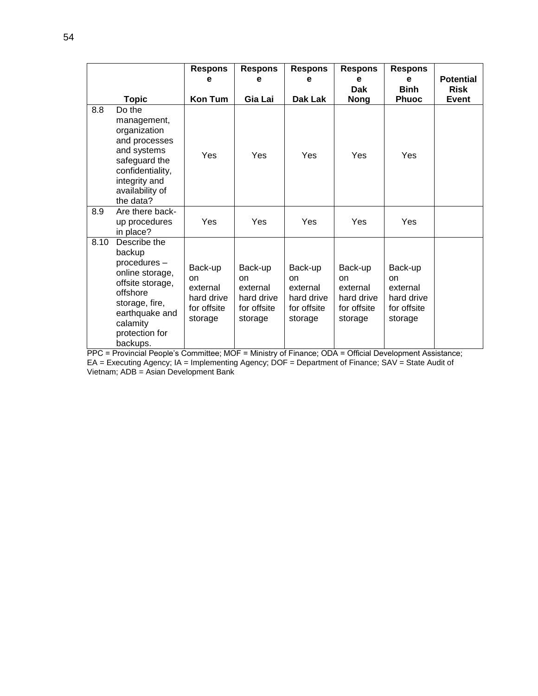|      |                                                                                                                                                                         | <b>Respons</b>                                                    | <b>Respons</b>                                                    | <b>Respons</b>                                                    | <b>Respons</b>                                                    | <b>Respons</b>                                                    |                  |
|------|-------------------------------------------------------------------------------------------------------------------------------------------------------------------------|-------------------------------------------------------------------|-------------------------------------------------------------------|-------------------------------------------------------------------|-------------------------------------------------------------------|-------------------------------------------------------------------|------------------|
|      |                                                                                                                                                                         | е                                                                 | е                                                                 | е                                                                 | е                                                                 | е                                                                 | <b>Potential</b> |
|      |                                                                                                                                                                         |                                                                   |                                                                   |                                                                   | <b>Dak</b>                                                        | <b>Binh</b>                                                       | <b>Risk</b>      |
|      | <b>Topic</b>                                                                                                                                                            | Kon Tum                                                           | Gia Lai                                                           | Dak Lak                                                           | <b>Nong</b>                                                       | <b>Phuoc</b>                                                      | <b>Event</b>     |
| 8.8  | Do the<br>management,<br>organization<br>and processes<br>and systems<br>safeguard the<br>confidentiality,<br>integrity and<br>availability of<br>the data?             | Yes                                                               | Yes                                                               | Yes                                                               | Yes                                                               | <b>Yes</b>                                                        |                  |
| 8.9  | Are there back-<br>up procedures<br>in place?                                                                                                                           | Yes                                                               | Yes                                                               | Yes                                                               | Yes                                                               | Yes                                                               |                  |
| 8.10 | Describe the<br>backup<br>procedures -<br>online storage,<br>offsite storage,<br>offshore<br>storage, fire,<br>earthquake and<br>calamity<br>protection for<br>backups. | Back-up<br>on<br>external<br>hard drive<br>for offsite<br>storage | Back-up<br>on<br>external<br>hard drive<br>for offsite<br>storage | Back-up<br>on<br>external<br>hard drive<br>for offsite<br>storage | Back-up<br>on<br>external<br>hard drive<br>for offsite<br>storage | Back-up<br>on<br>external<br>hard drive<br>for offsite<br>storage |                  |

PPC = Provincial People's Committee; MOF = Ministry of Finance; ODA = Official Development Assistance; EA = Executing Agency; IA = Implementing Agency; DOF = Department of Finance; SAV = State Audit of Vietnam; ADB = Asian Development Bank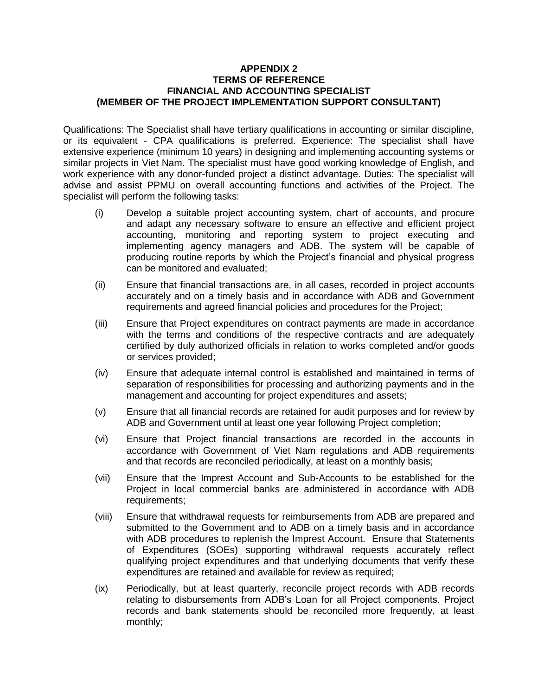#### **APPENDIX 2 TERMS OF REFERENCE FINANCIAL AND ACCOUNTING SPECIALIST (MEMBER OF THE PROJECT IMPLEMENTATION SUPPORT CONSULTANT)**

Qualifications: The Specialist shall have tertiary qualifications in accounting or similar discipline, or its equivalent - CPA qualifications is preferred. Experience: The specialist shall have extensive experience (minimum 10 years) in designing and implementing accounting systems or similar projects in Viet Nam. The specialist must have good working knowledge of English, and work experience with any donor-funded project a distinct advantage. Duties: The specialist will advise and assist PPMU on overall accounting functions and activities of the Project. The specialist will perform the following tasks:

- (i) Develop a suitable project accounting system, chart of accounts, and procure and adapt any necessary software to ensure an effective and efficient project accounting, monitoring and reporting system to project executing and implementing agency managers and ADB. The system will be capable of producing routine reports by which the Project's financial and physical progress can be monitored and evaluated;
- (ii) Ensure that financial transactions are, in all cases, recorded in project accounts accurately and on a timely basis and in accordance with ADB and Government requirements and agreed financial policies and procedures for the Project;
- (iii) Ensure that Project expenditures on contract payments are made in accordance with the terms and conditions of the respective contracts and are adequately certified by duly authorized officials in relation to works completed and/or goods or services provided;
- (iv) Ensure that adequate internal control is established and maintained in terms of separation of responsibilities for processing and authorizing payments and in the management and accounting for project expenditures and assets;
- (v) Ensure that all financial records are retained for audit purposes and for review by ADB and Government until at least one year following Project completion;
- (vi) Ensure that Project financial transactions are recorded in the accounts in accordance with Government of Viet Nam regulations and ADB requirements and that records are reconciled periodically, at least on a monthly basis;
- (vii) Ensure that the Imprest Account and Sub-Accounts to be established for the Project in local commercial banks are administered in accordance with ADB requirements;
- (viii) Ensure that withdrawal requests for reimbursements from ADB are prepared and submitted to the Government and to ADB on a timely basis and in accordance with ADB procedures to replenish the Imprest Account. Ensure that Statements of Expenditures (SOEs) supporting withdrawal requests accurately reflect qualifying project expenditures and that underlying documents that verify these expenditures are retained and available for review as required;
- (ix) Periodically, but at least quarterly, reconcile project records with ADB records relating to disbursements from ADB's Loan for all Project components. Project records and bank statements should be reconciled more frequently, at least monthly;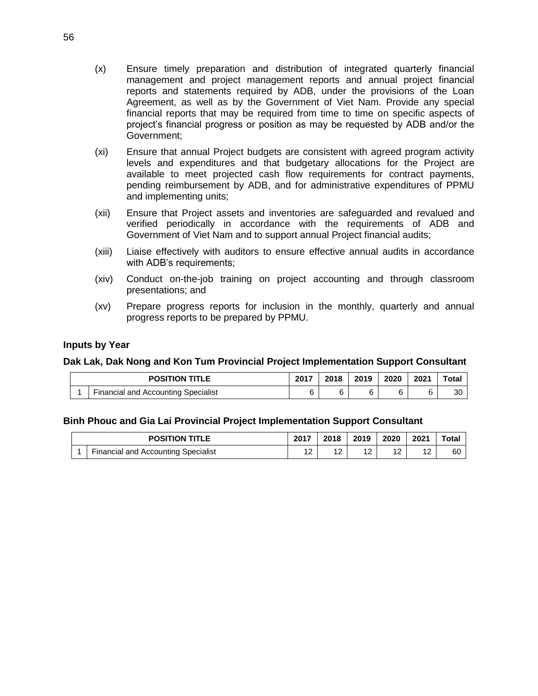- (x) Ensure timely preparation and distribution of integrated quarterly financial management and project management reports and annual project financial reports and statements required by ADB, under the provisions of the Loan Agreement, as well as by the Government of Viet Nam. Provide any special financial reports that may be required from time to time on specific aspects of project's financial progress or position as may be requested by ADB and/or the Government;
- (xi) Ensure that annual Project budgets are consistent with agreed program activity levels and expenditures and that budgetary allocations for the Project are available to meet projected cash flow requirements for contract payments, pending reimbursement by ADB, and for administrative expenditures of PPMU and implementing units;
- (xii) Ensure that Project assets and inventories are safeguarded and revalued and verified periodically in accordance with the requirements of ADB and Government of Viet Nam and to support annual Project financial audits;
- (xiii) Liaise effectively with auditors to ensure effective annual audits in accordance with ADB's requirements;
- (xiv) Conduct on-the-job training on project accounting and through classroom presentations; and
- (xv) Prepare progress reports for inclusion in the monthly, quarterly and annual progress reports to be prepared by PPMU.

#### **Inputs by Year**

# **Dak Lak, Dak Nong and Kon Tum Provincial Project Implementation Support Consultant**

| <b>POSITION TITLE</b> |                                     | 2017 | 2018 | 2019 | 2020 | 2021 | ™ota.     |
|-----------------------|-------------------------------------|------|------|------|------|------|-----------|
|                       | Financial and Accounting Specialist |      | c.   |      | 6    |      | ററ<br>-JU |

# **Binh Phouc and Gia Lai Provincial Project Implementation Support Consultant**

| <b>POSITION TITLE</b> |                                     |   | 2018        | 2019        | 2020   | 2021 | $\tau$ otal |
|-----------------------|-------------------------------------|---|-------------|-------------|--------|------|-------------|
|                       | Financial and Accounting Specialist | ៱ | $\sim$<br>▵ | $\sim$<br>- | $\sim$ | 12   | 60          |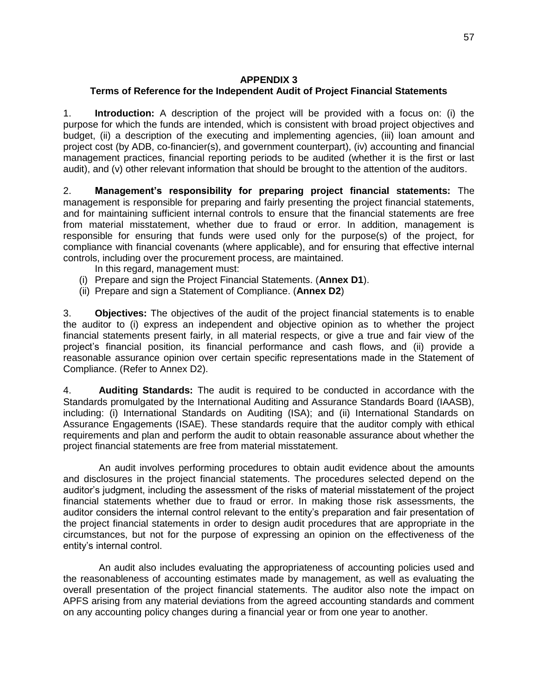#### **APPENDIX 3**

# **Terms of Reference for the Independent Audit of Project Financial Statements**

1. **Introduction:** A description of the project will be provided with a focus on: (i) the purpose for which the funds are intended, which is consistent with broad project objectives and budget, (ii) a description of the executing and implementing agencies, (iii) loan amount and project cost (by ADB, co-financier(s), and government counterpart), (iv) accounting and financial management practices, financial reporting periods to be audited (whether it is the first or last audit), and (v) other relevant information that should be brought to the attention of the auditors.

2. **Management's responsibility for preparing project financial statements:** The management is responsible for preparing and fairly presenting the project financial statements, and for maintaining sufficient internal controls to ensure that the financial statements are free from material misstatement, whether due to fraud or error. In addition, management is responsible for ensuring that funds were used only for the purpose(s) of the project, for compliance with financial covenants (where applicable), and for ensuring that effective internal controls, including over the procurement process, are maintained.

In this regard, management must:

- (i) Prepare and sign the Project Financial Statements. (**Annex D1**).
- (ii) Prepare and sign a Statement of Compliance. (**Annex D2**)

3. **Objectives:** The objectives of the audit of the project financial statements is to enable the auditor to (i) express an independent and objective opinion as to whether the project financial statements present fairly, in all material respects, or give a true and fair view of the project's financial position, its financial performance and cash flows, and (ii) provide a reasonable assurance opinion over certain specific representations made in the Statement of Compliance. (Refer to Annex D2).

4. **Auditing Standards:** The audit is required to be conducted in accordance with the Standards promulgated by the International Auditing and Assurance Standards Board (IAASB), including: (i) International Standards on Auditing (ISA); and (ii) International Standards on Assurance Engagements (ISAE). These standards require that the auditor comply with ethical requirements and plan and perform the audit to obtain reasonable assurance about whether the project financial statements are free from material misstatement.

An audit involves performing procedures to obtain audit evidence about the amounts and disclosures in the project financial statements. The procedures selected depend on the auditor's judgment, including the assessment of the risks of material misstatement of the project financial statements whether due to fraud or error. In making those risk assessments, the auditor considers the internal control relevant to the entity's preparation and fair presentation of the project financial statements in order to design audit procedures that are appropriate in the circumstances, but not for the purpose of expressing an opinion on the effectiveness of the entity's internal control.

An audit also includes evaluating the appropriateness of accounting policies used and the reasonableness of accounting estimates made by management, as well as evaluating the overall presentation of the project financial statements. The auditor also note the impact on APFS arising from any material deviations from the agreed accounting standards and comment on any accounting policy changes during a financial year or from one year to another.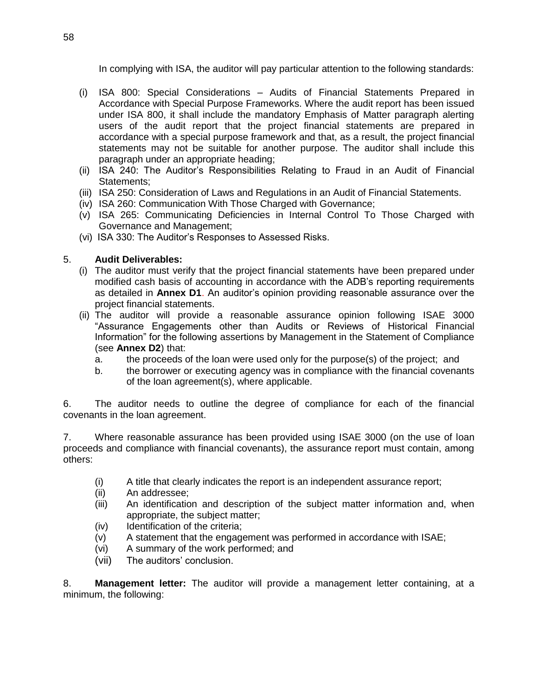In complying with ISA, the auditor will pay particular attention to the following standards:

- (i) ISA 800: Special Considerations Audits of Financial Statements Prepared in Accordance with Special Purpose Frameworks. Where the audit report has been issued under ISA 800, it shall include the mandatory Emphasis of Matter paragraph alerting users of the audit report that the project financial statements are prepared in accordance with a special purpose framework and that, as a result, the project financial statements may not be suitable for another purpose. The auditor shall include this paragraph under an appropriate heading;
- (ii) ISA 240: The Auditor's Responsibilities Relating to Fraud in an Audit of Financial Statements;
- (iii) ISA 250: Consideration of Laws and Regulations in an Audit of Financial Statements.
- (iv) ISA 260: Communication With Those Charged with Governance;
- (v) ISA 265: Communicating Deficiencies in Internal Control To Those Charged with Governance and Management;
- (vi) ISA 330: The Auditor's Responses to Assessed Risks.

# 5. **Audit Deliverables:**

- (i) The auditor must verify that the project financial statements have been prepared under modified cash basis of accounting in accordance with the ADB's reporting requirements as detailed in **Annex D1**. An auditor's opinion providing reasonable assurance over the project financial statements.
- (ii) The auditor will provide a reasonable assurance opinion following ISAE 3000 "Assurance Engagements other than Audits or Reviews of Historical Financial Information" for the following assertions by Management in the Statement of Compliance (see **Annex D2**) that:
	- a. the proceeds of the loan were used only for the purpose(s) of the project; and
	- b. the borrower or executing agency was in compliance with the financial covenants of the loan agreement(s), where applicable.

6. The auditor needs to outline the degree of compliance for each of the financial covenants in the loan agreement.

7. Where reasonable assurance has been provided using ISAE 3000 (on the use of loan proceeds and compliance with financial covenants), the assurance report must contain, among others:

- (i) A title that clearly indicates the report is an independent assurance report;
- (ii) An addressee;
- (iii) An identification and description of the subject matter information and, when appropriate, the subject matter;
- (iv) Identification of the criteria;
- (v) A statement that the engagement was performed in accordance with ISAE;
- (vi) A summary of the work performed; and
- (vii) The auditors' conclusion.

8. **Management letter:** The auditor will provide a management letter containing, at a minimum, the following: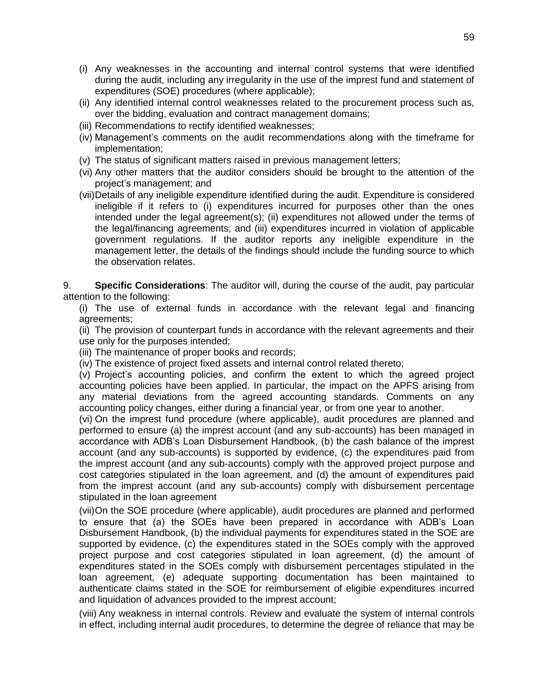- (i) Any weaknesses in the accounting and internal control systems that were identified during the audit, including any irregularity in the use of the imprest fund and statement of expenditures (SOE) procedures (where applicable);
- (ii) Any identified internal control weaknesses related to the procurement process such as, over the bidding, evaluation and contract management domains;
- (iii) Recommendations to rectify identified weaknesses;
- (iv) Management's comments on the audit recommendations along with the timeframe for implementation;
- (v) The status of significant matters raised in previous management letters;
- (vi) Any other matters that the auditor considers should be brought to the attention of the project's management; and
- (vii)Details of any ineligible expenditure identified during the audit. Expenditure is considered ineligible if it refers to (i) expenditures incurred for purposes other than the ones intended under the legal agreement(s); (ii) expenditures not allowed under the terms of the legal/financing agreements; and (iii) expenditures incurred in violation of applicable government regulations. If the auditor reports any ineligible expenditure in the management letter, the details of the findings should include the funding source to which the observation relates.

9. **Specific Considerations**: The auditor will, during the course of the audit, pay particular attention to the following:

(i) The use of external funds in accordance with the relevant legal and financing agreements;

(ii) The provision of counterpart funds in accordance with the relevant agreements and their use only for the purposes intended;

(iii) The maintenance of proper books and records;

(iv) The existence of project fixed assets and internal control related thereto;

(v) Project's accounting policies, and confirm the extent to which the agreed project accounting policies have been applied. In particular, the impact on the APFS arising from any material deviations from the agreed accounting standards. Comments on any accounting policy changes, either during a financial year, or from one year to another.

(vi) On the imprest fund procedure (where applicable), audit procedures are planned and performed to ensure (a) the imprest account (and any sub-accounts) has been managed in accordance with ADB's Loan Disbursement Handbook, (b) the cash balance of the imprest account (and any sub-accounts) is supported by evidence, (c) the expenditures paid from the imprest account (and any sub-accounts) comply with the approved project purpose and cost categories stipulated in the loan agreement, and (d) the amount of expenditures paid from the imprest account (and any sub-accounts) comply with disbursement percentage stipulated in the loan agreement

(vii)On the SOE procedure (where applicable), audit procedures are planned and performed to ensure that (a) the SOEs have been prepared in accordance with ADB's Loan Disbursement Handbook, (b) the individual payments for expenditures stated in the SOE are supported by evidence, (c) the expenditures stated in the SOEs comply with the approved project purpose and cost categories stipulated in loan agreement, (d) the amount of expenditures stated in the SOEs comply with disbursement percentages stipulated in the loan agreement, (e) adequate supporting documentation has been maintained to authenticate claims stated in the SOE for reimbursement of eligible expenditures incurred and liquidation of advances provided to the imprest account;

(viii) Any weakness in internal controls. Review and evaluate the system of internal controls in effect, including internal audit procedures, to determine the degree of reliance that may be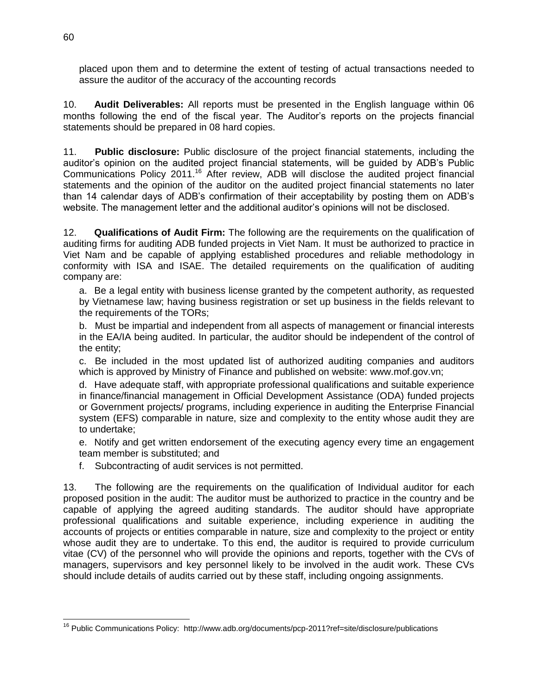placed upon them and to determine the extent of testing of actual transactions needed to assure the auditor of the accuracy of the accounting records

10. **Audit Deliverables:** All reports must be presented in the English language within 06 months following the end of the fiscal year. The Auditor's reports on the projects financial statements should be prepared in 08 hard copies.

11. **Public disclosure:** Public disclosure of the project financial statements, including the auditor's opinion on the audited project financial statements, will be guided by ADB's Public Communications Policy 2011.<sup>16</sup> After review, ADB will disclose the audited project financial statements and the opinion of the auditor on the audited project financial statements no later than 14 calendar days of ADB's confirmation of their acceptability by posting them on ADB's website. The management letter and the additional auditor's opinions will not be disclosed.

12. **Qualifications of Audit Firm:** The following are the requirements on the qualification of auditing firms for auditing ADB funded projects in Viet Nam. It must be authorized to practice in Viet Nam and be capable of applying established procedures and reliable methodology in conformity with ISA and ISAE. The detailed requirements on the qualification of auditing company are:

a. Be a legal entity with business license granted by the competent authority, as requested by Vietnamese law; having business registration or set up business in the fields relevant to the requirements of the TORs;

b. Must be impartial and independent from all aspects of management or financial interests in the EA/IA being audited. In particular, the auditor should be independent of the control of the entity;

c. Be included in the most updated list of authorized auditing companies and auditors which is approved by Ministry of Finance and published on website: www.mof.gov.vn;

d. Have adequate staff, with appropriate professional qualifications and suitable experience in finance/financial management in Official Development Assistance (ODA) funded projects or Government projects/ programs, including experience in auditing the Enterprise Financial system (EFS) comparable in nature, size and complexity to the entity whose audit they are to undertake;

e. Notify and get written endorsement of the executing agency every time an engagement team member is substituted; and

f. Subcontracting of audit services is not permitted.

13. The following are the requirements on the qualification of Individual auditor for each proposed position in the audit: The auditor must be authorized to practice in the country and be capable of applying the agreed auditing standards. The auditor should have appropriate professional qualifications and suitable experience, including experience in auditing the accounts of projects or entities comparable in nature, size and complexity to the project or entity whose audit they are to undertake. To this end, the auditor is required to provide curriculum vitae (CV) of the personnel who will provide the opinions and reports, together with the CVs of managers, supervisors and key personnel likely to be involved in the audit work. These CVs should include details of audits carried out by these staff, including ongoing assignments.

<sup>&</sup>lt;sup>16</sup> Public Communications Policy: <http://www.adb.org/documents/pcp-2011?ref=site/disclosure/publications>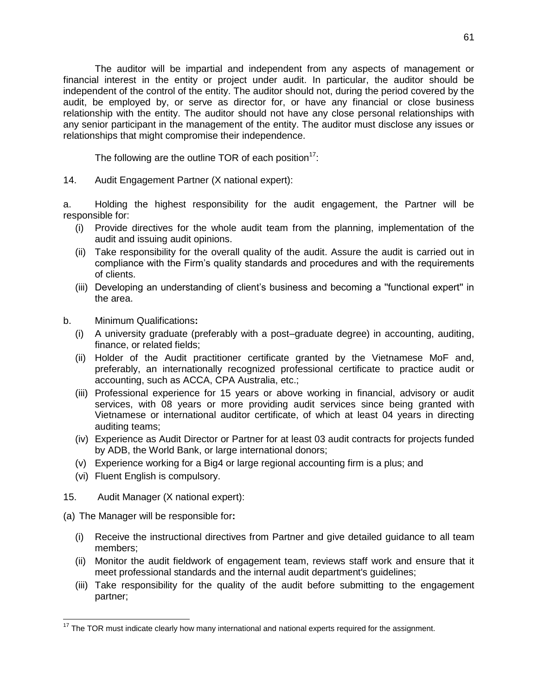The auditor will be impartial and independent from any aspects of management or financial interest in the entity or project under audit. In particular, the auditor should be independent of the control of the entity. The auditor should not, during the period covered by the audit, be employed by, or serve as director for, or have any financial or close business relationship with the entity. The auditor should not have any close personal relationships with any senior participant in the management of the entity. The auditor must disclose any issues or relationships that might compromise their independence.

The following are the outline TOR of each position<sup>17</sup>:

14. Audit Engagement Partner (X national expert):

a. Holding the highest responsibility for the audit engagement, the Partner will be responsible for:

- (i) Provide directives for the whole audit team from the planning, implementation of the audit and issuing audit opinions.
- (ii) Take responsibility for the overall quality of the audit. Assure the audit is carried out in compliance with the Firm's quality standards and procedures and with the requirements of clients.
- (iii) Developing an understanding of client's business and becoming a ''functional expert'' in the area.
- b. Minimum Qualifications**:** 
	- (i) A university graduate (preferably with a post–graduate degree) in accounting, auditing, finance, or related fields;
	- (ii) Holder of the Audit practitioner certificate granted by the Vietnamese MoF and, preferably, an internationally recognized professional certificate to practice audit or accounting, such as ACCA, CPA Australia, etc.;
	- (iii) Professional experience for 15 years or above working in financial, advisory or audit services, with 08 years or more providing audit services since being granted with Vietnamese or international auditor certificate, of which at least 04 years in directing auditing teams;
	- (iv) Experience as Audit Director or Partner for at least 03 audit contracts for projects funded by ADB, the World Bank, or large international donors;
	- (v) Experience working for a Big4 or large regional accounting firm is a plus; and
	- (vi) Fluent English is compulsory.
- 15. Audit Manager (X national expert):
- (a) The Manager will be responsible for**:**

- (i) Receive the instructional directives from Partner and give detailed guidance to all team members;
- (ii) Monitor the audit fieldwork of engagement team, reviews staff work and ensure that it meet professional standards and the internal audit department's guidelines;
- (iii) Take responsibility for the quality of the audit before submitting to the engagement partner;

 $17$  The TOR must indicate clearly how many international and national experts required for the assignment.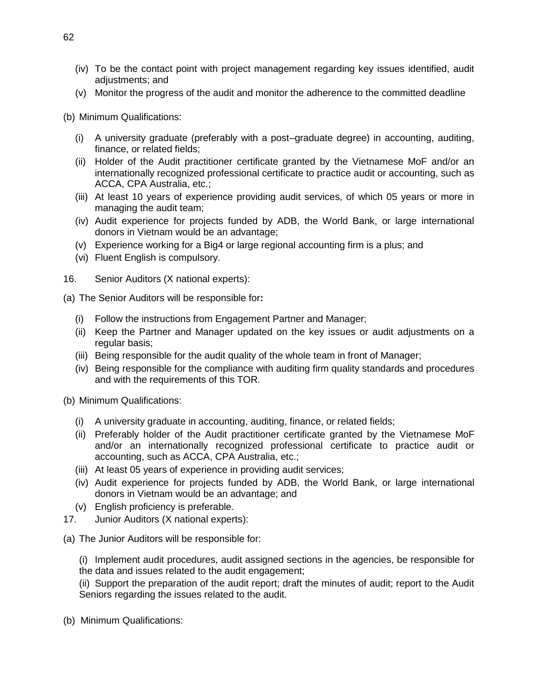- (iv) To be the contact point with project management regarding key issues identified, audit adjustments; and
- (v) Monitor the progress of the audit and monitor the adherence to the committed deadline

(b) Minimum Qualifications:

- (i) A university graduate (preferably with a post–graduate degree) in accounting, auditing, finance, or related fields;
- (ii) Holder of the Audit practitioner certificate granted by the Vietnamese MoF and/or an internationally recognized professional certificate to practice audit or accounting, such as ACCA, CPA Australia, etc.;
- (iii) At least 10 years of experience providing audit services, of which 05 years or more in managing the audit team;
- (iv) Audit experience for projects funded by ADB, the World Bank, or large international donors in Vietnam would be an advantage;
- (v) Experience working for a Big4 or large regional accounting firm is a plus; and
- (vi) Fluent English is compulsory.
- 16. Senior Auditors (X national experts):
- (a) The Senior Auditors will be responsible for**:** 
	- (i) Follow the instructions from Engagement Partner and Manager;
	- (ii) Keep the Partner and Manager updated on the key issues or audit adjustments on a regular basis;
	- (iii) Being responsible for the audit quality of the whole team in front of Manager;
	- (iv) Being responsible for the compliance with auditing firm quality standards and procedures and with the requirements of this TOR.

(b) Minimum Qualifications:

- (i) A university graduate in accounting, auditing, finance, or related fields;
- (ii) Preferably holder of the Audit practitioner certificate granted by the Vietnamese MoF and/or an internationally recognized professional certificate to practice audit or accounting, such as ACCA, CPA Australia, etc.;
- (iii) At least 05 years of experience in providing audit services;
- (iv) Audit experience for projects funded by ADB, the World Bank, or large international donors in Vietnam would be an advantage; and
- (v) English proficiency is preferable.
- 17. Junior Auditors (X national experts):
- (a) The Junior Auditors will be responsible for:

(i) Implement audit procedures, audit assigned sections in the agencies, be responsible for the data and issues related to the audit engagement;

(ii) Support the preparation of the audit report; draft the minutes of audit; report to the Audit Seniors regarding the issues related to the audit.

(b) Minimum Qualifications: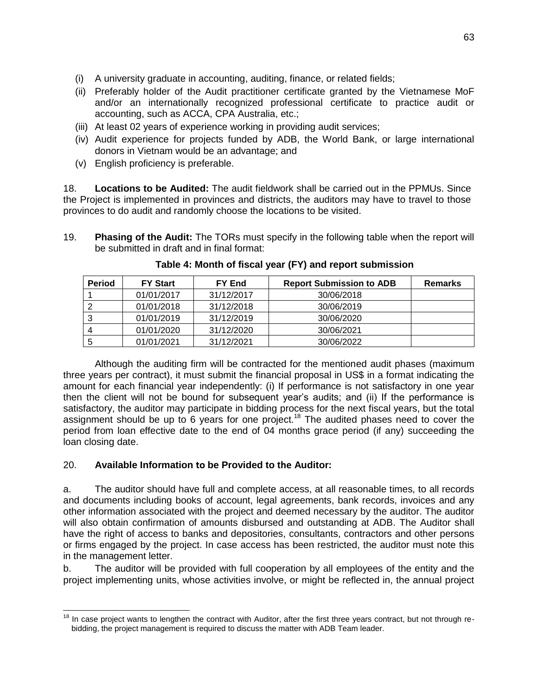- (i) A university graduate in accounting, auditing, finance, or related fields;
- (ii) Preferably holder of the Audit practitioner certificate granted by the Vietnamese MoF and/or an internationally recognized professional certificate to practice audit or accounting, such as ACCA, CPA Australia, etc.;
- (iii) At least 02 years of experience working in providing audit services;
- (iv) Audit experience for projects funded by ADB, the World Bank, or large international donors in Vietnam would be an advantage; and
- (v) English proficiency is preferable.

18. **Locations to be Audited:** The audit fieldwork shall be carried out in the PPMUs. Since the Project is implemented in provinces and districts, the auditors may have to travel to those provinces to do audit and randomly choose the locations to be visited.

19. **Phasing of the Audit:** The TORs must specify in the following table when the report will be submitted in draft and in final format:

| <b>Period</b> | <b>FY Start</b> | FY End     | <b>Report Submission to ADB</b> | <b>Remarks</b> |
|---------------|-----------------|------------|---------------------------------|----------------|
|               | 01/01/2017      | 31/12/2017 | 30/06/2018                      |                |
|               | 01/01/2018      | 31/12/2018 | 30/06/2019                      |                |
|               | 01/01/2019      | 31/12/2019 | 30/06/2020                      |                |
|               | 01/01/2020      | 31/12/2020 | 30/06/2021                      |                |
|               | 01/01/2021      | 31/12/2021 | 30/06/2022                      |                |

**Table 4: Month of fiscal year (FY) and report submission**

Although the auditing firm will be contracted for the mentioned audit phases (maximum three years per contract), it must submit the financial proposal in US\$ in a format indicating the amount for each financial year independently: (i) If performance is not satisfactory in one year then the client will not be bound for subsequent year's audits; and (ii) If the performance is satisfactory, the auditor may participate in bidding process for the next fiscal years, but the total assignment should be up to 6 years for one project.<sup>18</sup> The audited phases need to cover the period from loan effective date to the end of 04 months grace period (if any) succeeding the loan closing date.

# 20. **Available Information to be Provided to the Auditor:**

a. The auditor should have full and complete access, at all reasonable times, to all records and documents including books of account, legal agreements, bank records, invoices and any other information associated with the project and deemed necessary by the auditor. The auditor will also obtain confirmation of amounts disbursed and outstanding at ADB. The Auditor shall have the right of access to banks and depositories, consultants, contractors and other persons or firms engaged by the project. In case access has been restricted, the auditor must note this in the management letter.

b. The auditor will be provided with full cooperation by all employees of the entity and the project implementing units, whose activities involve, or might be reflected in, the annual project

 $\overline{a}$  $18$  In case project wants to lengthen the contract with Auditor, after the first three years contract, but not through rebidding, the project management is required to discuss the matter with ADB Team leader.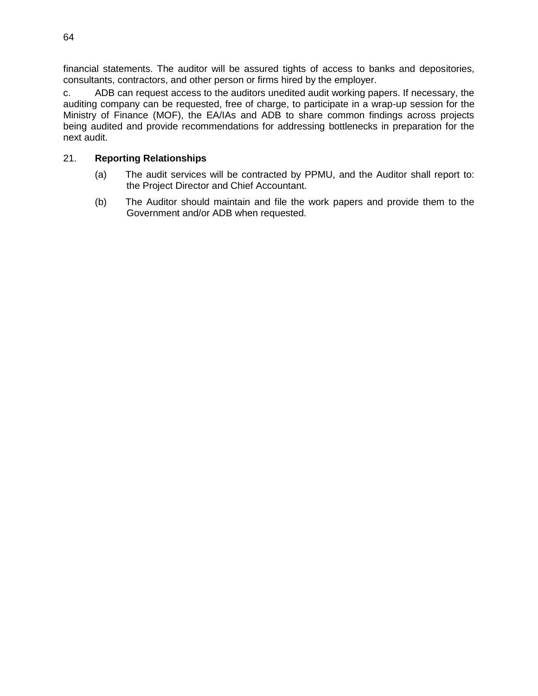financial statements. The auditor will be assured tights of access to banks and depositories, consultants, contractors, and other person or firms hired by the employer.

c. ADB can request access to the auditors unedited audit working papers. If necessary, the auditing company can be requested, free of charge, to participate in a wrap-up session for the Ministry of Finance (MOF), the EA/IAs and ADB to share common findings across projects being audited and provide recommendations for addressing bottlenecks in preparation for the next audit.

# 21. **Reporting Relationships**

- (a) The audit services will be contracted by PPMU, and the Auditor shall report to: the Project Director and Chief Accountant.
- (b) The Auditor should maintain and file the work papers and provide them to the Government and/or ADB when requested.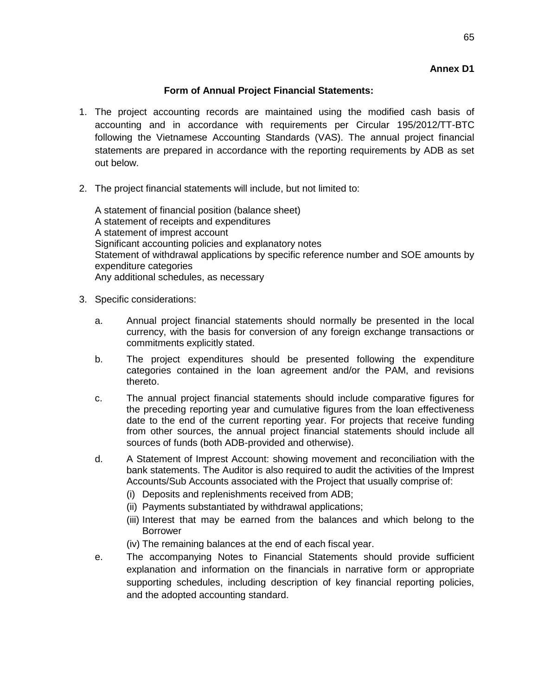# **Annex D1**

# **Form of Annual Project Financial Statements:**

- 1. The project accounting records are maintained using the modified cash basis of accounting and in accordance with requirements per Circular 195/2012/TT-BTC following the Vietnamese Accounting Standards (VAS). The annual project financial statements are prepared in accordance with the reporting requirements by ADB as set out below.
- 2. The project financial statements will include, but not limited to:

A statement of financial position (balance sheet) A statement of receipts and expenditures A statement of imprest account Significant accounting policies and explanatory notes Statement of withdrawal applications by specific reference number and SOE amounts by expenditure categories Any additional schedules, as necessary

- 3. Specific considerations:
	- a. Annual project financial statements should normally be presented in the local currency, with the basis for conversion of any foreign exchange transactions or commitments explicitly stated.
	- b. The project expenditures should be presented following the expenditure categories contained in the loan agreement and/or the PAM, and revisions thereto.
	- c. The annual project financial statements should include comparative figures for the preceding reporting year and cumulative figures from the loan effectiveness date to the end of the current reporting year. For projects that receive funding from other sources, the annual project financial statements should include all sources of funds (both ADB-provided and otherwise).
	- d. A Statement of Imprest Account: showing movement and reconciliation with the bank statements. The Auditor is also required to audit the activities of the Imprest Accounts/Sub Accounts associated with the Project that usually comprise of:
		- (i) Deposits and replenishments received from ADB;
		- (ii) Payments substantiated by withdrawal applications;
		- (iii) Interest that may be earned from the balances and which belong to the Borrower
		- (iv) The remaining balances at the end of each fiscal year.
	- e. The accompanying Notes to Financial Statements should provide sufficient explanation and information on the financials in narrative form or appropriate supporting schedules, including description of key financial reporting policies, and the adopted accounting standard.